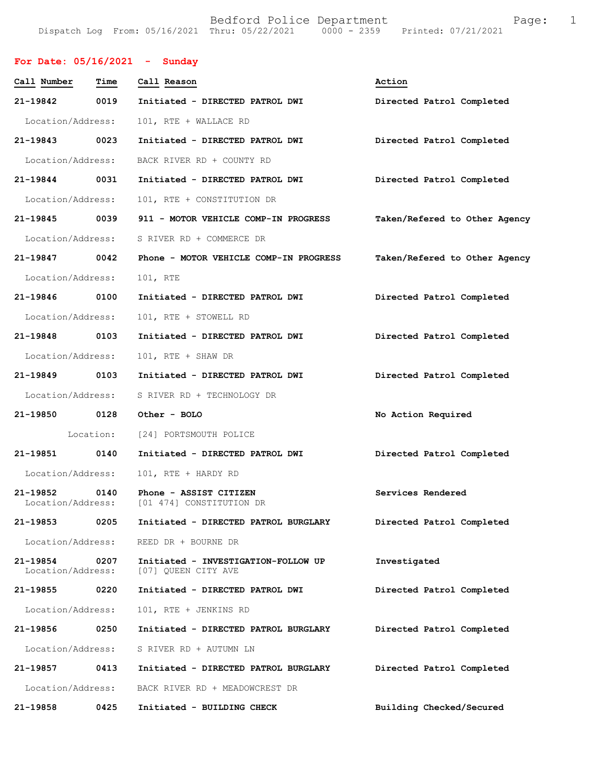Bedford Police Department Fage: 1 Dispatch Log From: 05/16/2021 Thru: 05/22/2021 0000 - 2359 Printed: 07/21/2021

| For Date: $05/16/2021$ | - Sunday |
|------------------------|----------|
|                        |          |

| Call Number                   | Time      | Call Reason                                                          | Action                        |
|-------------------------------|-----------|----------------------------------------------------------------------|-------------------------------|
| 21-19842                      | 0019      | Initiated - DIRECTED PATROL DWI                                      | Directed Patrol Completed     |
| Location/Address:             |           | 101, RTE + WALLACE RD                                                |                               |
| 21-19843 0023                 |           | Initiated - DIRECTED PATROL DWI                                      | Directed Patrol Completed     |
| Location/Address:             |           | BACK RIVER RD + COUNTY RD                                            |                               |
| 21-19844 0031                 |           | Initiated - DIRECTED PATROL DWI                                      | Directed Patrol Completed     |
| Location/Address:             |           | 101, RTE + CONSTITUTION DR                                           |                               |
| 21-19845 0039                 |           | 911 - MOTOR VEHICLE COMP-IN PROGRESS                                 | Taken/Refered to Other Agency |
| Location/Address:             |           | S RIVER RD + COMMERCE DR                                             |                               |
| 21-19847 0042                 |           | Phone - MOTOR VEHICLE COMP-IN PROGRESS                               | Taken/Refered to Other Agency |
| Location/Address:             |           | 101, RTE                                                             |                               |
| 21-19846 0100                 |           | Initiated - DIRECTED PATROL DWI                                      | Directed Patrol Completed     |
| Location/Address:             |           | 101, RTE + STOWELL RD                                                |                               |
| 21-19848 0103                 |           | Initiated - DIRECTED PATROL DWI                                      | Directed Patrol Completed     |
| Location/Address:             |           | 101, RTE + SHAW DR                                                   |                               |
| 21-19849 0103                 |           | Initiated - DIRECTED PATROL DWI                                      | Directed Patrol Completed     |
| Location/Address:             |           | S RIVER RD + TECHNOLOGY DR                                           |                               |
| 21-19850 0128                 |           | Other - BOLO                                                         | No Action Required            |
|                               | Location: | [24] PORTSMOUTH POLICE                                               |                               |
| 21-19851                      | 0140      | Initiated - DIRECTED PATROL DWI                                      | Directed Patrol Completed     |
| Location/Address:             |           | 101, RTE + HARDY RD                                                  |                               |
| 21-19852                      | 0140      | Phone - ASSIST CITIZEN<br>Location/Address: [01 474] CONSTITUTION DR | Services Rendered             |
| 21-19853                      | 0205      | Initiated - DIRECTED PATROL BURGLARY                                 | Directed Patrol Completed     |
| Location/Address:             |           | REED DR + BOURNE DR                                                  |                               |
| 21-19854<br>Location/Address: | 0207      | Initiated - INVESTIGATION-FOLLOW UP<br>[07] QUEEN CITY AVE           | Investigated                  |
| 21-19855                      | 0220      | Initiated - DIRECTED PATROL DWI                                      | Directed Patrol Completed     |
| Location/Address:             |           | 101, RTE + JENKINS RD                                                |                               |
| 21-19856                      | 0250      | Initiated - DIRECTED PATROL BURGLARY                                 | Directed Patrol Completed     |
| Location/Address:             |           | S RIVER RD + AUTUMN LN                                               |                               |
| 21-19857                      | 0413      | Initiated - DIRECTED PATROL BURGLARY                                 | Directed Patrol Completed     |
| Location/Address:             |           | BACK RIVER RD + MEADOWCREST DR                                       |                               |
| 21-19858                      | 0425      | Initiated - BUILDING CHECK                                           | Building Checked/Secured      |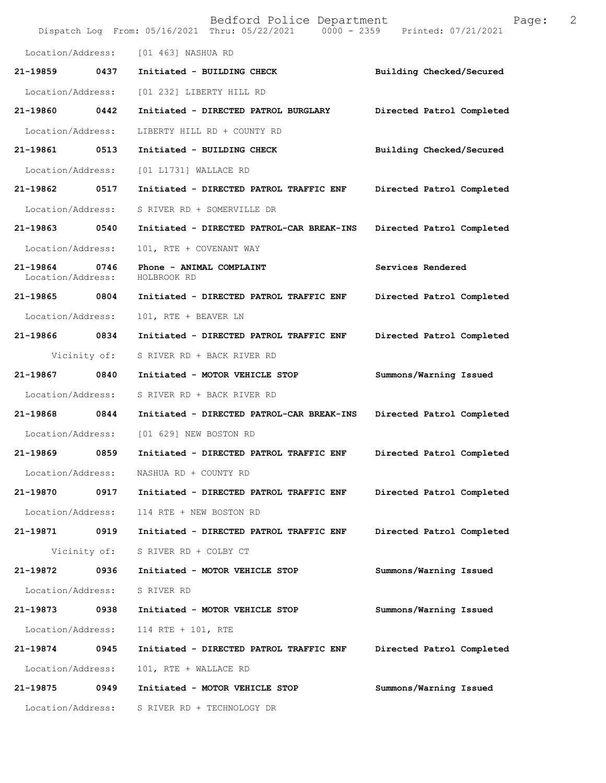|                                    |              | Bedford Police Department<br>Dispatch Log From: 05/16/2021 Thru: 05/22/2021 0000 - 2359 Printed: 07/21/2021 | Page:                     | 2 |
|------------------------------------|--------------|-------------------------------------------------------------------------------------------------------------|---------------------------|---|
| Location/Address:                  |              | [01 463] NASHUA RD                                                                                          |                           |   |
| 21-19859                           | 0437         | Initiated - BUILDING CHECK                                                                                  | Building Checked/Secured  |   |
| Location/Address:                  |              | [01 232] LIBERTY HILL RD                                                                                    |                           |   |
| 21-19860                           | 0442         | Initiated - DIRECTED PATROL BURGLARY                                                                        | Directed Patrol Completed |   |
| Location/Address:                  |              | LIBERTY HILL RD + COUNTY RD                                                                                 |                           |   |
| 21-19861 0513                      |              | Initiated - BUILDING CHECK                                                                                  | Building Checked/Secured  |   |
| Location/Address:                  |              | [01 L1731] WALLACE RD                                                                                       |                           |   |
| 21-19862 0517                      |              | Initiated - DIRECTED PATROL TRAFFIC ENF                                                                     | Directed Patrol Completed |   |
| Location/Address:                  |              | S RIVER RD + SOMERVILLE DR                                                                                  |                           |   |
| 21-19863 0540                      |              | Initiated - DIRECTED PATROL-CAR BREAK-INS                                                                   | Directed Patrol Completed |   |
| Location/Address:                  |              | 101, RTE + COVENANT WAY                                                                                     |                           |   |
| 21-19864 0746<br>Location/Address: |              | Phone - ANIMAL COMPLAINT<br>HOLBROOK RD                                                                     | Services Rendered         |   |
| 21-19865                           | 0804         | Initiated - DIRECTED PATROL TRAFFIC ENF                                                                     | Directed Patrol Completed |   |
| Location/Address:                  |              | 101, RTE + BEAVER LN                                                                                        |                           |   |
| 21-19866 0834                      |              | Initiated - DIRECTED PATROL TRAFFIC ENF                                                                     | Directed Patrol Completed |   |
|                                    | Vicinity of: | S RIVER RD + BACK RIVER RD                                                                                  |                           |   |
| 21-19867 0840                      |              | Initiated - MOTOR VEHICLE STOP                                                                              | Summons/Warning Issued    |   |
| Location/Address:                  |              | S RIVER RD + BACK RIVER RD                                                                                  |                           |   |
| 21-19868                           | 0844         | Initiated - DIRECTED PATROL-CAR BREAK-INS                                                                   | Directed Patrol Completed |   |
| Location/Address:                  |              | [01 629] NEW BOSTON RD                                                                                      |                           |   |
| 21-19869                           | 0859         | Initiated - DIRECTED PATROL TRAFFIC ENF                                                                     | Directed Patrol Completed |   |
| Location/Address:                  |              | NASHUA RD + COUNTY RD                                                                                       |                           |   |
| 21-19870                           |              | 0917 Initiated - DIRECTED PATROL TRAFFIC ENF                                                                | Directed Patrol Completed |   |
| Location/Address:                  |              | 114 RTE + NEW BOSTON RD                                                                                     |                           |   |
| 21-19871                           | 0919         | Initiated - DIRECTED PATROL TRAFFIC ENF                                                                     | Directed Patrol Completed |   |
|                                    | Vicinity of: | S RIVER RD + COLBY CT                                                                                       |                           |   |
| 21-19872 0936                      |              | Initiated - MOTOR VEHICLE STOP                                                                              | Summons/Warning Issued    |   |
| Location/Address:                  |              | S RIVER RD                                                                                                  |                           |   |
| 21-19873                           | 0938         | Initiated - MOTOR VEHICLE STOP                                                                              | Summons/Warning Issued    |   |
| Location/Address:                  |              | 114 RTE + 101, RTE                                                                                          |                           |   |
| 21-19874                           | 0945         | Initiated - DIRECTED PATROL TRAFFIC ENF                                                                     | Directed Patrol Completed |   |
| Location/Address:                  |              | 101, RTE + WALLACE RD                                                                                       |                           |   |
| 21-19875 0949                      |              | Initiated - MOTOR VEHICLE STOP                                                                              | Summons/Warning Issued    |   |
| Location/Address:                  |              | S RIVER RD + TECHNOLOGY DR                                                                                  |                           |   |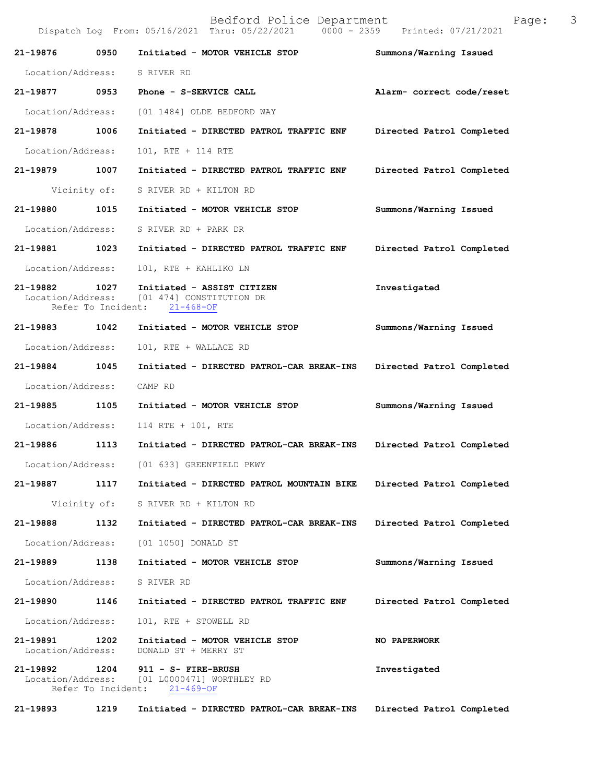| 21-19876 0950                 |                            | Initiated - MOTOR VEHICLE STOP                                                                           | Summons/Warning Issued    |
|-------------------------------|----------------------------|----------------------------------------------------------------------------------------------------------|---------------------------|
| Location/Address: S RIVER RD  |                            |                                                                                                          |                           |
| 21-19877 0953                 |                            | Phone - S-SERVICE CALL                                                                                   | Alarm- correct code/reset |
| Location/Address:             |                            | [01 1484] OLDE BEDFORD WAY                                                                               |                           |
| 21-19878 1006                 |                            | Initiated - DIRECTED PATROL TRAFFIC ENF                                                                  | Directed Patrol Completed |
| Location/Address:             |                            | 101, RTE + 114 RTE                                                                                       |                           |
| 21-19879 1007                 |                            | Initiated - DIRECTED PATROL TRAFFIC ENF                                                                  | Directed Patrol Completed |
|                               | Vicinity of:               | S RIVER RD + KILTON RD                                                                                   |                           |
| 21-19880 1015                 |                            | Initiated - MOTOR VEHICLE STOP                                                                           | Summons/Warning Issued    |
| Location/Address:             |                            | S RIVER RD + PARK DR                                                                                     |                           |
| 21-19881 1023                 |                            | Initiated - DIRECTED PATROL TRAFFIC ENF                                                                  | Directed Patrol Completed |
| Location/Address:             |                            | 101, RTE + KAHLIKO LN                                                                                    |                           |
| 21-19882 1027                 |                            | Initiated - ASSIST CITIZEN<br>Location/Address: [01 474] CONSTITUTION DR<br>Refer To Incident: 21-468-OF | Investigated              |
| 21-19883 1042                 |                            | Initiated - MOTOR VEHICLE STOP                                                                           | Summons/Warning Issued    |
| Location/Address:             |                            | 101, RTE + WALLACE RD                                                                                    |                           |
| 21-19884 1045                 |                            | Initiated - DIRECTED PATROL-CAR BREAK-INS                                                                | Directed Patrol Completed |
| Location/Address:             |                            | CAMP RD                                                                                                  |                           |
| 21-19885 1105                 |                            | Initiated - MOTOR VEHICLE STOP                                                                           | Summons/Warning Issued    |
| Location/Address:             |                            | 114 RTE + 101, RTE                                                                                       |                           |
|                               |                            | 21-19886 1113 Initiated - DIRECTED PATROL-CAR BREAK-INS                                                  | Directed Patrol Completed |
|                               |                            | Location/Address: [01 633] GREENFIELD PKWY                                                               |                           |
| 21-19887                      | 1117                       | Initiated - DIRECTED PATROL MOUNTAIN BIKE                                                                | Directed Patrol Completed |
|                               |                            | Vicinity of: S RIVER RD + KILTON RD                                                                      |                           |
| 21-19888                      | 1132                       | Initiated - DIRECTED PATROL-CAR BREAK-INS                                                                | Directed Patrol Completed |
|                               |                            | Location/Address: [01 1050] DONALD ST                                                                    |                           |
| 21-19889                      | 1138                       | Initiated - MOTOR VEHICLE STOP                                                                           | Summons/Warning Issued    |
| Location/Address:             |                            | S RIVER RD                                                                                               |                           |
| 21-19890                      | 1146                       | Initiated - DIRECTED PATROL TRAFFIC ENF                                                                  | Directed Patrol Completed |
| Location/Address:             |                            | 101, RTE + STOWELL RD                                                                                    |                           |
| 21-19891<br>Location/Address: | 1202                       | Initiated - MOTOR VEHICLE STOP<br>DONALD ST + MERRY ST                                                   | NO PAPERWORK              |
| 21-19892                      | 1204<br>Refer To Incident: | 911 - S- FIRE-BRUSH<br>Location/Address: [01 L0000471] WORTHLEY RD<br>$21 - 469 - OF$                    | Investigated              |
| 21-19893                      | 1219                       | Initiated - DIRECTED PATROL-CAR BREAK-INS                                                                | Directed Patrol Completed |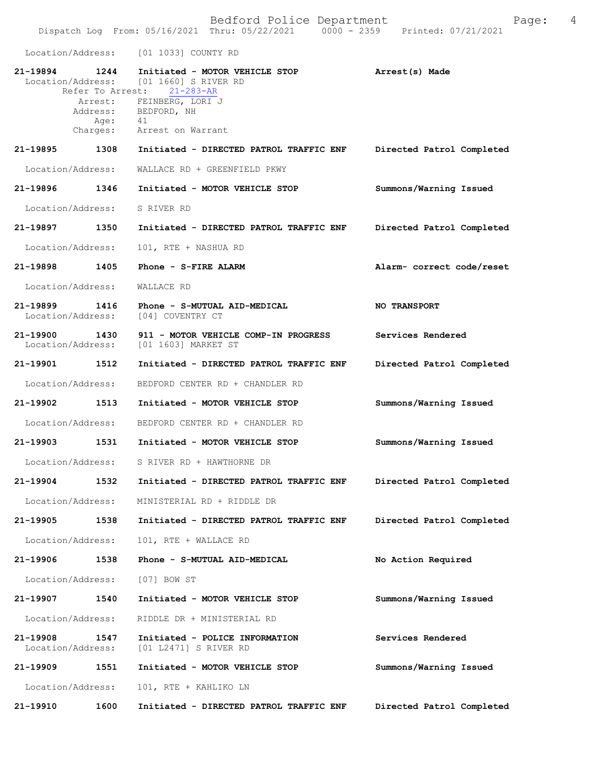Location/Address: [01 1033] COUNTY RD

| 21-19894      | 1244                      | Initiated - MOTOR VEHICLE STOP<br>Location/Address: [01 1660] S RIVER RD<br>Refer To Arrest: 21-283-AR | Arrest(s) Made            |
|---------------|---------------------------|--------------------------------------------------------------------------------------------------------|---------------------------|
|               | Arrest:<br>Age:           | FEINBERG, LORI J<br>Address: BEDFORD, NH<br>41<br>Charges: Arrest on Warrant                           |                           |
| 21-19895      | 1308                      | Initiated - DIRECTED PATROL TRAFFIC ENF                                                                | Directed Patrol Completed |
|               | Location/Address:         | WALLACE RD + GREENFIELD PKWY                                                                           |                           |
| 21-19896 1346 |                           | Initiated - MOTOR VEHICLE STOP                                                                         | Summons/Warning Issued    |
|               | Location/Address:         | S RIVER RD                                                                                             |                           |
| 21-19897 1350 |                           | Initiated - DIRECTED PATROL TRAFFIC ENF                                                                | Directed Patrol Completed |
|               | Location/Address:         | 101, RTE + NASHUA RD                                                                                   |                           |
| 21-19898 1405 |                           | Phone - S-FIRE ALARM                                                                                   | Alarm- correct code/reset |
|               | Location/Address:         | WALLACE RD                                                                                             |                           |
| 21-19899 1416 | Location/Address:         | Phone - S-MUTUAL AID-MEDICAL<br>[04] COVENTRY CT                                                       | <b>NO TRANSPORT</b>       |
| 21-19900      | 1430<br>Location/Address: | 911 - MOTOR VEHICLE COMP-IN PROGRESS<br>[01 1603] MARKET ST                                            | Services Rendered         |
|               | 21-19901 1512             | Initiated - DIRECTED PATROL TRAFFIC ENF                                                                | Directed Patrol Completed |
|               | Location/Address:         | BEDFORD CENTER RD + CHANDLER RD                                                                        |                           |
| 21-19902      | 1513                      | Initiated - MOTOR VEHICLE STOP                                                                         | Summons/Warning Issued    |
|               | Location/Address:         | BEDFORD CENTER RD + CHANDLER RD                                                                        |                           |
| 21-19903      | 1531                      | Initiated - MOTOR VEHICLE STOP                                                                         | Summons/Warning Issued    |
|               | Location/Address:         | S RIVER RD + HAWTHORNE DR                                                                              |                           |
|               | 21-19904 1532             | Initiated - DIRECTED PATROL TRAFFIC ENF                                                                | Directed Patrol Completed |
|               | Location/Address:         | MINISTERIAL RD + RIDDLE DR                                                                             |                           |
| 21-19905      | 1538                      | Initiated - DIRECTED PATROL TRAFFIC ENF                                                                | Directed Patrol Completed |
|               | Location/Address:         | 101, RTE + WALLACE RD                                                                                  |                           |
| 21-19906      | 1538                      | Phone - S-MUTUAL AID-MEDICAL                                                                           | No Action Required        |
|               | Location/Address:         | [07] BOW ST                                                                                            |                           |
| 21-19907      | 1540                      | Initiated - MOTOR VEHICLE STOP                                                                         | Summons/Warning Issued    |
|               | Location/Address:         | RIDDLE DR + MINISTERIAL RD                                                                             |                           |
| 21-19908      | 1547<br>Location/Address: | Initiated - POLICE INFORMATION<br>[01 L2471] S RIVER RD                                                | Services Rendered         |
| 21-19909      | 1551                      | Initiated - MOTOR VEHICLE STOP                                                                         | Summons/Warning Issued    |
|               | Location/Address:         | 101, RTE + KAHLIKO LN                                                                                  |                           |
| 21-19910      | 1600                      | Initiated - DIRECTED PATROL TRAFFIC ENF                                                                | Directed Patrol Completed |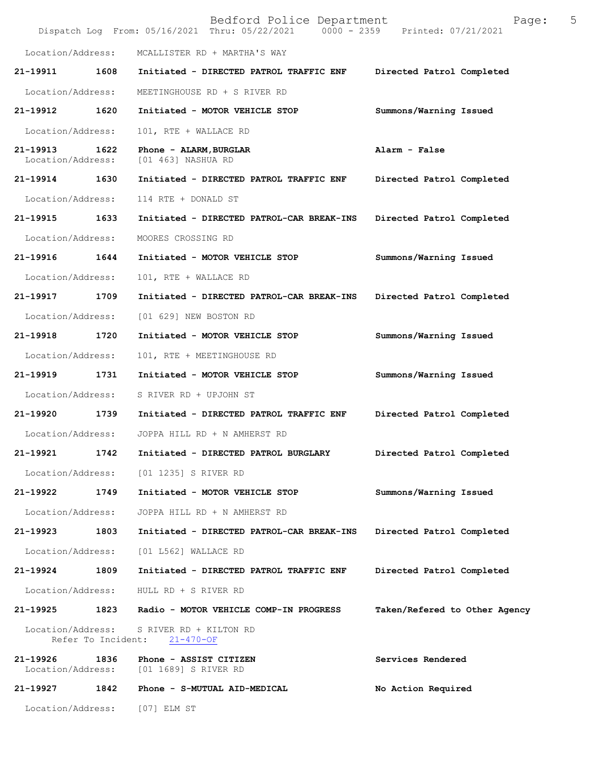|                               |                    | Bedford Police Department<br>Dispatch Log From: 05/16/2021 Thru: 05/22/2021 0000 - 2359 Printed: 07/21/2021 | 5<br>Page:                    |
|-------------------------------|--------------------|-------------------------------------------------------------------------------------------------------------|-------------------------------|
| Location/Address:             |                    | MCALLISTER RD + MARTHA'S WAY                                                                                |                               |
| 21-19911                      | 1608               | Initiated - DIRECTED PATROL TRAFFIC ENF                                                                     | Directed Patrol Completed     |
| Location/Address:             |                    | MEETINGHOUSE RD + S RIVER RD                                                                                |                               |
| 21-19912                      | 1620               | Initiated - MOTOR VEHICLE STOP                                                                              | Summons/Warning Issued        |
| Location/Address:             |                    | 101, RTE + WALLACE RD                                                                                       |                               |
| 21-19913<br>Location/Address: | 1622               | Phone - ALARM, BURGLAR<br>[01 463] NASHUA RD                                                                | Alarm - False                 |
| 21-19914                      | 1630               | Initiated - DIRECTED PATROL TRAFFIC ENF                                                                     | Directed Patrol Completed     |
| Location/Address:             |                    | 114 RTE + DONALD ST                                                                                         |                               |
| 21-19915                      | 1633               | Initiated - DIRECTED PATROL-CAR BREAK-INS                                                                   | Directed Patrol Completed     |
| Location/Address:             |                    | MOORES CROSSING RD                                                                                          |                               |
| 21-19916                      | 1644               | Initiated - MOTOR VEHICLE STOP                                                                              | Summons/Warning Issued        |
| Location/Address:             |                    | 101, RTE + WALLACE RD                                                                                       |                               |
| 21-19917                      | 1709               | Initiated - DIRECTED PATROL-CAR BREAK-INS                                                                   | Directed Patrol Completed     |
| Location/Address:             |                    | [01 629] NEW BOSTON RD                                                                                      |                               |
| 21-19918                      | 1720               | Initiated - MOTOR VEHICLE STOP                                                                              | Summons/Warning Issued        |
| Location/Address:             |                    | 101, RTE + MEETINGHOUSE RD                                                                                  |                               |
| 21-19919                      | 1731               | Initiated - MOTOR VEHICLE STOP                                                                              | Summons/Warning Issued        |
| Location/Address:             |                    | S RIVER RD + UPJOHN ST                                                                                      |                               |
| 21-19920                      | 1739               | Initiated - DIRECTED PATROL TRAFFIC ENF                                                                     | Directed Patrol Completed     |
| Location/Address:             |                    | JOPPA HILL RD + N AMHERST RD                                                                                |                               |
| 21-19921                      | 1742               | Initiated - DIRECTED PATROL BURGLARY                                                                        | Directed Patrol Completed     |
| Location/Address:             |                    | [01 1235] S RIVER RD                                                                                        |                               |
| 21-19922                      | 1749               | Initiated - MOTOR VEHICLE STOP                                                                              | Summons/Warning Issued        |
| Location/Address:             |                    | JOPPA HILL RD + N AMHERST RD                                                                                |                               |
| 21-19923                      | 1803               | Initiated - DIRECTED PATROL-CAR BREAK-INS                                                                   | Directed Patrol Completed     |
| Location/Address:             |                    | [01 L562] WALLACE RD                                                                                        |                               |
| 21-19924                      | 1809               | Initiated - DIRECTED PATROL TRAFFIC ENF                                                                     | Directed Patrol Completed     |
| Location/Address:             |                    | HULL RD + S RIVER RD                                                                                        |                               |
| 21-19925                      | 1823               | Radio - MOTOR VEHICLE COMP-IN PROGRESS                                                                      | Taken/Refered to Other Agency |
| Location/Address:             | Refer To Incident: | S RIVER RD + KILTON RD<br>$21 - 470 - OF$                                                                   |                               |
| 21-19926<br>Location/Address: | 1836               | Phone - ASSIST CITIZEN<br>[01 1689] S RIVER RD                                                              | Services Rendered             |
| 21-19927                      | 1842               | Phone - S-MUTUAL AID-MEDICAL                                                                                | No Action Required            |
| Location/Address:             |                    | [07] ELM ST                                                                                                 |                               |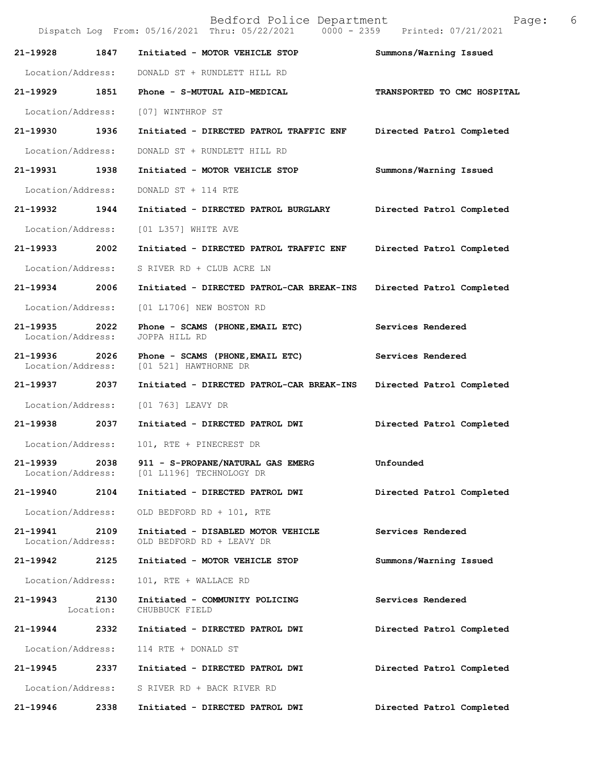|                               |                   | Bedford Police Department<br>Dispatch Log From: 05/16/2021 Thru: 05/22/2021   0000 - 2359   Printed: 07/21/2021 | Page:                       | 6 |
|-------------------------------|-------------------|-----------------------------------------------------------------------------------------------------------------|-----------------------------|---|
| 21-19928                      | 1847              | Initiated - MOTOR VEHICLE STOP                                                                                  | Summons/Warning Issued      |   |
| Location/Address:             |                   | DONALD ST + RUNDLETT HILL RD                                                                                    |                             |   |
| 21-19929                      | 1851              | Phone - S-MUTUAL AID-MEDICAL                                                                                    | TRANSPORTED TO CMC HOSPITAL |   |
| Location/Address:             |                   | [07] WINTHROP ST                                                                                                |                             |   |
| 21-19930 1936                 |                   | Initiated - DIRECTED PATROL TRAFFIC ENF                                                                         | Directed Patrol Completed   |   |
| Location/Address:             |                   | DONALD ST + RUNDLETT HILL RD                                                                                    |                             |   |
| 21-19931                      | 1938              | Initiated - MOTOR VEHICLE STOP                                                                                  | Summons/Warning Issued      |   |
| Location/Address:             |                   | DONALD ST + 114 RTE                                                                                             |                             |   |
| 21-19932                      | 1944              | Initiated - DIRECTED PATROL BURGLARY                                                                            | Directed Patrol Completed   |   |
| Location/Address:             |                   | [01 L357] WHITE AVE                                                                                             |                             |   |
| 21-19933                      | 2002              | Initiated - DIRECTED PATROL TRAFFIC ENF                                                                         | Directed Patrol Completed   |   |
| Location/Address:             |                   | S RIVER RD + CLUB ACRE LN                                                                                       |                             |   |
| 21-19934 2006                 |                   | Initiated - DIRECTED PATROL-CAR BREAK-INS                                                                       | Directed Patrol Completed   |   |
| Location/Address:             |                   | [01 L1706] NEW BOSTON RD                                                                                        |                             |   |
| 21-19935<br>Location/Address: | 2022              | Phone - SCAMS (PHONE, EMAIL ETC)<br>JOPPA HILL RD                                                               | Services Rendered           |   |
| 21-19936<br>Location/Address: | 2026              | Phone - SCAMS (PHONE, EMAIL ETC)<br>[01 521] HAWTHORNE DR                                                       | Services Rendered           |   |
| 21-19937                      | 2037              | Initiated - DIRECTED PATROL-CAR BREAK-INS                                                                       | Directed Patrol Completed   |   |
| Location/Address:             |                   | [01 763] LEAVY DR                                                                                               |                             |   |
| 21-19938                      | 2037              | Initiated - DIRECTED PATROL DWI                                                                                 | Directed Patrol Completed   |   |
| Location/Address:             |                   | 101, RTE + PINECREST DR                                                                                         |                             |   |
| 21-19939                      | 2038              | 911 - S-PROPANE/NATURAL GAS EMERG<br>Location/Address: [01 L1196] TECHNOLOGY DR                                 | Unfounded                   |   |
| 21-19940                      | 2104              | Initiated - DIRECTED PATROL DWI                                                                                 | Directed Patrol Completed   |   |
| Location/Address:             |                   | OLD BEDFORD RD + 101, RTE                                                                                       |                             |   |
| 21-19941<br>Location/Address: | 2109              | Initiated - DISABLED MOTOR VEHICLE<br>OLD BEDFORD RD + LEAVY DR                                                 | Services Rendered           |   |
| 21-19942                      | 2125              | Initiated - MOTOR VEHICLE STOP                                                                                  | Summons/Warning Issued      |   |
| Location/Address:             |                   | 101, RTE + WALLACE RD                                                                                           |                             |   |
| 21-19943                      | 2130<br>Location: | Initiated - COMMUNITY POLICING<br>CHUBBUCK FIELD                                                                | Services Rendered           |   |
| 21-19944                      | 2332              | Initiated - DIRECTED PATROL DWI                                                                                 | Directed Patrol Completed   |   |
| Location/Address:             |                   | 114 RTE + DONALD ST                                                                                             |                             |   |
| 21-19945                      | 2337              | Initiated - DIRECTED PATROL DWI                                                                                 | Directed Patrol Completed   |   |
| Location/Address:             |                   | S RIVER RD + BACK RIVER RD                                                                                      |                             |   |
| 21-19946                      | 2338              | Initiated - DIRECTED PATROL DWI                                                                                 | Directed Patrol Completed   |   |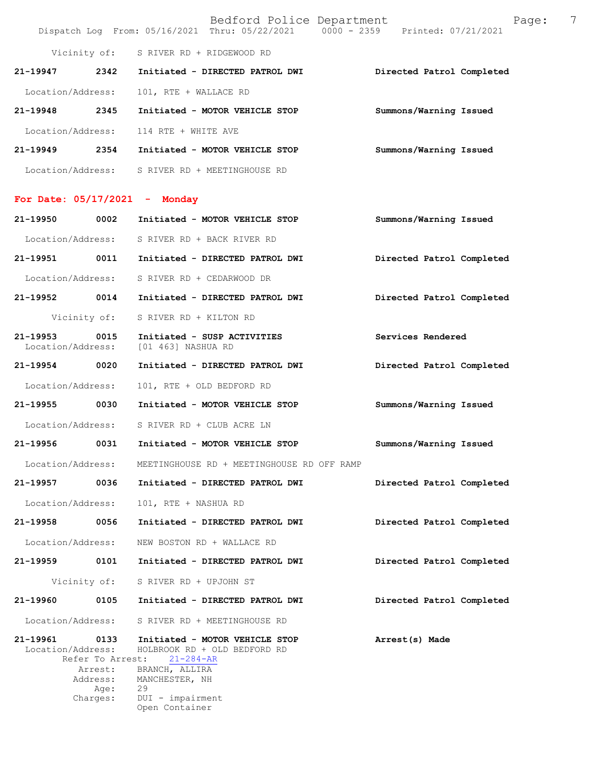|                   | Bedford Police Department       | Page:<br>Dispatch Log From: 05/16/2021 Thru: 05/22/2021 0000 - 2359 Printed: 07/21/2021 | 7 |
|-------------------|---------------------------------|-----------------------------------------------------------------------------------------|---|
| Vicinity of:      | S RIVER RD + RIDGEWOOD RD       |                                                                                         |   |
| 21-19947<br>2342  | Initiated - DIRECTED PATROL DWI | Directed Patrol Completed                                                               |   |
| Location/Address: | 101, RTE + WALLACE RD           |                                                                                         |   |
| 21-19948<br>2345  | Initiated - MOTOR VEHICLE STOP  | Summons/Warning Issued                                                                  |   |
| Location/Address: | 114 RTE + WHITE AVE             |                                                                                         |   |
| 21-19949<br>2354  | Initiated - MOTOR VEHICLE STOP  | Summons/Warning Issued                                                                  |   |
| Location/Address: | S RIVER RD + MEETINGHOUSE RD    |                                                                                         |   |

## **For Date: 05/17/2021 - Monday**

|                                    |          | 21-19950 0002 Initiated - MOTOR VEHICLE STOP                                                                   | Summons/Warning Issued    |  |
|------------------------------------|----------|----------------------------------------------------------------------------------------------------------------|---------------------------|--|
|                                    |          | Location/Address: S RIVER RD + BACK RIVER RD                                                                   |                           |  |
|                                    |          | 21-19951 0011 Initiated - DIRECTED PATROL DWI                                                                  | Directed Patrol Completed |  |
|                                    |          | Location/Address: S RIVER RD + CEDARWOOD DR                                                                    |                           |  |
|                                    |          | 21-19952 0014 Initiated - DIRECTED PATROL DWI                                                                  | Directed Patrol Completed |  |
|                                    |          | Vicinity of: S RIVER RD + KILTON RD                                                                            |                           |  |
| 21-19953 0015<br>Location/Address: |          | Initiated - SUSP ACTIVITIES<br>[01 463] NASHUA RD                                                              | Services Rendered         |  |
| 21-19954 0020                      |          | Initiated - DIRECTED PATROL DWI                                                                                | Directed Patrol Completed |  |
| Location/Address:                  |          | 101, RTE + OLD BEDFORD RD                                                                                      |                           |  |
|                                    |          | 21-19955 0030 Initiated - MOTOR VEHICLE STOP                                                                   | Summons/Warning Issued    |  |
|                                    |          | Location/Address: S RIVER RD + CLUB ACRE LN                                                                    |                           |  |
|                                    |          | 21-19956 0031 Initiated - MOTOR VEHICLE STOP                                                                   | Summons/Warning Issued    |  |
| Location/Address:                  |          | MEETINGHOUSE RD + MEETINGHOUSE RD OFF RAMP                                                                     |                           |  |
|                                    |          | 21-19957 0036 Initiated - DIRECTED PATROL DWI                                                                  | Directed Patrol Completed |  |
| Location/Address:                  |          | 101, RTE + NASHUA RD                                                                                           |                           |  |
|                                    |          | 21-19958 0056 Initiated - DIRECTED PATROL DWI                                                                  | Directed Patrol Completed |  |
|                                    |          | Location/Address: NEW BOSTON RD + WALLACE RD                                                                   |                           |  |
|                                    |          | 21-19959 0101 Initiated - DIRECTED PATROL DWI                                                                  | Directed Patrol Completed |  |
|                                    |          | Vicinity of: S RIVER RD + UPJOHN ST                                                                            |                           |  |
|                                    |          | 21-19960 0105 Initiated - DIRECTED PATROL DWI                                                                  | Directed Patrol Completed |  |
| Location/Address:                  |          | S RIVER RD + MEETINGHOUSE RD                                                                                   |                           |  |
| 21-19961 0133                      |          | Initiated - MOTOR VEHICLE STOP<br>Location/Address: HOLBROOK RD + OLD BEDFORD RD<br>Refer To Arrest: 21-284-AR | Arrest(s) Made            |  |
|                                    | Address: | Arrest: BRANCH, ALLIRA<br>MANCHESTER, NH<br>Age: 29<br>Charges: DUI - impairment<br>Open Container             |                           |  |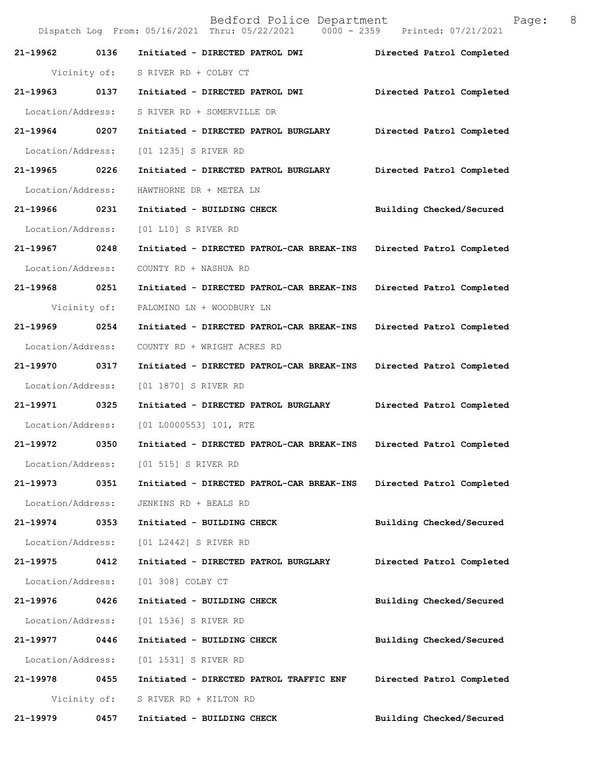Bedford Police Department Page: 8 Dispatch Log From: 05/16/2021 Thru: 05/22/2021 0000 - 2359 **21-19962 0136 Initiated - DIRECTED PATROL DWI Directed Patrol Completed**  Vicinity of: S RIVER RD + COLBY CT **21-19963 0137 Initiated - DIRECTED PATROL DWI Directed Patrol Completed**  Location/Address: S RIVER RD + SOMERVILLE DR **21-19964 0207 Initiated - DIRECTED PATROL BURGLARY Directed Patrol Completed**  Location/Address: [01 1235] S RIVER RD **21-19965 0226 Initiated - DIRECTED PATROL BURGLARY Directed Patrol Completed**  Location/Address: HAWTHORNE DR + METEA LN **21-19966 0231 Initiated - BUILDING CHECK Building Checked/Secured**  Location/Address: [01 L10] S RIVER RD **21-19967 0248 Initiated - DIRECTED PATROL-CAR BREAK-INS Directed Patrol Completed**  Location/Address: COUNTY RD + NASHUA RD **21-19968 0251 Initiated - DIRECTED PATROL-CAR BREAK-INS Directed Patrol Completed**  Vicinity of: PALOMINO LN + WOODBURY LN **21-19969 0254 Initiated - DIRECTED PATROL-CAR BREAK-INS Directed Patrol Completed**  Location/Address: COUNTY RD + WRIGHT ACRES RD **21-19970 0317 Initiated - DIRECTED PATROL-CAR BREAK-INS Directed Patrol Completed**  Location/Address: [01 1870] S RIVER RD **21-19971 0325 Initiated - DIRECTED PATROL BURGLARY Directed Patrol Completed**  Location/Address: [01 L0000553] 101, RTE **21-19972 0350 Initiated - DIRECTED PATROL-CAR BREAK-INS Directed Patrol Completed**  Location/Address: [01 515] S RIVER RD **21-19973 0351 Initiated - DIRECTED PATROL-CAR BREAK-INS Directed Patrol Completed**  Location/Address: JENKINS RD + BEALS RD **21-19974 0353 Initiated - BUILDING CHECK Building Checked/Secured**  Location/Address: [01 L2442] S RIVER RD **21-19975 0412 Initiated - DIRECTED PATROL BURGLARY Directed Patrol Completed**  Location/Address: [01 308] COLBY CT **21-19976 0426 Initiated - BUILDING CHECK Building Checked/Secured**  Location/Address: [01 1536] S RIVER RD **21-19977 0446 Initiated - BUILDING CHECK Building Checked/Secured**  Location/Address: [01 1531] S RIVER RD **21-19978 0455 Initiated - DIRECTED PATROL TRAFFIC ENF Directed Patrol Completed**  Vicinity of: S RIVER RD + KILTON RD **21-19979 0457 Initiated - BUILDING CHECK Building Checked/Secured**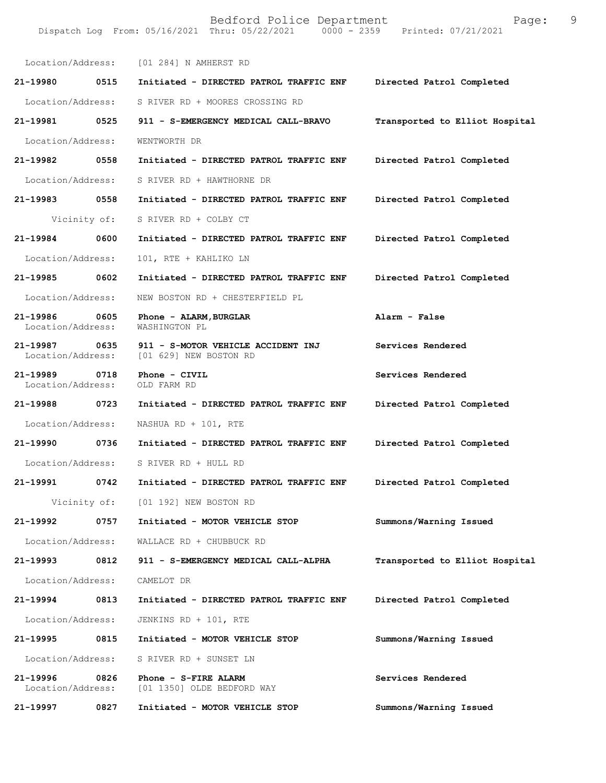| Location/Address:             |              | [01 284] N AMHERST RD                                        |                                |
|-------------------------------|--------------|--------------------------------------------------------------|--------------------------------|
| 21-19980                      | 0515         | Initiated - DIRECTED PATROL TRAFFIC ENF                      | Directed Patrol Completed      |
| Location/Address:             |              | S RIVER RD + MOORES CROSSING RD                              |                                |
| 21-19981                      | 0525         | 911 - S-EMERGENCY MEDICAL CALL-BRAVO                         | Transported to Elliot Hospital |
| Location/Address:             |              | WENTWORTH DR                                                 |                                |
| 21-19982                      | 0558         | Initiated - DIRECTED PATROL TRAFFIC ENF                      | Directed Patrol Completed      |
| Location/Address:             |              | S RIVER RD + HAWTHORNE DR                                    |                                |
| 21-19983                      | 0558         | Initiated - DIRECTED PATROL TRAFFIC ENF                      | Directed Patrol Completed      |
|                               | Vicinity of: | S RIVER RD + COLBY CT                                        |                                |
| 21-19984                      | 0600         | Initiated - DIRECTED PATROL TRAFFIC ENF                      | Directed Patrol Completed      |
| Location/Address:             |              | 101, RTE + KAHLIKO LN                                        |                                |
| 21-19985                      | 0602         | Initiated - DIRECTED PATROL TRAFFIC ENF                      | Directed Patrol Completed      |
| Location/Address:             |              | NEW BOSTON RD + CHESTERFIELD PL                              |                                |
| 21-19986<br>Location/Address: | 0605         | Phone - ALARM, BURGLAR<br>WASHINGTON PL                      | Alarm - False                  |
| 21-19987<br>Location/Address: | 0635         | 911 - S-MOTOR VEHICLE ACCIDENT INJ<br>[01 629] NEW BOSTON RD | Services Rendered              |
| 21-19989<br>Location/Address: | 0718         | Phone - CIVIL<br>OLD FARM RD                                 | Services Rendered              |
| 21-19988                      | 0723         | Initiated - DIRECTED PATROL TRAFFIC ENF                      | Directed Patrol Completed      |
| Location/Address:             |              | NASHUA RD + 101, RTE                                         |                                |
| 21-19990                      | 0736         | Initiated - DIRECTED PATROL TRAFFIC ENF                      | Directed Patrol Completed      |
| Location/Address:             |              | S RIVER RD + HULL RD                                         |                                |
| 21-19991                      | 0742         | Initiated - DIRECTED PATROL TRAFFIC ENF                      | Directed Patrol Completed      |
|                               | Vicinity of: | [01 192] NEW BOSTON RD                                       |                                |
| 21-19992                      | 0757         | Initiated - MOTOR VEHICLE STOP                               | Summons/Warning Issued         |
| Location/Address:             |              | WALLACE RD + CHUBBUCK RD                                     |                                |
| 21-19993                      | 0812         | 911 - S-EMERGENCY MEDICAL CALL-ALPHA                         | Transported to Elliot Hospital |
| Location/Address:             |              | CAMELOT DR                                                   |                                |
| 21-19994                      | 0813         | Initiated - DIRECTED PATROL TRAFFIC ENF                      | Directed Patrol Completed      |
| Location/Address:             |              | JENKINS RD + 101, RTE                                        |                                |
| 21-19995                      | 0815         | Initiated - MOTOR VEHICLE STOP                               | Summons/Warning Issued         |
| Location/Address:             |              | S RIVER RD + SUNSET LN                                       |                                |
| 21-19996<br>Location/Address: | 0826         | Phone - S-FIRE ALARM<br>[01 1350] OLDE BEDFORD WAY           | Services Rendered              |
| 21-19997                      | 0827         | Initiated - MOTOR VEHICLE STOP                               | Summons/Warning Issued         |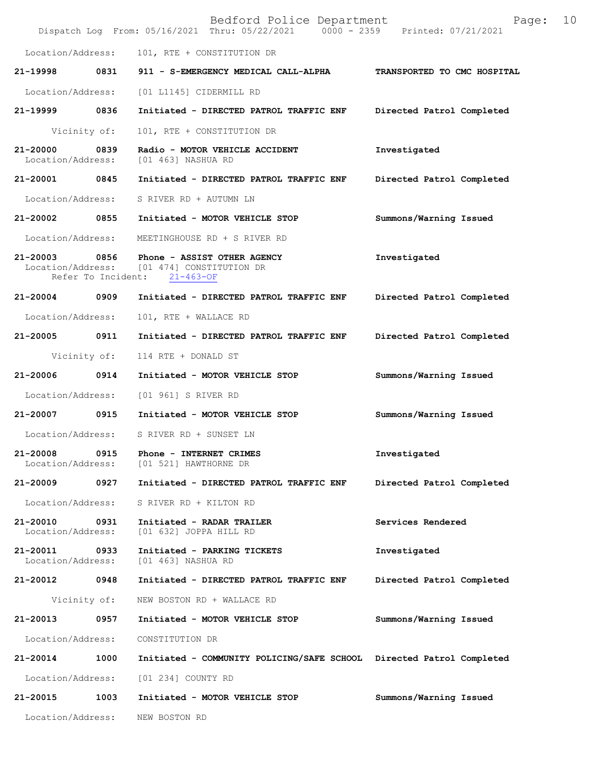|                                    |              | Bedford Police Department<br>Dispatch Log From: 05/16/2021 Thru: 05/22/2021 0000 - 2359 Printed: 07/21/2021 | Page:                       | 10 |
|------------------------------------|--------------|-------------------------------------------------------------------------------------------------------------|-----------------------------|----|
| Location/Address:                  |              | 101, RTE + CONSTITUTION DR                                                                                  |                             |    |
| 21-19998                           | 0831         | 911 - S-EMERGENCY MEDICAL CALL-ALPHA                                                                        | TRANSPORTED TO CMC HOSPITAL |    |
| Location/Address:                  |              | [01 L1145] CIDERMILL RD                                                                                     |                             |    |
| 21-19999 0836                      |              | Initiated - DIRECTED PATROL TRAFFIC ENF                                                                     | Directed Patrol Completed   |    |
| Vicinity of:                       |              | 101, RTE + CONSTITUTION DR                                                                                  |                             |    |
| 21-20000<br>Location/Address:      | 0839         | Radio - MOTOR VEHICLE ACCIDENT<br>[01 463] NASHUA RD                                                        | Investigated                |    |
| 21-20001                           | 0845         | Initiated - DIRECTED PATROL TRAFFIC ENF                                                                     | Directed Patrol Completed   |    |
| Location/Address:                  |              | S RIVER RD + AUTUMN LN                                                                                      |                             |    |
| 21-20002 0855                      |              | Initiated - MOTOR VEHICLE STOP                                                                              | Summons/Warning Issued      |    |
| Location/Address:                  |              | MEETINGHOUSE RD + S RIVER RD                                                                                |                             |    |
| 21-20003 0856<br>Location/Address: |              | Phone - ASSIST OTHER AGENCY<br>[01 474] CONSTITUTION DR<br>Refer To Incident: 21-463-OF                     | Investigated                |    |
| 21-20004                           | 0909         | Initiated - DIRECTED PATROL TRAFFIC ENF                                                                     | Directed Patrol Completed   |    |
| Location/Address:                  |              | 101, RTE + WALLACE RD                                                                                       |                             |    |
| 21-20005 0911                      |              | Initiated - DIRECTED PATROL TRAFFIC ENF                                                                     | Directed Patrol Completed   |    |
|                                    | Vicinity of: | 114 RTE + DONALD ST                                                                                         |                             |    |
| 21-20006                           | 0914         | Initiated - MOTOR VEHICLE STOP                                                                              | Summons/Warning Issued      |    |
| Location/Address:                  |              | [01 961] S RIVER RD                                                                                         |                             |    |
| 21-20007                           | 0915         | Initiated - MOTOR VEHICLE STOP                                                                              | Summons/Warning Issued      |    |
| Location/Address:                  |              | S RIVER RD + SUNSET LN                                                                                      |                             |    |
| 21-20008<br>Location/Address:      | 0915         | Phone - INTERNET CRIMES<br>[01 521] HAWTHORNE DR                                                            | Investigated                |    |
| 21-20009                           | 0927         | Initiated - DIRECTED PATROL TRAFFIC ENF                                                                     | Directed Patrol Completed   |    |
| Location/Address:                  |              | S RIVER RD + KILTON RD                                                                                      |                             |    |
| 21-20010<br>Location/Address:      | 0931         | Initiated - RADAR TRAILER<br>[01 632] JOPPA HILL RD                                                         | Services Rendered           |    |
| 21-20011<br>Location/Address:      | 0933         | Initiated - PARKING TICKETS<br>[01 463] NASHUA RD                                                           | Investigated                |    |
| 21-20012 0948                      |              | Initiated - DIRECTED PATROL TRAFFIC ENF                                                                     | Directed Patrol Completed   |    |
|                                    | Vicinity of: | NEW BOSTON RD + WALLACE RD                                                                                  |                             |    |
| 21-20013                           | 0957         | Initiated - MOTOR VEHICLE STOP                                                                              | Summons/Warning Issued      |    |
| Location/Address:                  |              | CONSTITUTION DR                                                                                             |                             |    |
| 21-20014                           | 1000         | Initiated - COMMUNITY POLICING/SAFE SCHOOL Directed Patrol Completed                                        |                             |    |
| Location/Address:                  |              | [01 234] COUNTY RD                                                                                          |                             |    |
| 21-20015                           | 1003         | Initiated - MOTOR VEHICLE STOP                                                                              | Summons/Warning Issued      |    |
| Location/Address:                  |              | NEW BOSTON RD                                                                                               |                             |    |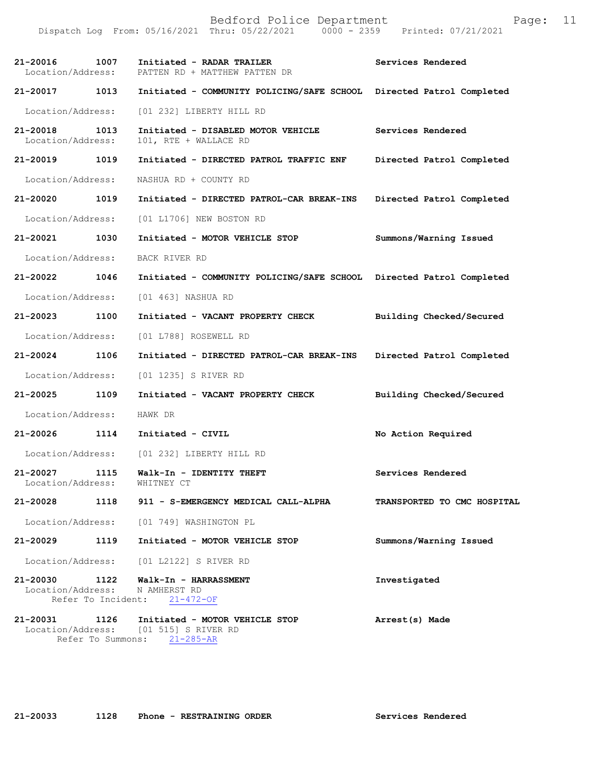Dispatch Log From: 05/16/2021 Thru: 05/22/2021 0000 - 2359 Printed: 07/21/2021 **21-20016 1007 Initiated - RADAR TRAILER Services Rendered**  Location/Address: PATTEN RD + MATTHEW PATTEN DR **21-20017 1013 Initiated - COMMUNITY POLICING/SAFE SCHOOL Directed Patrol Completed**  Location/Address: [01 232] LIBERTY HILL RD **21-20018 1013 Initiated - DISABLED MOTOR VEHICLE Services Rendered**  Location/Address: 101, RTE + WALLACE RD **21-20019 1019 Initiated - DIRECTED PATROL TRAFFIC ENF Directed Patrol Completed**  Location/Address: NASHUA RD + COUNTY RD **21-20020 1019 Initiated - DIRECTED PATROL-CAR BREAK-INS Directed Patrol Completed**  Location/Address: [01 L1706] NEW BOSTON RD **21-20021 1030 Initiated - MOTOR VEHICLE STOP Summons/Warning Issued**  Location/Address: BACK RIVER RD **21-20022 1046 Initiated - COMMUNITY POLICING/SAFE SCHOOL Directed Patrol Completed**  Location/Address: [01 463] NASHUA RD **21-20023 1100 Initiated - VACANT PROPERTY CHECK Building Checked/Secured**  Location/Address: [01 L788] ROSEWELL RD **21-20024 1106 Initiated - DIRECTED PATROL-CAR BREAK-INS Directed Patrol Completed**  Location/Address: [01 1235] S RIVER RD **21-20025 1109 Initiated - VACANT PROPERTY CHECK Building Checked/Secured**  Location/Address: HAWK DR **21-20026 1114 Initiated - CIVIL No Action Required**  Location/Address: [01 232] LIBERTY HILL RD 21-20027 1115 **Walk-In - IDENTITY THEFT Services Rendered Services Rendered Intervallent Services Rendered** Location/Address: **21-20028 1118 911 - S-EMERGENCY MEDICAL CALL-ALPHA TRANSPORTED TO CMC HOSPITAL**  Location/Address: [01 749] WASHINGTON PL **21-20029 1119 Initiated - MOTOR VEHICLE STOP Summons/Warning Issued**  Location/Address: [01 L2122] S RIVER RD **21-20030 1122 Walk-In - HARRASSMENT Investigated**  Location/Address: N AMHERST RD Refer To Incident: 21-472-OF **21-20031 1126 Initiated - MOTOR VEHICLE STOP Arrest(s) Made**  Location/Address: [01 515] S RIVER RD

**21-20033 1128 Phone - RESTRAINING ORDER Services Rendered** 

Refer To Summons: 21-285-AR

Bedford Police Department Form Page: 11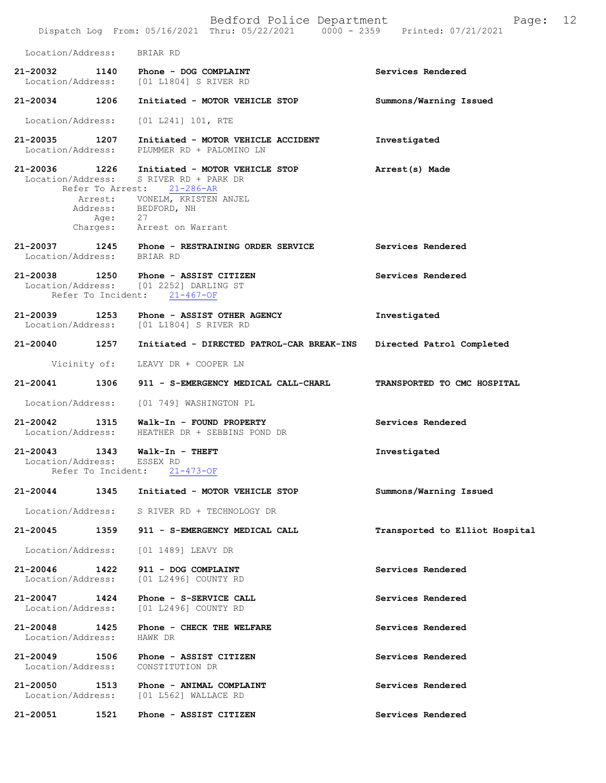|                                    |                            | Bedford Police Department<br>Dispatch Log From: 05/16/2021 Thru: 05/22/2021 0000 - 2359 Printed: 07/21/2021          | Page:                          | 12 |
|------------------------------------|----------------------------|----------------------------------------------------------------------------------------------------------------------|--------------------------------|----|
| Location/Address: BRIAR RD         |                            |                                                                                                                      |                                |    |
|                                    |                            | 21-20032 1140 Phone - DOG COMPLAINT<br>Location/Address: [01 L1804] S RIVER RD                                       | Services Rendered              |    |
|                                    |                            | 21-20034 1206 Initiated - MOTOR VEHICLE STOP                                                                         | Summons/Warning Issued         |    |
| Location/Address:                  |                            | [01 L241] 101, RTE                                                                                                   |                                |    |
| 21-20035 1207                      |                            | Initiated - MOTOR VEHICLE ACCIDENT<br>Location/Address: PLUMMER RD + PALOMINO LN                                     | Investigated                   |    |
|                                    |                            | 21-20036 1226 Initiated - MOTOR VEHICLE STOP<br>Location/Address: S RIVER RD + PARK DR<br>Refer To Arrest: 21-286-AR | Arrest(s) Made                 |    |
|                                    |                            | Arrest: VONELM, KRISTEN ANJEL<br>Address: BEDFORD, NH<br>Age: 27                                                     |                                |    |
|                                    |                            | Charges: Arrest on Warrant                                                                                           |                                |    |
| Location/Address: BRIAR RD         |                            | 21-20037 1245 Phone - RESTRAINING ORDER SERVICE                                                                      | Services Rendered              |    |
|                                    |                            | 21-20038 1250 Phone - ASSIST CITIZEN<br>Location/Address: [01 2252] DARLING ST<br>Refer To Incident: 21-467-OF       | Services Rendered              |    |
|                                    |                            | 21-20039 1253 Phone - ASSIST OTHER AGENCY<br>Location/Address: [01 L1804] S RIVER RD                                 | Investigated                   |    |
|                                    |                            | 21-20040 1257 Initiated - DIRECTED PATROL-CAR BREAK-INS                                                              | Directed Patrol Completed      |    |
|                                    |                            | Vicinity of: LEAVY DR + COOPER LN                                                                                    |                                |    |
|                                    |                            | 21-20041 1306 911 - S-EMERGENCY MEDICAL CALL-CHARL                                                                   | TRANSPORTED TO CMC HOSPITAL    |    |
|                                    |                            | Location/Address: [01 749] WASHINGTON PL                                                                             |                                |    |
|                                    |                            | 21-20042 1315 Walk-In - FOUND PROPERTY<br>Location/Address: HEATHER DR + SEBBINS POND DR                             | Services Rendered              |    |
| 21-20043<br>Location/Address:      | 1343<br>Refer To Incident: | $Walk-In - THEFT$<br>ESSEX RD<br>$21 - 473 - OF$                                                                     | Investigated                   |    |
| 21-20044                           |                            | 1345 Initiated - MOTOR VEHICLE STOP                                                                                  | Summons/Warning Issued         |    |
|                                    |                            | Location/Address: S RIVER RD + TECHNOLOGY DR                                                                         |                                |    |
| 21-20045                           | 1359                       | 911 - S-EMERGENCY MEDICAL CALL                                                                                       | Transported to Elliot Hospital |    |
| Location/Address:                  |                            | [01 1489] LEAVY DR                                                                                                   |                                |    |
| 21-20046<br>Location/Address:      | 1422                       | 911 - DOG COMPLAINT<br>[01 L2496] COUNTY RD                                                                          | Services Rendered              |    |
| 21-20047<br>Location/Address:      | 1424                       | Phone - S-SERVICE CALL<br>[01 L2496] COUNTY RD                                                                       | Services Rendered              |    |
| 21-20048 1425<br>Location/Address: |                            | Phone - CHECK THE WELFARE<br>HAWK DR                                                                                 | Services Rendered              |    |
| $21 - 20049$<br>Location/Address:  | 1506                       | Phone - ASSIST CITIZEN<br>CONSTITUTION DR                                                                            | Services Rendered              |    |
| 21-20050                           | 1513                       | Phone - ANIMAL COMPLAINT<br>Location/Address: [01 L562] WALLACE RD                                                   | Services Rendered              |    |
| 21-20051                           | 1521                       | Phone - ASSIST CITIZEN                                                                                               | Services Rendered              |    |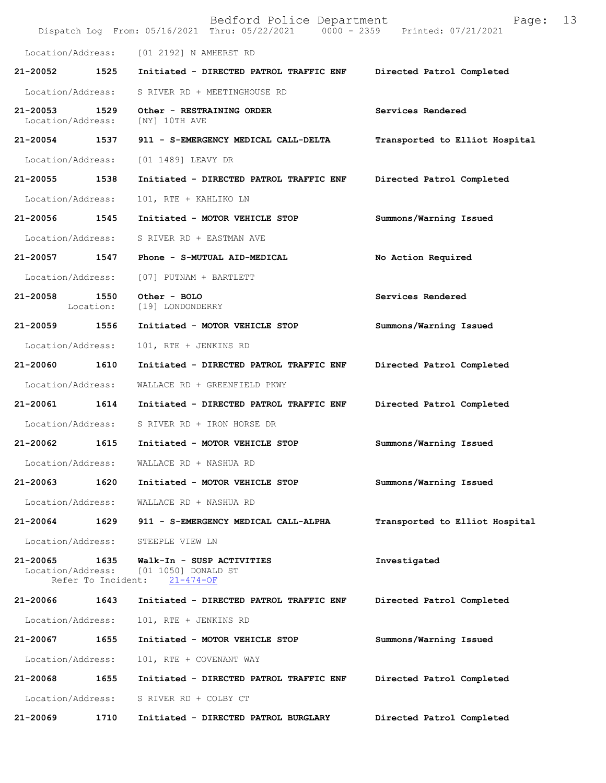|                               |                            | Bedford Police Department<br>Dispatch Log From: 05/16/2021 Thru: 05/22/2021 0000 - 2359 Printed: 07/21/2021 | Page:                          | 13 |
|-------------------------------|----------------------------|-------------------------------------------------------------------------------------------------------------|--------------------------------|----|
|                               |                            | Location/Address: [01 2192] N AMHERST RD                                                                    |                                |    |
| 21-20052 1525                 |                            | Initiated - DIRECTED PATROL TRAFFIC ENF                                                                     | Directed Patrol Completed      |    |
| Location/Address:             |                            | S RIVER RD + MEETINGHOUSE RD                                                                                |                                |    |
| 21-20053<br>Location/Address: | 1529                       | Other - RESTRAINING ORDER<br>[NY] 10TH AVE                                                                  | Services Rendered              |    |
| 21-20054                      | 1537                       | 911 - S-EMERGENCY MEDICAL CALL-DELTA                                                                        | Transported to Elliot Hospital |    |
| Location/Address:             |                            | [01 1489] LEAVY DR                                                                                          |                                |    |
| 21-20055 1538                 |                            | Initiated - DIRECTED PATROL TRAFFIC ENF                                                                     | Directed Patrol Completed      |    |
| Location/Address:             |                            | 101, RTE + KAHLIKO LN                                                                                       |                                |    |
| 21-20056                      | 1545                       | Initiated - MOTOR VEHICLE STOP                                                                              | Summons/Warning Issued         |    |
| Location/Address:             |                            | S RIVER RD + EASTMAN AVE                                                                                    |                                |    |
| 21-20057                      | 1547                       | Phone - S-MUTUAL AID-MEDICAL                                                                                | No Action Required             |    |
| Location/Address:             |                            | [07] PUTNAM + BARTLETT                                                                                      |                                |    |
| 21-20058                      | 1550<br>Location:          | Other - BOLO<br>[19] LONDONDERRY                                                                            | Services Rendered              |    |
| 21-20059                      | 1556                       | Initiated - MOTOR VEHICLE STOP                                                                              | Summons/Warning Issued         |    |
| Location/Address:             |                            | 101, RTE + JENKINS RD                                                                                       |                                |    |
| 21-20060                      | 1610                       | Initiated - DIRECTED PATROL TRAFFIC ENF                                                                     | Directed Patrol Completed      |    |
| Location/Address:             |                            | WALLACE RD + GREENFIELD PKWY                                                                                |                                |    |
| 21-20061                      | 1614                       | Initiated - DIRECTED PATROL TRAFFIC ENF                                                                     | Directed Patrol Completed      |    |
| Location/Address:             |                            | S RIVER RD + IRON HORSE DR                                                                                  |                                |    |
| 21-20062                      | 1615                       | Initiated - MOTOR VEHICLE STOP                                                                              | Summons/Warning Issued         |    |
| Location/Address:             |                            | WALLACE RD + NASHUA RD                                                                                      |                                |    |
| 21-20063                      | 1620                       | Initiated - MOTOR VEHICLE STOP                                                                              | Summons/Warning Issued         |    |
| Location/Address:             |                            | WALLACE RD + NASHUA RD                                                                                      |                                |    |
| 21-20064                      | 1629                       | 911 - S-EMERGENCY MEDICAL CALL-ALPHA                                                                        | Transported to Elliot Hospital |    |
| Location/Address:             |                            | STEEPLE VIEW LN                                                                                             |                                |    |
| 21-20065<br>Location/Address: | 1635<br>Refer To Incident: | Walk-In - SUSP ACTIVITIES<br>[01 1050] DONALD ST<br>$21 - 474 - OF$                                         | Investigated                   |    |
| 21-20066                      | 1643                       | Initiated - DIRECTED PATROL TRAFFIC ENF                                                                     | Directed Patrol Completed      |    |
| Location/Address:             |                            | 101, RTE + JENKINS RD                                                                                       |                                |    |
| 21-20067                      | 1655                       | Initiated - MOTOR VEHICLE STOP                                                                              | Summons/Warning Issued         |    |
| Location/Address:             |                            | 101, RTE + COVENANT WAY                                                                                     |                                |    |
| 21-20068                      | 1655                       | Initiated - DIRECTED PATROL TRAFFIC ENF                                                                     | Directed Patrol Completed      |    |
| Location/Address:             |                            | S RIVER RD + COLBY CT                                                                                       |                                |    |
| 21-20069                      | 1710                       | Initiated - DIRECTED PATROL BURGLARY                                                                        | Directed Patrol Completed      |    |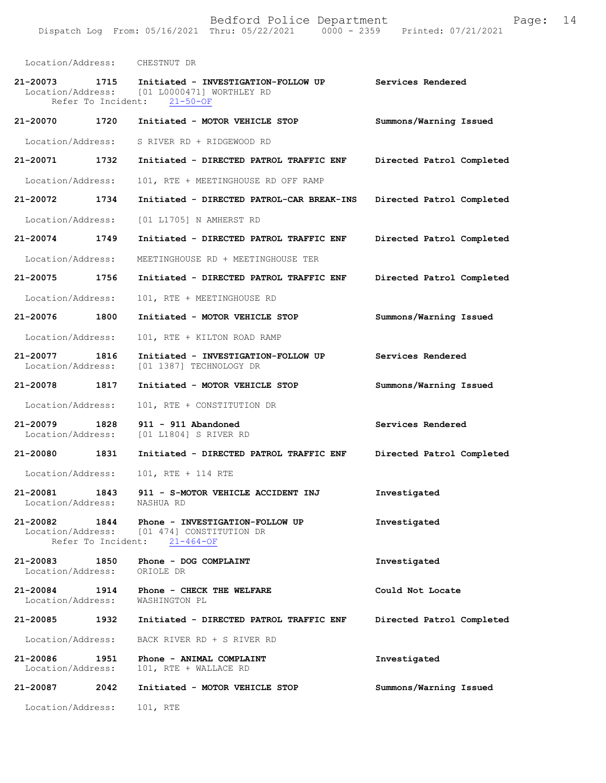| Location/Address:                                   |      | CHESTNUT DR                                                                                          |                           |
|-----------------------------------------------------|------|------------------------------------------------------------------------------------------------------|---------------------------|
| 21-20073<br>1715<br>Refer To Incident:              |      | Initiated - INVESTIGATION-FOLLOW UP<br>Location/Address: [01 L0000471] WORTHLEY RD<br>$21 - 50 - OF$ | Services Rendered         |
| 21-20070 1720                                       |      | Initiated - MOTOR VEHICLE STOP                                                                       | Summons/Warning Issued    |
| Location/Address:                                   |      | S RIVER RD + RIDGEWOOD RD                                                                            |                           |
| 21-20071 1732                                       |      | Initiated - DIRECTED PATROL TRAFFIC ENF                                                              | Directed Patrol Completed |
| Location/Address:                                   |      | 101, RTE + MEETINGHOUSE RD OFF RAMP                                                                  |                           |
| $21 - 20072$                                        | 1734 | Initiated - DIRECTED PATROL-CAR BREAK-INS                                                            | Directed Patrol Completed |
| Location/Address:                                   |      | [01 L1705] N AMHERST RD                                                                              |                           |
| 21-20074 1749                                       |      | Initiated - DIRECTED PATROL TRAFFIC ENF                                                              | Directed Patrol Completed |
| Location/Address:                                   |      | MEETINGHOUSE RD + MEETINGHOUSE TER                                                                   |                           |
| 21-20075 1756                                       |      | Initiated - DIRECTED PATROL TRAFFIC ENF                                                              | Directed Patrol Completed |
| Location/Address:                                   |      | 101, RTE + MEETINGHOUSE RD                                                                           |                           |
| 21-20076                                            | 1800 | Initiated - MOTOR VEHICLE STOP                                                                       | Summons/Warning Issued    |
| Location/Address:                                   |      | 101, RTE + KILTON ROAD RAMP                                                                          |                           |
| 1816<br>21-20077<br>Location/Address:               |      | Initiated - INVESTIGATION-FOLLOW UP<br>[01 1387] TECHNOLOGY DR                                       | Services Rendered         |
| 21-20078 1817                                       |      | Initiated - MOTOR VEHICLE STOP                                                                       | Summons/Warning Issued    |
| Location/Address:                                   |      | 101, RTE + CONSTITUTION DR                                                                           |                           |
| 21-20079<br>1828<br>Location/Address:               |      | 911 - 911 Abandoned<br>[01 L1804] S RIVER RD                                                         | Services Rendered         |
| 21-20080 1831                                       |      | Initiated - DIRECTED PATROL TRAFFIC ENF                                                              | Directed Patrol Completed |
| Location/Address:                                   |      | 101, RTE + 114 RTE                                                                                   |                           |
| 21-20081<br>Location/Address:                       | 1843 | 911 - S-MOTOR VEHICLE ACCIDENT INJ<br>NASHUA RD                                                      | Investigated              |
| 21-20082<br>Location/Address:<br>Refer To Incident: | 1844 | Phone - INVESTIGATION-FOLLOW UP<br>[01 474] CONSTITUTION DR<br>$21 - 464 - OF$                       | Investigated              |
| 21-20083<br>Location/Address:                       | 1850 | Phone - DOG COMPLAINT<br>ORIOLE DR                                                                   | Investigated              |
| 21-20084<br>1914<br>Location/Address:               |      | Phone - CHECK THE WELFARE<br>WASHINGTON PL                                                           | Could Not Locate          |
| 21-20085                                            | 1932 | Initiated - DIRECTED PATROL TRAFFIC ENF                                                              | Directed Patrol Completed |
| Location/Address:                                   |      | BACK RIVER RD + S RIVER RD                                                                           |                           |
| 21-20086<br>1951<br>Location/Address:               |      | Phone - ANIMAL COMPLAINT<br>101, RTE + WALLACE RD                                                    | Investigated              |
| 21-20087                                            | 2042 | Initiated - MOTOR VEHICLE STOP                                                                       | Summons/Warning Issued    |
| Location/Address:                                   |      | 101, RTE                                                                                             |                           |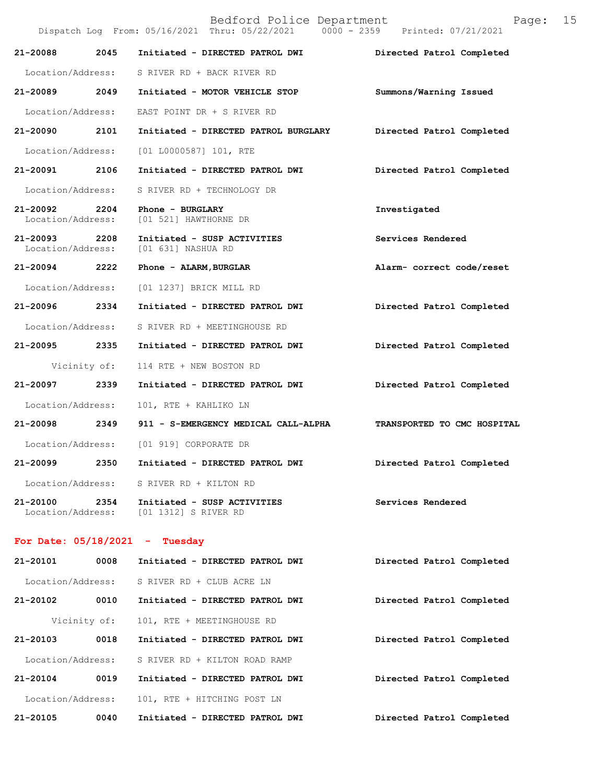|                               |              | Bedford Police Department<br>Dispatch Log From: 05/16/2021 Thru: 05/22/2021 0000 - 2359 Printed: 07/21/2021 | 15<br>Page:                 |
|-------------------------------|--------------|-------------------------------------------------------------------------------------------------------------|-----------------------------|
| 21-20088                      | 2045         | Initiated - DIRECTED PATROL DWI                                                                             | Directed Patrol Completed   |
| Location/Address:             |              | S RIVER RD + BACK RIVER RD                                                                                  |                             |
| 21-20089 2049                 |              | Initiated - MOTOR VEHICLE STOP                                                                              | Summons/Warning Issued      |
| Location/Address:             |              | EAST POINT DR + S RIVER RD                                                                                  |                             |
| 21-20090                      | 2101         | Initiated - DIRECTED PATROL BURGLARY                                                                        | Directed Patrol Completed   |
| Location/Address:             |              | $[01 L0000587] 101$ , RTE                                                                                   |                             |
| 21-20091                      | 2106         | Initiated - DIRECTED PATROL DWI                                                                             | Directed Patrol Completed   |
| Location/Address:             |              | S RIVER RD + TECHNOLOGY DR                                                                                  |                             |
| 21-20092<br>Location/Address: | 2204         | Phone - BURGLARY<br>[01 521] HAWTHORNE DR                                                                   | Investigated                |
| 21-20093<br>Location/Address: | 2208         | Initiated - SUSP ACTIVITIES<br>[01 631] NASHUA RD                                                           | Services Rendered           |
| 21-20094 2222                 |              | Phone - ALARM, BURGLAR                                                                                      | Alarm- correct code/reset   |
| Location/Address:             |              | [01 1237] BRICK MILL RD                                                                                     |                             |
| 21-20096 2334                 |              | Initiated - DIRECTED PATROL DWI                                                                             | Directed Patrol Completed   |
| Location/Address:             |              | S RIVER RD + MEETINGHOUSE RD                                                                                |                             |
| 21-20095                      | 2335         | Initiated - DIRECTED PATROL DWI                                                                             | Directed Patrol Completed   |
|                               | Vicinity of: | 114 RTE + NEW BOSTON RD                                                                                     |                             |
| 21-20097                      | 2339         | Initiated - DIRECTED PATROL DWI                                                                             | Directed Patrol Completed   |
| Location/Address:             |              | 101, RTE + KAHLIKO LN                                                                                       |                             |
| 21-20098 2349                 |              | 911 - S-EMERGENCY MEDICAL CALL-ALPHA                                                                        | TRANSPORTED TO CMC HOSPITAL |
|                               |              | Location/Address: [01 919] CORPORATE DR                                                                     |                             |
| 21-20099                      | 2350         | Initiated - DIRECTED PATROL DWI                                                                             | Directed Patrol Completed   |
| Location/Address:             |              | S RIVER RD + KILTON RD                                                                                      |                             |
| 21-20100<br>Location/Address: | 2354         | Initiated - SUSP ACTIVITIES<br>[01 1312] S RIVER RD                                                         | Services Rendered           |
|                               |              |                                                                                                             |                             |

## **For Date: 05/18/2021 - Tuesday**

| 21-20101          | 0008 | Initiated - DIRECTED PATROL DWI | Directed Patrol Completed |
|-------------------|------|---------------------------------|---------------------------|
| Location/Address: |      | S RIVER RD + CLUB ACRE LN       |                           |
| 21-20102          | 0010 | Initiated - DIRECTED PATROL DWI | Directed Patrol Completed |
| Vicinity of:      |      | 101, RTE + MEETINGHOUSE RD      |                           |
| 21-20103          | 0018 | Initiated - DIRECTED PATROL DWI | Directed Patrol Completed |
| Location/Address: |      | S RIVER RD + KILTON ROAD RAMP   |                           |
| $21 - 20104$      | 0019 | Initiated - DIRECTED PATROL DWI | Directed Patrol Completed |
| Location/Address: |      | 101, RTE + HITCHING POST LN     |                           |
| 21-20105          | 0040 | Initiated - DIRECTED PATROL DWI | Directed Patrol Completed |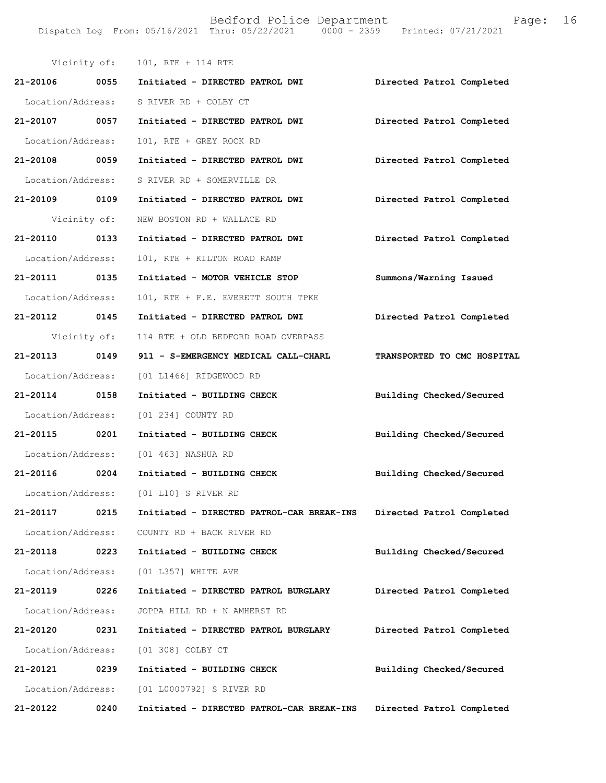| Vicinity of:      |      | 101, RTE + 114 RTE                        |                             |
|-------------------|------|-------------------------------------------|-----------------------------|
| 21-20106 0055     |      | Initiated - DIRECTED PATROL DWI           | Directed Patrol Completed   |
| Location/Address: |      | S RIVER RD + COLBY CT                     |                             |
| 21-20107 0057     |      | Initiated - DIRECTED PATROL DWI           | Directed Patrol Completed   |
| Location/Address: |      | 101, RTE + GREY ROCK RD                   |                             |
| 21-20108 0059     |      | Initiated - DIRECTED PATROL DWI           | Directed Patrol Completed   |
| Location/Address: |      | S RIVER RD + SOMERVILLE DR                |                             |
| 21-20109 0109     |      | Initiated - DIRECTED PATROL DWI           | Directed Patrol Completed   |
| Vicinity of:      |      | NEW BOSTON RD + WALLACE RD                |                             |
| 21-20110 0133     |      | Initiated - DIRECTED PATROL DWI           | Directed Patrol Completed   |
| Location/Address: |      | 101, RTE + KILTON ROAD RAMP               |                             |
| 21-20111 0135     |      | Initiated - MOTOR VEHICLE STOP            | Summons/Warning Issued      |
| Location/Address: |      | 101, RTE + F.E. EVERETT SOUTH TPKE        |                             |
| 21-20112 0145     |      | Initiated - DIRECTED PATROL DWI           | Directed Patrol Completed   |
| Vicinity of:      |      | 114 RTE + OLD BEDFORD ROAD OVERPASS       |                             |
| 21-20113 0149     |      | 911 - S-EMERGENCY MEDICAL CALL-CHARL      | TRANSPORTED TO CMC HOSPITAL |
| Location/Address: |      | [01 L1466] RIDGEWOOD RD                   |                             |
| 21-20114 0158     |      | Initiated - BUILDING CHECK                | Building Checked/Secured    |
| Location/Address: |      | [01 234] COUNTY RD                        |                             |
| 21-20115 0201     |      | Initiated - BUILDING CHECK                | Building Checked/Secured    |
| Location/Address: |      | [01 463] NASHUA RD                        |                             |
| 21-20116 0204     |      | Initiated - BUILDING CHECK                | Building Checked/Secured    |
| Location/Address: |      | $[01 L10]$ S RIVER RD                     |                             |
| 21-20117          | 0215 | Initiated - DIRECTED PATROL-CAR BREAK-INS | Directed Patrol Completed   |
| Location/Address: |      | COUNTY RD + BACK RIVER RD                 |                             |
| 21-20118          | 0223 | Initiated - BUILDING CHECK                | Building Checked/Secured    |
| Location/Address: |      | [01 L357] WHITE AVE                       |                             |
| 21-20119          | 0226 | Initiated - DIRECTED PATROL BURGLARY      | Directed Patrol Completed   |
| Location/Address: |      | JOPPA HILL RD + N AMHERST RD              |                             |
| 21-20120          | 0231 | Initiated - DIRECTED PATROL BURGLARY      | Directed Patrol Completed   |
| Location/Address: |      | [01 308] COLBY CT                         |                             |
| 21-20121          | 0239 | Initiated - BUILDING CHECK                | Building Checked/Secured    |
| Location/Address: |      | [01 L0000792] S RIVER RD                  |                             |
| 21-20122          | 0240 | Initiated - DIRECTED PATROL-CAR BREAK-INS | Directed Patrol Completed   |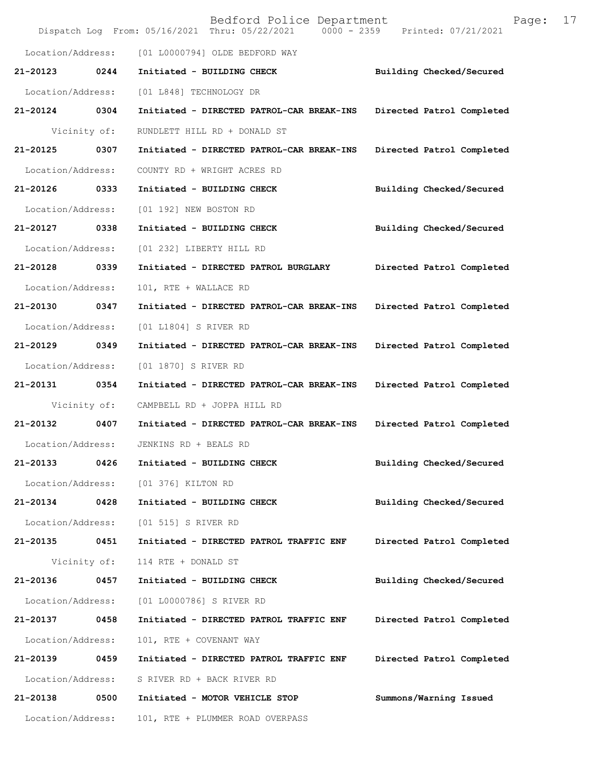|                   |              | Bedford Police Department<br>$0000 - 2359$<br>Dispatch Log From: 05/16/2021 Thru: 05/22/2021 | 17<br>Page:<br>Printed: 07/21/2021 |
|-------------------|--------------|----------------------------------------------------------------------------------------------|------------------------------------|
| Location/Address: |              | [01 L0000794] OLDE BEDFORD WAY                                                               |                                    |
| 21-20123          | 0244         | Initiated - BUILDING CHECK                                                                   | Building Checked/Secured           |
| Location/Address: |              | [01 L848] TECHNOLOGY DR                                                                      |                                    |
| 21-20124          | 0304         | Initiated - DIRECTED PATROL-CAR BREAK-INS                                                    | Directed Patrol Completed          |
|                   | Vicinity of: | RUNDLETT HILL RD + DONALD ST                                                                 |                                    |
| 21-20125          | 0307         | Initiated - DIRECTED PATROL-CAR BREAK-INS                                                    | Directed Patrol Completed          |
| Location/Address: |              | COUNTY RD + WRIGHT ACRES RD                                                                  |                                    |
| 21-20126          | 0333         | Initiated - BUILDING CHECK                                                                   | Building Checked/Secured           |
| Location/Address: |              | [01 192] NEW BOSTON RD                                                                       |                                    |
| 21-20127          | 0338         | Initiated - BUILDING CHECK                                                                   | Building Checked/Secured           |
| Location/Address: |              | [01 232] LIBERTY HILL RD                                                                     |                                    |
| 21-20128          | 0339         | Initiated - DIRECTED PATROL BURGLARY                                                         | Directed Patrol Completed          |
| Location/Address: |              | 101, RTE + WALLACE RD                                                                        |                                    |
| 21-20130          | 0347         | Initiated - DIRECTED PATROL-CAR BREAK-INS                                                    | Directed Patrol Completed          |
| Location/Address: |              | [01 L1804] S RIVER RD                                                                        |                                    |
| 21-20129          | 0349         | Initiated - DIRECTED PATROL-CAR BREAK-INS                                                    | Directed Patrol Completed          |
| Location/Address: |              | [01 1870] S RIVER RD                                                                         |                                    |
| 21-20131          | 0354         | Initiated - DIRECTED PATROL-CAR BREAK-INS                                                    | Directed Patrol Completed          |
|                   | Vicinity of: | CAMPBELL RD + JOPPA HILL RD                                                                  |                                    |
| 21-20132          | 0407         | Initiated - DIRECTED PATROL-CAR BREAK-INS                                                    | Directed Patrol Completed          |
| Location/Address: |              | JENKINS RD + BEALS RD                                                                        |                                    |
| 21-20133          | 0426         | Initiated - BUILDING CHECK                                                                   | Building Checked/Secured           |
| Location/Address: |              | [01 376] KILTON RD                                                                           |                                    |
| 21-20134          | 0428         | Initiated - BUILDING CHECK                                                                   | Building Checked/Secured           |
| Location/Address: |              | [01 515] S RIVER RD                                                                          |                                    |
| 21-20135          | 0451         | Initiated - DIRECTED PATROL TRAFFIC ENF                                                      | Directed Patrol Completed          |
|                   | Vicinity of: | 114 RTE + DONALD ST                                                                          |                                    |
| 21-20136          | 0457         | Initiated - BUILDING CHECK                                                                   | Building Checked/Secured           |
| Location/Address: |              | [01 L0000786] S RIVER RD                                                                     |                                    |
| 21-20137          | 0458         | Initiated - DIRECTED PATROL TRAFFIC ENF                                                      | Directed Patrol Completed          |
| Location/Address: |              | 101, RTE + COVENANT WAY                                                                      |                                    |
| 21-20139          | 0459         | Initiated - DIRECTED PATROL TRAFFIC ENF                                                      | Directed Patrol Completed          |
| Location/Address: |              | S RIVER RD + BACK RIVER RD                                                                   |                                    |
| 21-20138          | 0500         | Initiated - MOTOR VEHICLE STOP                                                               | Summons/Warning Issued             |
| Location/Address: |              | 101, RTE + PLUMMER ROAD OVERPASS                                                             |                                    |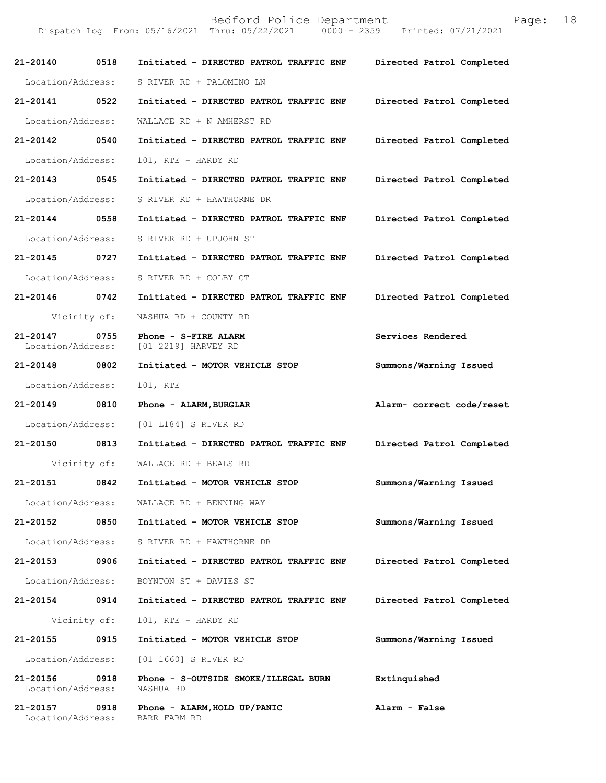| $21 - 20140$                  | 0518 | Initiated - DIRECTED PATROL TRAFFIC ENF           | Directed Patrol Completed |
|-------------------------------|------|---------------------------------------------------|---------------------------|
| Location/Address:             |      | S RIVER RD + PALOMINO LN                          |                           |
| 21-20141                      | 0522 | Initiated - DIRECTED PATROL TRAFFIC ENF           | Directed Patrol Completed |
| Location/Address:             |      | WALLACE RD + N AMHERST RD                         |                           |
| 21-20142                      | 0540 | Initiated - DIRECTED PATROL TRAFFIC ENF           | Directed Patrol Completed |
| Location/Address:             |      | 101, RTE + HARDY RD                               |                           |
| 21-20143 0545                 |      | Initiated - DIRECTED PATROL TRAFFIC ENF           | Directed Patrol Completed |
| Location/Address:             |      | S RIVER RD + HAWTHORNE DR                         |                           |
| 21-20144 0558                 |      | Initiated - DIRECTED PATROL TRAFFIC ENF           | Directed Patrol Completed |
| Location/Address:             |      | S RIVER RD + UPJOHN ST                            |                           |
| $21 - 20145$                  | 0727 | Initiated - DIRECTED PATROL TRAFFIC ENF           | Directed Patrol Completed |
| Location/Address:             |      | S RIVER RD + COLBY CT                             |                           |
| 21-20146 0742                 |      | Initiated - DIRECTED PATROL TRAFFIC ENF           | Directed Patrol Completed |
| Vicinity of:                  |      | NASHUA RD + COUNTY RD                             |                           |
| 21-20147<br>Location/Address: | 0755 | Phone - S-FIRE ALARM<br>[01 2219] HARVEY RD       | Services Rendered         |
| 21-20148                      | 0802 | Initiated - MOTOR VEHICLE STOP                    | Summons/Warning Issued    |
| Location/Address:             |      | 101, RTE                                          |                           |
| 21-20149 0810                 |      | Phone - ALARM, BURGLAR                            | Alarm- correct code/reset |
| Location/Address:             |      | [01 L184] S RIVER RD                              |                           |
| 21-20150                      | 0813 | Initiated - DIRECTED PATROL TRAFFIC ENF           | Directed Patrol Completed |
| Vicinity of:                  |      | WALLACE RD + BEALS RD                             |                           |
| 21-20151                      | 0842 | Initiated - MOTOR VEHICLE STOP                    | Summons/Warning Issued    |
| Location/Address:             |      | WALLACE RD + BENNING WAY                          |                           |
| 21-20152                      | 0850 | Initiated - MOTOR VEHICLE STOP                    | Summons/Warning Issued    |
| Location/Address:             |      | S RIVER RD + HAWTHORNE DR                         |                           |
| 21-20153                      | 0906 | Initiated - DIRECTED PATROL TRAFFIC ENF           | Directed Patrol Completed |
| Location/Address:             |      | BOYNTON ST + DAVIES ST                            |                           |
| 21-20154 0914                 |      | Initiated - DIRECTED PATROL TRAFFIC ENF           | Directed Patrol Completed |
| Vicinity of:                  |      | 101, RTE + HARDY RD                               |                           |
| 21-20155                      | 0915 | Initiated - MOTOR VEHICLE STOP                    | Summons/Warning Issued    |
| Location/Address:             |      | [01 1660] S RIVER RD                              |                           |
| 21-20156<br>Location/Address: | 0918 | Phone - S-OUTSIDE SMOKE/ILLEGAL BURN<br>NASHUA RD | Extinquished              |
| 21-20157<br>Location/Address: | 0918 | Phone - ALARM, HOLD UP/PANIC<br>BARR FARM RD      | Alarm - False             |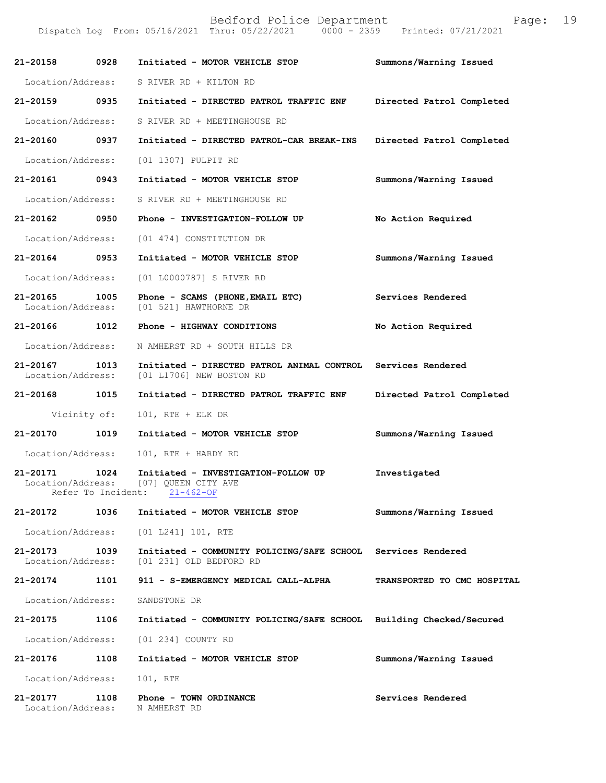| 21-20158                      | 0928                       | Initiated - MOTOR VEHICLE STOP                                                           | Summons/Warning Issued      |
|-------------------------------|----------------------------|------------------------------------------------------------------------------------------|-----------------------------|
| Location/Address:             |                            | S RIVER RD + KILTON RD                                                                   |                             |
| $21 - 20159$                  | 0935                       | Initiated - DIRECTED PATROL TRAFFIC ENF                                                  | Directed Patrol Completed   |
| Location/Address:             |                            | S RIVER RD + MEETINGHOUSE RD                                                             |                             |
| 21-20160                      | 0937                       | Initiated - DIRECTED PATROL-CAR BREAK-INS                                                | Directed Patrol Completed   |
| Location/Address:             |                            | [01 1307] PULPIT RD                                                                      |                             |
| 21-20161 0943                 |                            | Initiated - MOTOR VEHICLE STOP                                                           | Summons/Warning Issued      |
| Location/Address:             |                            | S RIVER RD + MEETINGHOUSE RD                                                             |                             |
| 21-20162                      | 0950                       | Phone - INVESTIGATION-FOLLOW UP                                                          | No Action Required          |
| Location/Address:             |                            | [01 474] CONSTITUTION DR                                                                 |                             |
| 21-20164                      | 0953                       | Initiated - MOTOR VEHICLE STOP                                                           | Summons/Warning Issued      |
| Location/Address:             |                            | [01 L0000787] S RIVER RD                                                                 |                             |
| 21-20165<br>Location/Address: | 1005                       | Phone - SCAMS (PHONE, EMAIL ETC)<br>[01 521] HAWTHORNE DR                                | Services Rendered           |
| 21-20166                      | 1012                       | Phone - HIGHWAY CONDITIONS                                                               | No Action Required          |
| Location/Address:             |                            | N AMHERST RD + SOUTH HILLS DR                                                            |                             |
| 21-20167<br>Location/Address: | 1013                       | Initiated - DIRECTED PATROL ANIMAL CONTROL Services Rendered<br>[01 L1706] NEW BOSTON RD |                             |
| 21-20168                      | 1015                       | Initiated - DIRECTED PATROL TRAFFIC ENF                                                  | Directed Patrol Completed   |
| Vicinity of:                  |                            | $101$ , RTE + ELK DR                                                                     |                             |
| 21-20170                      | 1019                       | Initiated - MOTOR VEHICLE STOP                                                           | Summons/Warning Issued      |
| Location/Address:             |                            | 101, RTE + HARDY RD                                                                      |                             |
| 21-20171<br>Location/Address: | 1024<br>Refer To Incident: | Initiated - INVESTIGATION-FOLLOW UP<br>[07] OUEEN CITY AVE<br>$21 - 462 - OF$            | Investigated                |
| 21-20172                      | 1036                       | Initiated - MOTOR VEHICLE STOP                                                           | Summons/Warning Issued      |
| Location/Address:             |                            | $[01 L241] 101$ , RTE                                                                    |                             |
| 21-20173<br>Location/Address: | 1039                       | Initiated - COMMUNITY POLICING/SAFE SCHOOL Services Rendered<br>[01 231] OLD BEDFORD RD  |                             |
| 21-20174                      | 1101                       | 911 - S-EMERGENCY MEDICAL CALL-ALPHA                                                     | TRANSPORTED TO CMC HOSPITAL |
| Location/Address:             |                            | SANDSTONE DR                                                                             |                             |
| 21-20175                      | 1106                       | Initiated - COMMUNITY POLICING/SAFE SCHOOL Building Checked/Secured                      |                             |
| Location/Address:             |                            | [01 234] COUNTY RD                                                                       |                             |
| 21-20176                      | 1108                       | Initiated - MOTOR VEHICLE STOP                                                           | Summons/Warning Issued      |
| Location/Address:             |                            | 101, RTE                                                                                 |                             |
| 21-20177<br>Location/Address: | 1108                       | Phone - TOWN ORDINANCE<br>N AMHERST RD                                                   | Services Rendered           |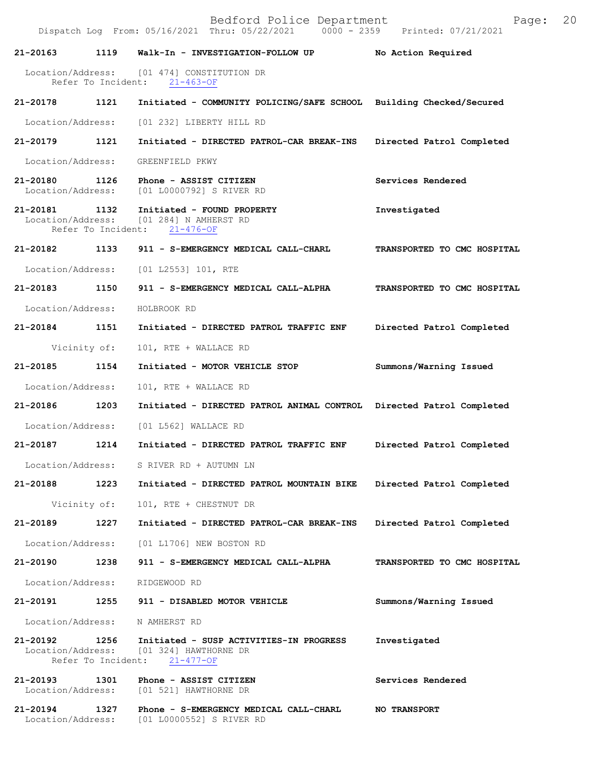Dispatch Log From: 05/16/2021 Thru: 05/22/2021

**21-20163 1119 Walk-In - INVESTIGATION-FOLLOW UP No Action Required**  Location/Address: [01 474] CONSTITUTION DR<br>Refer To Incident: 21-463-OF Refer To Incident: **21-20178 1121 Initiated - COMMUNITY POLICING/SAFE SCHOOL Building Checked/Secured**  Location/Address: [01 232] LIBERTY HILL RD **21-20179 1121 Initiated - DIRECTED PATROL-CAR BREAK-INS Directed Patrol Completed**  Location/Address: GREENFIELD PKWY **21-20180 1126 Phone - ASSIST CITIZEN Services Rendered**  Location/Address: [01 L0000792] S RIVER RD **21-20181 1132 Initiated - FOUND PROPERTY Investigated**  Location/Address: [01 284] N AMHERST RD Refer To Incident: 21-476-OF **21-20182 1133 911 - S-EMERGENCY MEDICAL CALL-CHARL TRANSPORTED TO CMC HOSPITAL**  Location/Address: [01 L2553] 101, RTE **21-20183 1150 911 - S-EMERGENCY MEDICAL CALL-ALPHA TRANSPORTED TO CMC HOSPITAL**  Location/Address: HOLBROOK RD **21-20184 1151 Initiated - DIRECTED PATROL TRAFFIC ENF Directed Patrol Completed**  Vicinity of: 101, RTE + WALLACE RD **21-20185 1154 Initiated - MOTOR VEHICLE STOP Summons/Warning Issued**  Location/Address: 101, RTE + WALLACE RD **21-20186 1203 Initiated - DIRECTED PATROL ANIMAL CONTROL Directed Patrol Completed**  Location/Address: [01 L562] WALLACE RD **21-20187 1214 Initiated - DIRECTED PATROL TRAFFIC ENF Directed Patrol Completed**  Location/Address: S RIVER RD + AUTUMN LN **21-20188 1223 Initiated - DIRECTED PATROL MOUNTAIN BIKE Directed Patrol Completed**  Vicinity of: 101, RTE + CHESTNUT DR **21-20189 1227 Initiated - DIRECTED PATROL-CAR BREAK-INS Directed Patrol Completed**  Location/Address: [01 L1706] NEW BOSTON RD **21-20190 1238 911 - S-EMERGENCY MEDICAL CALL-ALPHA TRANSPORTED TO CMC HOSPITAL**  Location/Address: RIDGEWOOD RD **21-20191 1255 911 - DISABLED MOTOR VEHICLE Summons/Warning Issued**  Location/Address: N AMHERST RD **21-20192 1256 Initiated - SUSP ACTIVITIES-IN PROGRESS Investigated**  Location/Address: [01 324] HAWTHORNE DR<br>Refer To Incident: 21-477-OF Refer To Incident: **21-20193 1301 Phone - ASSIST CITIZEN Services Rendered**  Location/Address: [01 521] HAWTHORNE DR **21-20194 1327 Phone - S-EMERGENCY MEDICAL CALL-CHARL NO TRANSPORT**  Location/Address: [01 L0000552] S RIVER RD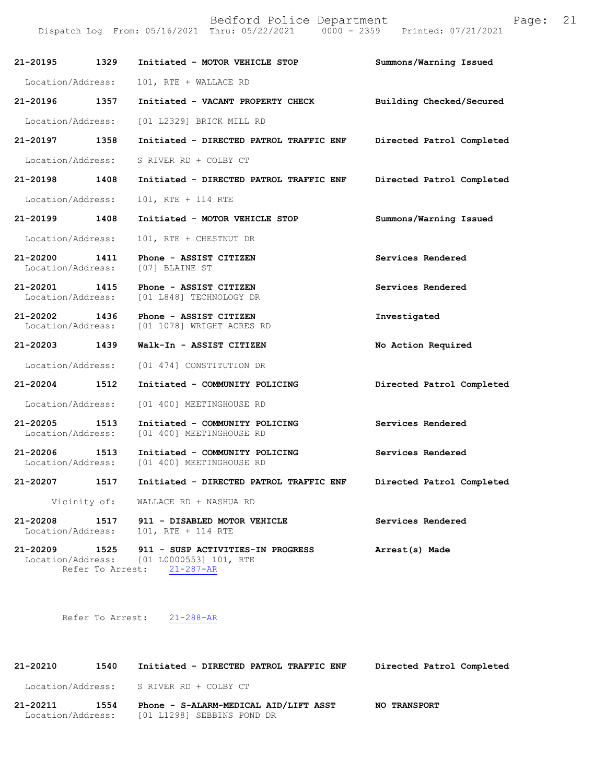Dispatch Log From: 05/16/2021 Thru: 05/22/2021 0000 - 2359 Printed: 07/21/2021

|                                  | 21-20195 1329 Initiated - MOTOR VEHICLE STOP                                                                              | Summons/Warning Issued    |
|----------------------------------|---------------------------------------------------------------------------------------------------------------------------|---------------------------|
| Location/Address:                | 101, RTE + WALLACE RD                                                                                                     |                           |
| 21-20196 1357                    | Initiated - VACANT PROPERTY CHECK                                                                                         | Building Checked/Secured  |
|                                  | Location/Address: [01 L2329] BRICK MILL RD                                                                                |                           |
| 21-20197 1358                    | Initiated - DIRECTED PATROL TRAFFIC ENF Directed Patrol Completed                                                         |                           |
| Location/Address:                | S RIVER RD + COLBY CT                                                                                                     |                           |
| 21-20198 1408                    | Initiated - DIRECTED PATROL TRAFFIC ENF                                                                                   | Directed Patrol Completed |
| Location/Address:                | 101, RTE + 114 RTE                                                                                                        |                           |
| 21-20199 1408                    | Initiated - MOTOR VEHICLE STOP                                                                                            | Summons/Warning Issued    |
| Location/Address:                | 101, RTE + CHESTNUT DR                                                                                                    |                           |
| Location/Address: [07] BLAINE ST | 21-20200 1411 Phone - ASSIST CITIZEN                                                                                      | Services Rendered         |
| 21-20201 1415                    | Phone - ASSIST CITIZEN<br>Location/Address: [01 L848] TECHNOLOGY DR                                                       | Services Rendered         |
|                                  | 21-20202 1436 Phone - ASSIST CITIZEN<br>Location/Address: [01 1078] WRIGHT ACRES RD                                       | Investigated              |
| 21-20203 1439                    | Walk-In - ASSIST CITIZEN                                                                                                  | No Action Required        |
|                                  | Location/Address: [01 474] CONSTITUTION DR                                                                                |                           |
| 21-20204 1512                    | Initiated - COMMUNITY POLICING                                                                                            | Directed Patrol Completed |
| Location/Address:                | [01 400] MEETINGHOUSE RD                                                                                                  |                           |
| 21-20205 1513                    | Initiated - COMMUNITY POLICING<br>Location/Address: [01 400] MEETINGHOUSE RD                                              | Services Rendered         |
| 1513<br>21-20206                 | Initiated - COMMUNITY POLICING<br>Location/Address: [01 400] MEETINGHOUSE RD                                              | Services Rendered         |
| 21-20207<br>1517                 | Initiated - DIRECTED PATROL TRAFFIC ENF                                                                                   | Directed Patrol Completed |
|                                  | Vicinity of: WALLACE RD + NASHUA RD                                                                                       |                           |
|                                  | 21-20208 1517 911 - DISABLED MOTOR VEHICLE<br>Location/Address: 101, RTE + 114 RTE                                        | Services Rendered         |
|                                  | 21-20209 1525 911 - SUSP ACTIVITIES-IN PROGRESS<br>Location/Address: [01 L0000553] 101, RTE<br>Refer To Arrest: 21-287-AR | Arrest(s) Made            |

Refer To Arrest: 21-288-AR

**21-20210 1540 Initiated - DIRECTED PATROL TRAFFIC ENF Directed Patrol Completed**  Location/Address: S RIVER RD + COLBY CT **21-20211 1554 Phone - S-ALARM-MEDICAL AID/LIFT ASST NO TRANSPORT**  Location/Address: [01 L1298] SEBBINS POND DR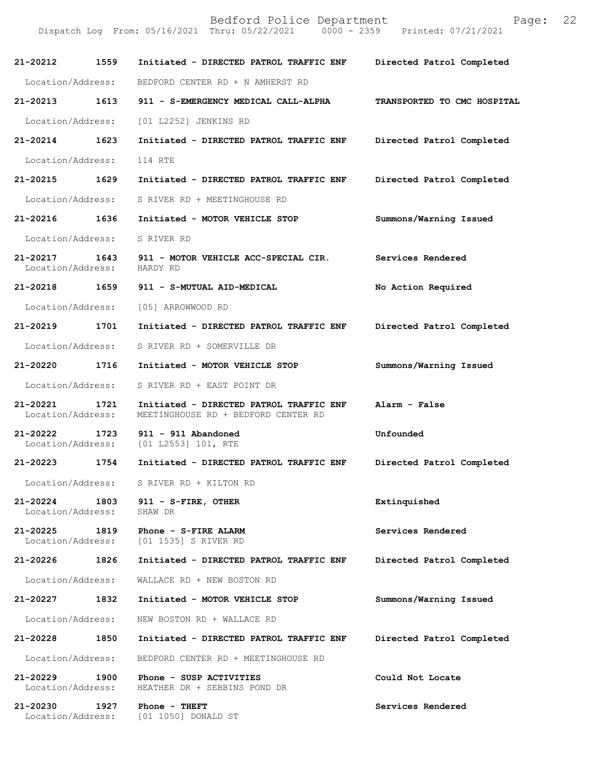| 21-20212 1559                      |      | Initiated - DIRECTED PATROL TRAFFIC ENF Directed Patrol Completed              |                             |
|------------------------------------|------|--------------------------------------------------------------------------------|-----------------------------|
| Location/Address:                  |      | BEDFORD CENTER RD + N AMHERST RD                                               |                             |
| 21-20213 1613                      |      | 911 - S-EMERGENCY MEDICAL CALL-ALPHA                                           | TRANSPORTED TO CMC HOSPITAL |
| Location/Address:                  |      | [01 L2252] JENKINS RD                                                          |                             |
| 21-20214                           | 1623 | Initiated - DIRECTED PATROL TRAFFIC ENF                                        | Directed Patrol Completed   |
| Location/Address:                  |      | 114 RTE                                                                        |                             |
| 21-20215 1629                      |      | Initiated - DIRECTED PATROL TRAFFIC ENF                                        | Directed Patrol Completed   |
| Location/Address:                  |      | S RIVER RD + MEETINGHOUSE RD                                                   |                             |
| 21-20216 1636                      |      | Initiated - MOTOR VEHICLE STOP                                                 | Summons/Warning Issued      |
| Location/Address:                  |      | S RIVER RD                                                                     |                             |
| Location/Address: HARDY RD         |      | 21-20217 1643 911 - MOTOR VEHICLE ACC-SPECIAL CIR.                             | Services Rendered           |
| 21-20218 1659                      |      | 911 - S-MUTUAL AID-MEDICAL                                                     | No Action Required          |
| Location/Address:                  |      | [05] ARROWWOOD RD                                                              |                             |
| 21-20219 1701                      |      | Initiated - DIRECTED PATROL TRAFFIC ENF                                        | Directed Patrol Completed   |
| Location/Address:                  |      | S RIVER RD + SOMERVILLE DR                                                     |                             |
| 21-20220 1716                      |      | Initiated - MOTOR VEHICLE STOP                                                 | Summons/Warning Issued      |
| Location/Address:                  |      | S RIVER RD + EAST POINT DR                                                     |                             |
| 21-20221<br>Location/Address:      | 1721 | Initiated - DIRECTED PATROL TRAFFIC ENF<br>MEETINGHOUSE RD + BEDFORD CENTER RD | Alarm - False               |
| 21-20222 1723<br>Location/Address: |      | $911 - 911$ Abandoned<br>$[01 L2553] 101$ , RTE                                | Unfounded                   |
| 21-20223 1754                      |      | Initiated - DIRECTED PATROL TRAFFIC ENF                                        | Directed Patrol Completed   |
| Location/Address:                  |      | S RIVER RD + KILTON RD                                                         |                             |
| 21-20224<br>Location/Address:      | 1803 | 911 - S-FIRE, OTHER<br>SHAW DR                                                 | Extinquished                |
| 21-20225                           | 1819 | Phone - S-FIRE ALARM<br>Location/Address: [01 1535] S RIVER RD                 | Services Rendered           |
| 21-20226                           | 1826 | Initiated - DIRECTED PATROL TRAFFIC ENF                                        | Directed Patrol Completed   |
| Location/Address:                  |      | WALLACE RD + NEW BOSTON RD                                                     |                             |
| 21-20227                           | 1832 | Initiated - MOTOR VEHICLE STOP                                                 | Summons/Warning Issued      |
| Location/Address:                  |      | NEW BOSTON RD + WALLACE RD                                                     |                             |
| 21-20228                           | 1850 | Initiated - DIRECTED PATROL TRAFFIC ENF                                        | Directed Patrol Completed   |
| Location/Address:                  |      | BEDFORD CENTER RD + MEETINGHOUSE RD                                            |                             |
| 21-20229<br>Location/Address:      | 1900 | Phone - SUSP ACTIVITIES<br>HEATHER DR + SEBBINS POND DR                        | Could Not Locate            |
| 21-20230<br>Location/Address:      | 1927 | Phone - THEFT<br>[01 1050] DONALD ST                                           | Services Rendered           |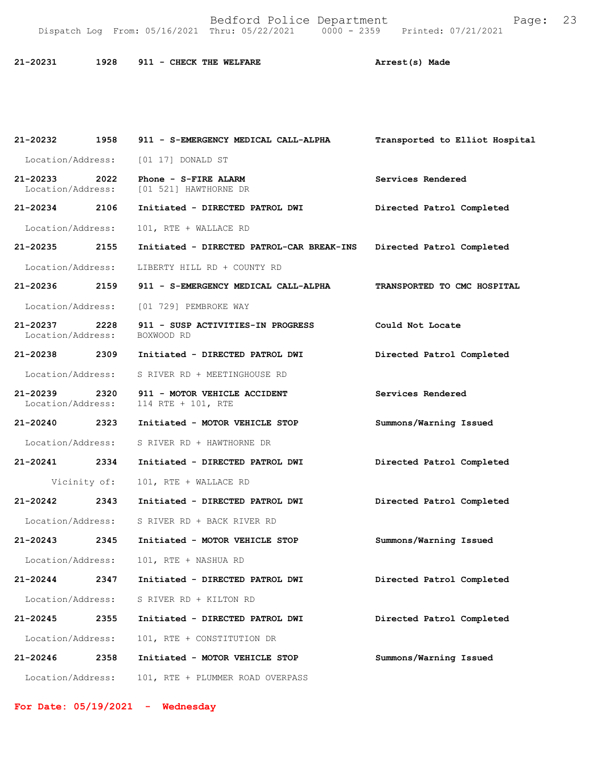Bedford Police Department Page: 23 Dispatch Log From: 05/16/2021 Thru: 05/22/2021

**21-20231 1928 911 - CHECK THE WELFARE Arrest(s) Made** 

**21-20232 1958 911 - S-EMERGENCY MEDICAL CALL-ALPHA Transported to Elliot Hospital** Location/Address: [01 17] DONALD ST **21-20233 2022 Phone - S-FIRE ALARM Services Rendered**  [01 521] HAWTHORNE DR **21-20234 2106 Initiated - DIRECTED PATROL DWI Directed Patrol Completed**  Location/Address: 101, RTE + WALLACE RD **21-20235 2155 Initiated - DIRECTED PATROL-CAR BREAK-INS Directed Patrol Completed**  Location/Address: LIBERTY HILL RD + COUNTY RD **21-20236 2159 911 - S-EMERGENCY MEDICAL CALL-ALPHA TRANSPORTED TO CMC HOSPITAL**  Location/Address: [01 729] PEMBROKE WAY **21-20237 2228 911 - SUSP ACTIVITIES-IN PROGRESS Could Not Locate**  Location/Address: **21-20238 2309 Initiated - DIRECTED PATROL DWI Directed Patrol Completed**  Location/Address: S RIVER RD + MEETINGHOUSE RD **21-20239 2320 911 - MOTOR VEHICLE ACCIDENT Services Rendered**  Location/Address: 114 RTE + 101, RTE **21-20240 2323 Initiated - MOTOR VEHICLE STOP Summons/Warning Issued**  Location/Address: S RIVER RD + HAWTHORNE DR **21-20241 2334 Initiated - DIRECTED PATROL DWI Directed Patrol Completed**  Vicinity of: 101, RTE + WALLACE RD **21-20242 2343 Initiated - DIRECTED PATROL DWI Directed Patrol Completed**  Location/Address: S RIVER RD + BACK RIVER RD **21-20243 2345 Initiated - MOTOR VEHICLE STOP Summons/Warning Issued**  Location/Address: 101, RTE + NASHUA RD **21-20244 2347 Initiated - DIRECTED PATROL DWI Directed Patrol Completed**  Location/Address: S RIVER RD + KILTON RD **21-20245 2355 Initiated - DIRECTED PATROL DWI Directed Patrol Completed**  Location/Address: 101, RTE + CONSTITUTION DR **21-20246 2358 Initiated - MOTOR VEHICLE STOP Summons/Warning Issued**  Location/Address: 101, RTE + PLUMMER ROAD OVERPASS

**For Date: 05/19/2021 - Wednesday**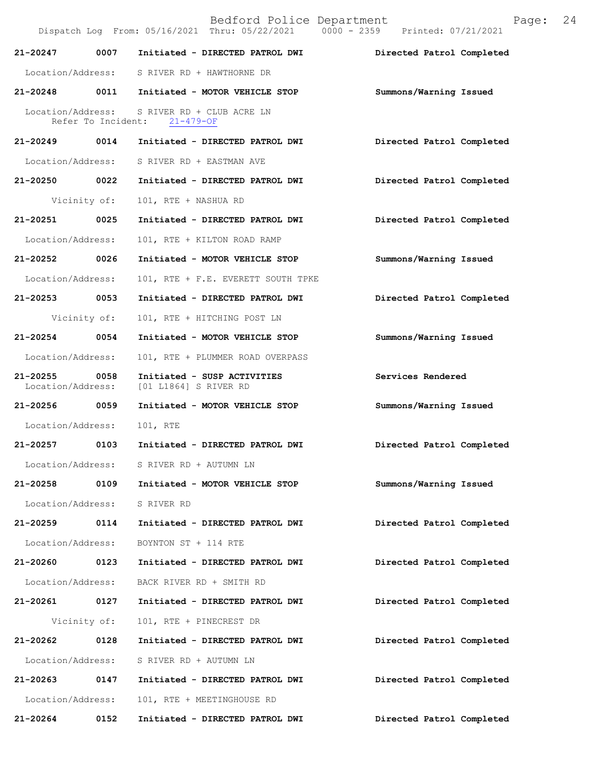Bedford Police Department Page: 24 Dispatch Log From: 05/16/2021 Thru: 05/22/2021 0000 - 2359 **21-20247 0007 Initiated - DIRECTED PATROL DWI Directed Patrol Completed**  Location/Address: S RIVER RD + HAWTHORNE DR **21-20248 0011 Initiated - MOTOR VEHICLE STOP Summons/Warning Issued**  Location/Address: S RIVER RD + CLUB ACRE LN Refer To Incident: 21-479-OF **21-20249 0014 Initiated - DIRECTED PATROL DWI Directed Patrol Completed**  Location/Address: S RIVER RD + EASTMAN AVE **21-20250 0022 Initiated - DIRECTED PATROL DWI Directed Patrol Completed**  Vicinity of: 101, RTE + NASHUA RD **21-20251 0025 Initiated - DIRECTED PATROL DWI Directed Patrol Completed**  Location/Address: 101, RTE + KILTON ROAD RAMP **21-20252 0026 Initiated - MOTOR VEHICLE STOP Summons/Warning Issued**  Location/Address: 101, RTE + F.E. EVERETT SOUTH TPKE **21-20253 0053 Initiated - DIRECTED PATROL DWI Directed Patrol Completed**  Vicinity of: 101, RTE + HITCHING POST LN **21-20254 0054 Initiated - MOTOR VEHICLE STOP Summons/Warning Issued**  Location/Address: 101, RTE + PLUMMER ROAD OVERPASS **21-20255 0058 Initiated - SUSP ACTIVITIES 5 8ervices Rendered** Location/Address: [01 L1864] S RIVER RD [01 L1864] S RIVER RD **21-20256 0059 Initiated - MOTOR VEHICLE STOP Summons/Warning Issued**  Location/Address: 101, RTE **21-20257 0103 Initiated - DIRECTED PATROL DWI Directed Patrol Completed**  Location/Address: S RIVER RD + AUTUMN LN **21-20258 0109 Initiated - MOTOR VEHICLE STOP Summons/Warning Issued**  Location/Address: S RIVER RD **21-20259 0114 Initiated - DIRECTED PATROL DWI Directed Patrol Completed**  Location/Address: BOYNTON ST + 114 RTE **21-20260 0123 Initiated - DIRECTED PATROL DWI Directed Patrol Completed**  Location/Address: BACK RIVER RD + SMITH RD **21-20261 0127 Initiated - DIRECTED PATROL DWI Directed Patrol Completed**  Vicinity of: 101, RTE + PINECREST DR **21-20262 0128 Initiated - DIRECTED PATROL DWI Directed Patrol Completed**  Location/Address: S RIVER RD + AUTUMN LN **21-20263 0147 Initiated - DIRECTED PATROL DWI Directed Patrol Completed**  Location/Address: 101, RTE + MEETINGHOUSE RD **21-20264 0152 Initiated - DIRECTED PATROL DWI Directed Patrol Completed**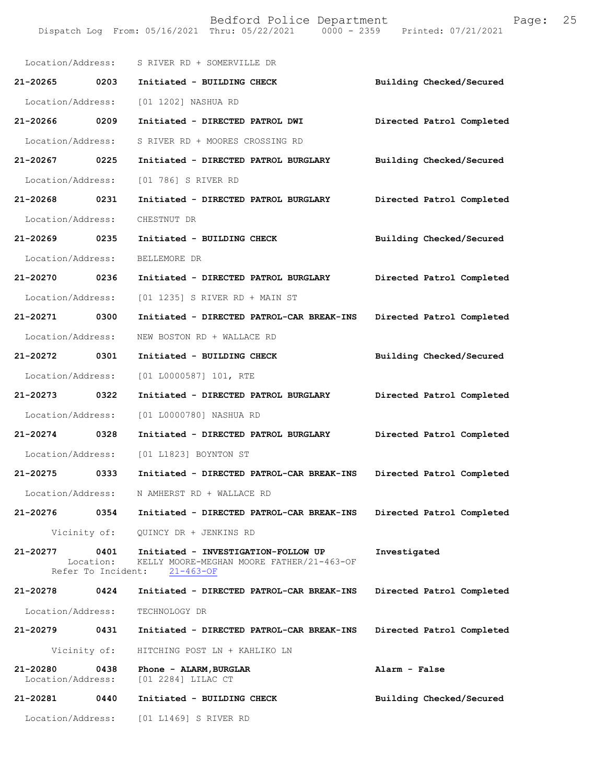|                               |              | Location/Address: S RIVER RD + SOMERVILLE DR                                                                                    |                           |
|-------------------------------|--------------|---------------------------------------------------------------------------------------------------------------------------------|---------------------------|
| 21-20265                      | 0203         | Initiated - BUILDING CHECK                                                                                                      | Building Checked/Secured  |
| Location/Address:             |              | [01 1202] NASHUA RD                                                                                                             |                           |
| 21-20266 0209                 |              | Initiated - DIRECTED PATROL DWI                                                                                                 | Directed Patrol Completed |
| Location/Address:             |              | S RIVER RD + MOORES CROSSING RD                                                                                                 |                           |
| 21-20267 0225                 |              | Initiated - DIRECTED PATROL BURGLARY                                                                                            | Building Checked/Secured  |
| Location/Address:             |              | [01 786] S RIVER RD                                                                                                             |                           |
| 21-20268 0231                 |              | Initiated - DIRECTED PATROL BURGLARY                                                                                            | Directed Patrol Completed |
| Location/Address:             |              | CHESTNUT DR                                                                                                                     |                           |
| 21-20269 0235                 |              | Initiated - BUILDING CHECK                                                                                                      | Building Checked/Secured  |
| Location/Address:             |              | BELLEMORE DR                                                                                                                    |                           |
| 21-20270 0236                 |              | Initiated - DIRECTED PATROL BURGLARY                                                                                            | Directed Patrol Completed |
| Location/Address:             |              | [01 1235] S RIVER RD + MAIN ST                                                                                                  |                           |
| 21-20271 0300                 |              | Initiated - DIRECTED PATROL-CAR BREAK-INS                                                                                       | Directed Patrol Completed |
| Location/Address:             |              | NEW BOSTON RD + WALLACE RD                                                                                                      |                           |
| 21-20272 0301                 |              | Initiated - BUILDING CHECK                                                                                                      | Building Checked/Secured  |
| Location/Address:             |              | [01 L0000587] 101, RTE                                                                                                          |                           |
| 21-20273 0322                 |              | Initiated - DIRECTED PATROL BURGLARY                                                                                            | Directed Patrol Completed |
| Location/Address:             |              | [01 L0000780] NASHUA RD                                                                                                         |                           |
| 21-20274 0328                 |              | Initiated - DIRECTED PATROL BURGLARY                                                                                            | Directed Patrol Completed |
| Location/Address:             |              | [01 L1823] BOYNTON ST                                                                                                           |                           |
| 21-20275                      | 0333         | Initiated - DIRECTED PATROL-CAR BREAK-INS                                                                                       | Directed Patrol Completed |
| Location/Address:             |              | N AMHERST RD + WALLACE RD                                                                                                       |                           |
| 21-20276                      |              | 0354 Initiated - DIRECTED PATROL-CAR BREAK-INS                                                                                  | Directed Patrol Completed |
|                               | Vicinity of: | QUINCY DR + JENKINS RD                                                                                                          |                           |
| 21-20277                      |              | 0401 Initiated - INVESTIGATION-FOLLOW UP<br>Location: KELLY MOORE-MEGHAN MOORE FATHER/21-463-OF<br>Refer To Incident: 21-463-OF | Investigated              |
| 21-20278 0424                 |              | Initiated - DIRECTED PATROL-CAR BREAK-INS                                                                                       | Directed Patrol Completed |
| Location/Address:             |              | TECHNOLOGY DR                                                                                                                   |                           |
| 21-20279                      | 0431         | Initiated - DIRECTED PATROL-CAR BREAK-INS                                                                                       | Directed Patrol Completed |
|                               | Vicinity of: | HITCHING POST LN + KAHLIKO LN                                                                                                   |                           |
| 21-20280<br>Location/Address: | 0438         | Phone - ALARM, BURGLAR<br>[01 2284] LILAC CT                                                                                    | Alarm - False             |
| 21-20281 0440                 |              | Initiated - BUILDING CHECK                                                                                                      | Building Checked/Secured  |
|                               |              | Location/Address: [01 L1469] S RIVER RD                                                                                         |                           |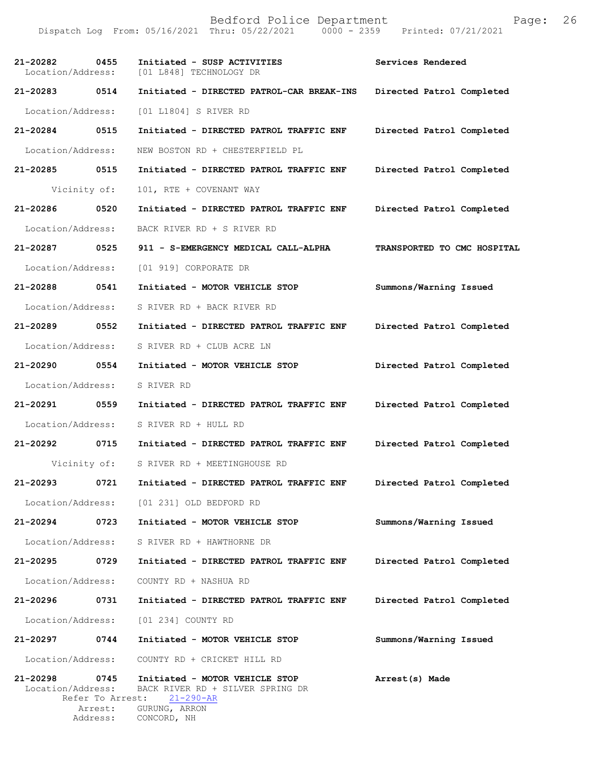Bedford Police Department Page: 26 Dispatch Log From: 05/16/2021 Thru: 05/22/2021 0000 - 2359 **21-20282 0455 Initiated - SUSP ACTIVITIES Services Rendered**  Location/Address: [01 L848] TECHNOLOGY DR **21-20283 0514 Initiated - DIRECTED PATROL-CAR BREAK-INS Directed Patrol Completed**  Location/Address: [01 L1804] S RIVER RD **21-20284 0515 Initiated - DIRECTED PATROL TRAFFIC ENF Directed Patrol Completed**  Location/Address: NEW BOSTON RD + CHESTERFIELD PL **21-20285 0515 Initiated - DIRECTED PATROL TRAFFIC ENF Directed Patrol Completed**  Vicinity of: 101, RTE + COVENANT WAY **21-20286 0520 Initiated - DIRECTED PATROL TRAFFIC ENF Directed Patrol Completed**  Location/Address: BACK RIVER RD + S RIVER RD **21-20287 0525 911 - S-EMERGENCY MEDICAL CALL-ALPHA TRANSPORTED TO CMC HOSPITAL**  Location/Address: [01 919] CORPORATE DR **21-20288 0541 Initiated - MOTOR VEHICLE STOP Summons/Warning Issued**  Location/Address: S RIVER RD + BACK RIVER RD **21-20289 0552 Initiated - DIRECTED PATROL TRAFFIC ENF Directed Patrol Completed**  Location/Address: S RIVER RD + CLUB ACRE LN **21-20290 0554 Initiated - MOTOR VEHICLE STOP Directed Patrol Completed**  Location/Address: S RIVER RD **21-20291 0559 Initiated - DIRECTED PATROL TRAFFIC ENF Directed Patrol Completed**  Location/Address: S RIVER RD + HULL RD **21-20292 0715 Initiated - DIRECTED PATROL TRAFFIC ENF Directed Patrol Completed**  Vicinity of: S RIVER RD + MEETINGHOUSE RD **21-20293 0721 Initiated - DIRECTED PATROL TRAFFIC ENF Directed Patrol Completed**  Location/Address: [01 231] OLD BEDFORD RD **21-20294 0723 Initiated - MOTOR VEHICLE STOP Summons/Warning Issued**  Location/Address: S RIVER RD + HAWTHORNE DR **21-20295 0729 Initiated - DIRECTED PATROL TRAFFIC ENF Directed Patrol Completed**  Location/Address: COUNTY RD + NASHUA RD **21-20296 0731 Initiated - DIRECTED PATROL TRAFFIC ENF Directed Patrol Completed**  Location/Address: [01 234] COUNTY RD

**21-20297 0744 Initiated - MOTOR VEHICLE STOP Summons/Warning Issued**  Location/Address: COUNTY RD + CRICKET HILL RD

**21-20298 0745 Initiated - MOTOR VEHICLE STOP Arrest(s) Made**  Location/Address: BACK RIVER RD + SILVER SPRING DR<br>Refer To Arrest: 21-290-AR Refer To Arrest: Arrest: GURUNG, ARRON<br>Address: CONCORD, NH CONCORD, NH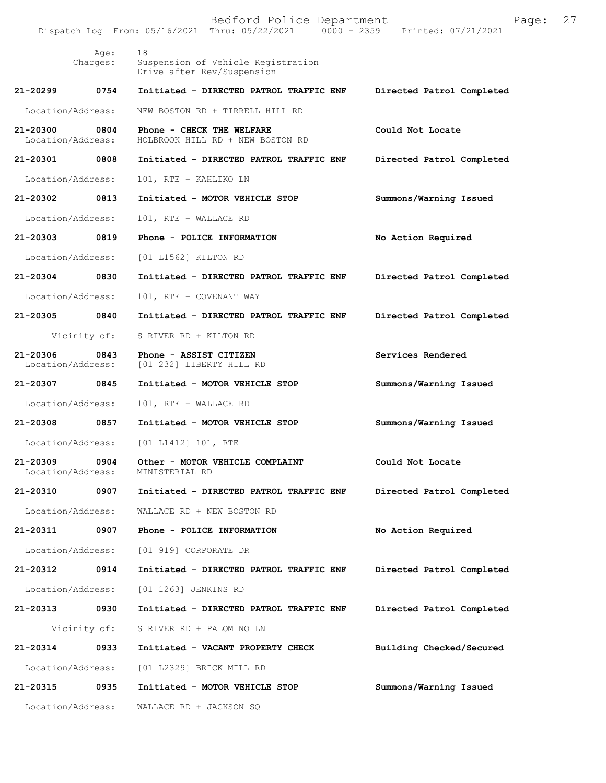Bedford Police Department Page: 27 Dispatch Log From: 05/16/2021 Thru: 05/22/2021 Age: 18 Charges: Suspension of Vehicle Registration Drive after Rev/Suspension **21-20299 0754 Initiated - DIRECTED PATROL TRAFFIC ENF Directed Patrol Completed**  Location/Address: NEW BOSTON RD + TIRRELL HILL RD **21-20300 0804 Phone - CHECK THE WELFARE COULD Not Locate Could Not Locate Location/Address:** HOLBROOK HILL RD + NEW BOSTON RD Location/Address: HOLBROOK HILL RD + NEW BOSTON RD **21-20301 0808 Initiated - DIRECTED PATROL TRAFFIC ENF Directed Patrol Completed**  Location/Address: 101, RTE + KAHLIKO LN **21-20302 0813 Initiated - MOTOR VEHICLE STOP Summons/Warning Issued**  Location/Address: 101, RTE + WALLACE RD **21-20303 0819 Phone - POLICE INFORMATION No Action Required**  Location/Address: [01 L1562] KILTON RD **21-20304 0830 Initiated - DIRECTED PATROL TRAFFIC ENF Directed Patrol Completed**  Location/Address: 101, RTE + COVENANT WAY **21-20305 0840 Initiated - DIRECTED PATROL TRAFFIC ENF Directed Patrol Completed**  Vicinity of: S RIVER RD + KILTON RD **21-20306 0843 Phone - ASSIST CITIZEN Services Rendered**  Location/Address: [01 232] LIBERTY HILL RD **21-20307 0845 Initiated - MOTOR VEHICLE STOP Summons/Warning Issued**  Location/Address: 101, RTE + WALLACE RD **21-20308 0857 Initiated - MOTOR VEHICLE STOP Summons/Warning Issued**  Location/Address: [01 L1412] 101, RTE **21-20309 0904 Other - MOTOR VEHICLE COMPLAINT Could Not Locate**  Location/Address: **21-20310 0907 Initiated - DIRECTED PATROL TRAFFIC ENF Directed Patrol Completed**  Location/Address: WALLACE RD + NEW BOSTON RD **21-20311 0907 Phone - POLICE INFORMATION No Action Required**  Location/Address: [01 919] CORPORATE DR **21-20312 0914 Initiated - DIRECTED PATROL TRAFFIC ENF Directed Patrol Completed**  Location/Address: [01 1263] JENKINS RD **21-20313 0930 Initiated - DIRECTED PATROL TRAFFIC ENF Directed Patrol Completed**  Vicinity of: S RIVER RD + PALOMINO LN **21-20314 0933 Initiated - VACANT PROPERTY CHECK Building Checked/Secured**  Location/Address: [01 L2329] BRICK MILL RD **21-20315 0935 Initiated - MOTOR VEHICLE STOP Summons/Warning Issued**  Location/Address: WALLACE RD + JACKSON SQ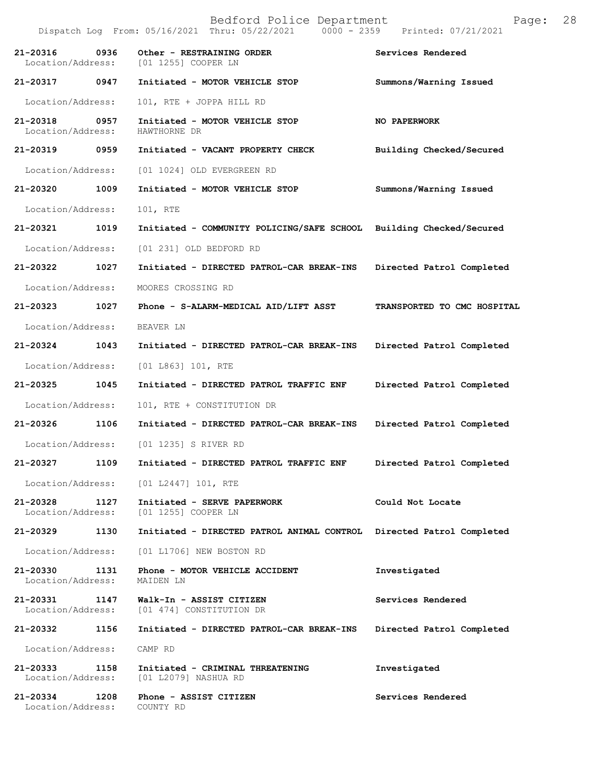Bedford Police Department Page: 28 Dispatch Log From: 05/16/2021 Thru: 05/22/2021 **21-20316** 0936 Other - RESTRAINING ORDER Services Rendered Location/Address: [01 1255] COOPER LN [01 1255] COOPER LN **21-20317 0947 Initiated - MOTOR VEHICLE STOP Summons/Warning Issued**  Location/Address: 101, RTE + JOPPA HILL RD **21-20318 0957 Initiated - MOTOR VEHICLE STOP NO PAPERWORK**  Location/Address: **21-20319 0959 Initiated - VACANT PROPERTY CHECK Building Checked/Secured**  Location/Address: [01 1024] OLD EVERGREEN RD **21-20320 1009 Initiated - MOTOR VEHICLE STOP Summons/Warning Issued**  Location/Address: 101, RTE **21-20321 1019 Initiated - COMMUNITY POLICING/SAFE SCHOOL Building Checked/Secured**  Location/Address: [01 231] OLD BEDFORD RD **21-20322 1027 Initiated - DIRECTED PATROL-CAR BREAK-INS Directed Patrol Completed**  Location/Address: MOORES CROSSING RD **21-20323 1027 Phone - S-ALARM-MEDICAL AID/LIFT ASST TRANSPORTED TO CMC HOSPITAL**  Location/Address: BEAVER LN **21-20324 1043 Initiated - DIRECTED PATROL-CAR BREAK-INS Directed Patrol Completed**  Location/Address: [01 L863] 101, RTE **21-20325 1045 Initiated - DIRECTED PATROL TRAFFIC ENF Directed Patrol Completed**  Location/Address: 101, RTE + CONSTITUTION DR **21-20326 1106 Initiated - DIRECTED PATROL-CAR BREAK-INS Directed Patrol Completed**  Location/Address: [01 1235] S RIVER RD **21-20327 1109 Initiated - DIRECTED PATROL TRAFFIC ENF Directed Patrol Completed**  Location/Address: [01 L2447] 101, RTE **21-20328 1127 Initiated - SERVE PAPERWORK Could Not Locate**  Location/Address: [01 1255] COOPER LN **21-20329 1130 Initiated - DIRECTED PATROL ANIMAL CONTROL Directed Patrol Completed**  Location/Address: [01 L1706] NEW BOSTON RD **21-20330 1131 Phone - MOTOR VEHICLE ACCIDENT Investigated**  Location/Address: MAIDEN LN **21-20331 1147 Walk-In - ASSIST CITIZEN Services Rendered**  Location/Address: [01 474] CONSTITUTION DR **21-20332 1156 Initiated - DIRECTED PATROL-CAR BREAK-INS Directed Patrol Completed**  Location/Address: CAMP RD **21-20333 1158 Initiated - CRIMINAL THREATENING Investigated**  Location/Address: [01 L2079] NASHUA RD **21-20334 1208 Phone - ASSIST CITIZEN Services Rendered**  Location/Address: COUNTY RD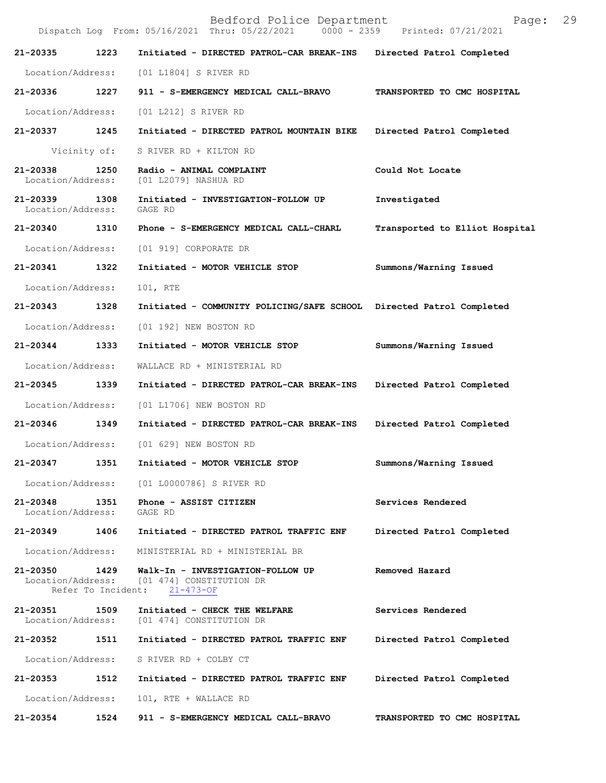|                               |                            | Bedford Police Department<br>Dispatch Log From: 05/16/2021 Thru: 05/22/2021      | Page:<br>0000 - 2359 Printed: 07/21/2021 | 29 |
|-------------------------------|----------------------------|----------------------------------------------------------------------------------|------------------------------------------|----|
| 21-20335                      | 1223                       | Initiated - DIRECTED PATROL-CAR BREAK-INS                                        | Directed Patrol Completed                |    |
| Location/Address:             |                            | [01 L1804] S RIVER RD                                                            |                                          |    |
| 21-20336                      | 1227                       | 911 - S-EMERGENCY MEDICAL CALL-BRAVO                                             | TRANSPORTED TO CMC HOSPITAL              |    |
| Location/Address:             |                            | [01 L212] S RIVER RD                                                             |                                          |    |
| 21-20337                      | 1245                       | Initiated - DIRECTED PATROL MOUNTAIN BIKE                                        | Directed Patrol Completed                |    |
|                               | Vicinity of:               | S RIVER RD + KILTON RD                                                           |                                          |    |
| 21-20338<br>Location/Address: | 1250                       | Radio - ANIMAL COMPLAINT<br>[01 L2079] NASHUA RD                                 | Could Not Locate                         |    |
| 21-20339<br>Location/Address: | 1308                       | Initiated - INVESTIGATION-FOLLOW UP<br>GAGE RD                                   | Investigated                             |    |
| 21-20340                      | 1310                       | Phone - S-EMERGENCY MEDICAL CALL-CHARL                                           | Transported to Elliot Hospital           |    |
| Location/Address:             |                            | [01 919] CORPORATE DR                                                            |                                          |    |
| $21 - 20341$                  | 1322                       | Initiated - MOTOR VEHICLE STOP                                                   | Summons/Warning Issued                   |    |
| Location/Address:             |                            | 101, RTE                                                                         |                                          |    |
| 21-20343                      | 1328                       | Initiated - COMMUNITY POLICING/SAFE SCHOOL Directed Patrol Completed             |                                          |    |
| Location/Address:             |                            | [01 192] NEW BOSTON RD                                                           |                                          |    |
| 21-20344                      | 1333                       | Initiated - MOTOR VEHICLE STOP                                                   | Summons/Warning Issued                   |    |
| Location/Address:             |                            | WALLACE RD + MINISTERIAL RD                                                      |                                          |    |
| 21-20345                      | 1339                       | Initiated - DIRECTED PATROL-CAR BREAK-INS                                        | Directed Patrol Completed                |    |
| Location/Address:             |                            | [01 L1706] NEW BOSTON RD                                                         |                                          |    |
| 21-20346                      | 1349                       | Initiated - DIRECTED PATROL-CAR BREAK-INS                                        | Directed Patrol Completed                |    |
| Location/Address:             |                            | [01 629] NEW BOSTON RD                                                           |                                          |    |
| 21-20347                      | 1351                       | Initiated - MOTOR VEHICLE STOP                                                   | Summons/Warning Issued                   |    |
| Location/Address:             |                            | [01 L0000786] S RIVER RD                                                         |                                          |    |
| 21-20348<br>Location/Address: | 1351                       | Phone - ASSIST CITIZEN<br>GAGE RD                                                | Services Rendered                        |    |
| 21-20349                      | 1406                       | Initiated - DIRECTED PATROL TRAFFIC ENF                                          | Directed Patrol Completed                |    |
| Location/Address:             |                            | MINISTERIAL RD + MINISTERIAL BR                                                  |                                          |    |
| 21-20350<br>Location/Address: | 1429<br>Refer To Incident: | Walk-In - INVESTIGATION-FOLLOW UP<br>[01 474] CONSTITUTION DR<br>$21 - 473 - OF$ | Removed Hazard                           |    |
| 21-20351<br>Location/Address: | 1509                       | Initiated - CHECK THE WELFARE<br>[01 474] CONSTITUTION DR                        | Services Rendered                        |    |
| 21-20352                      | 1511                       | Initiated - DIRECTED PATROL TRAFFIC ENF                                          | Directed Patrol Completed                |    |
| Location/Address:             |                            | S RIVER RD + COLBY CT                                                            |                                          |    |
| 21-20353                      | 1512                       | Initiated - DIRECTED PATROL TRAFFIC ENF                                          | Directed Patrol Completed                |    |
| Location/Address:             |                            | 101, RTE + WALLACE RD                                                            |                                          |    |
| 21-20354                      | 1524                       | 911 - S-EMERGENCY MEDICAL CALL-BRAVO                                             | TRANSPORTED TO CMC HOSPITAL              |    |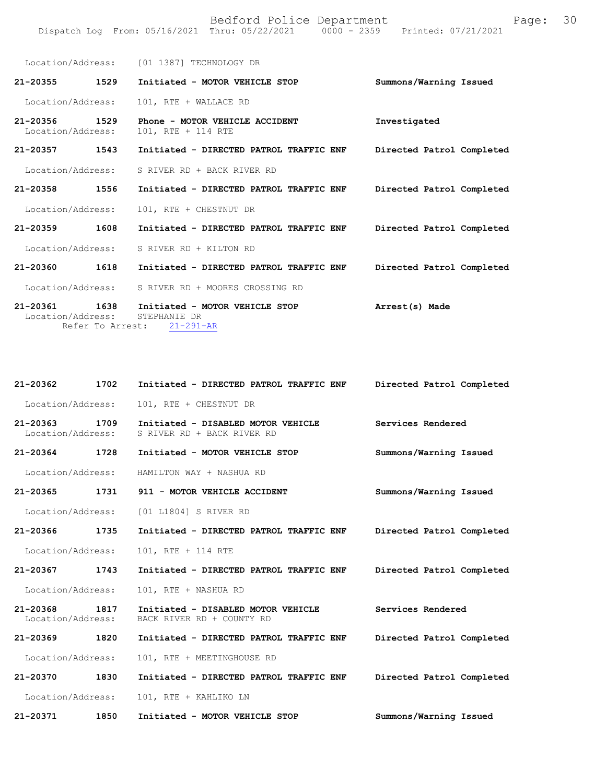|                                   |                          | Location/Address: [01 1387] TECHNOLOGY DR                         |                           |
|-----------------------------------|--------------------------|-------------------------------------------------------------------|---------------------------|
| 21-20355                          | 1529                     | Initiated - MOTOR VEHICLE STOP                                    | Summons/Warning Issued    |
| Location/Address:                 |                          | 101, RTE + WALLACE RD                                             |                           |
| $21 - 20356$<br>Location/Address: | 1529                     | Phone - MOTOR VEHICLE ACCIDENT<br>101, RTE + 114 RTE              | Investigated              |
| 1543<br>21-20357                  |                          | Initiated - DIRECTED PATROL TRAFFIC ENF                           | Directed Patrol Completed |
| Location/Address:                 |                          | S RIVER RD + BACK RIVER RD                                        |                           |
| 21-20358                          | 1556                     | Initiated - DIRECTED PATROL TRAFFIC ENF                           | Directed Patrol Completed |
| Location/Address:                 |                          | 101, RTE + CHESTNUT DR                                            |                           |
| 21-20359                          | 1608                     | Initiated - DIRECTED PATROL TRAFFIC ENF                           | Directed Patrol Completed |
| Location/Address:                 |                          | S RIVER RD + KILTON RD                                            |                           |
| 21-20360                          | 1618                     | Initiated - DIRECTED PATROL TRAFFIC ENF                           | Directed Patrol Completed |
| Location/Address:                 |                          | S RIVER RD + MOORES CROSSING RD                                   |                           |
| 21-20361<br>Location/Address:     | 1638<br>Refer To Arrest: | Initiated - MOTOR VEHICLE STOP<br>STEPHANIE DR<br>$21 - 291 - AR$ | Arrest(s) Made            |

| 21-20362                           | 1702 | Initiated - DIRECTED PATROL TRAFFIC ENF                          | Directed Patrol Completed |
|------------------------------------|------|------------------------------------------------------------------|---------------------------|
| Location/Address:                  |      | 101, RTE + CHESTNUT DR                                           |                           |
| 21-20363 1709<br>Location/Address: |      | Initiated - DISABLED MOTOR VEHICLE<br>S RIVER RD + BACK RIVER RD | Services Rendered         |
| 21-20364 1728                      |      | Initiated - MOTOR VEHICLE STOP                                   | Summons/Warning Issued    |
| Location/Address:                  |      | HAMILTON WAY + NASHUA RD                                         |                           |
| 21-20365                           | 1731 | 911 - MOTOR VEHICLE ACCIDENT                                     | Summons/Warning Issued    |
| Location/Address:                  |      | [01 L1804] S RIVER RD                                            |                           |
| 21-20366 1735                      |      | Initiated - DIRECTED PATROL TRAFFIC ENF                          | Directed Patrol Completed |
| Location/Address:                  |      | 101, RTE + 114 RTE                                               |                           |
| 21-20367 1743                      |      | Initiated - DIRECTED PATROL TRAFFIC ENF                          | Directed Patrol Completed |
| Location/Address:                  |      | 101, RTE + NASHUA RD                                             |                           |
| 21-20368<br>Location/Address:      | 1817 | Initiated - DISABLED MOTOR VEHICLE<br>BACK RIVER RD + COUNTY RD  | Services Rendered         |
| 21-20369                           | 1820 | Initiated - DIRECTED PATROL TRAFFIC ENF                          | Directed Patrol Completed |
| Location/Address:                  |      | 101, RTE + MEETINGHOUSE RD                                       |                           |
| 21-20370                           | 1830 | Initiated - DIRECTED PATROL TRAFFIC ENF                          | Directed Patrol Completed |
| Location/Address:                  |      | 101, RTE + KAHLIKO LN                                            |                           |
| 21-20371                           | 1850 | Initiated - MOTOR VEHICLE STOP                                   | Summons/Warning Issued    |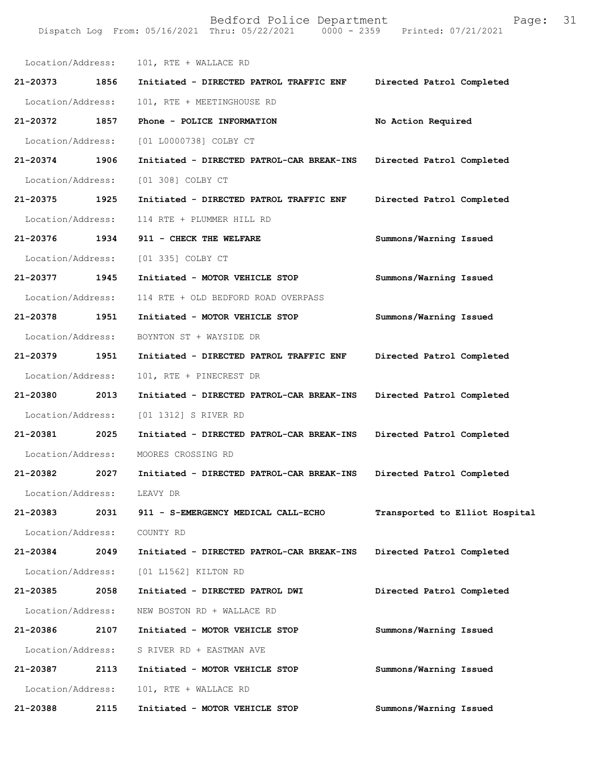| Location/Address:           |      | 101, RTE + WALLACE RD                     |                                |
|-----------------------------|------|-------------------------------------------|--------------------------------|
| 21-20373 1856               |      | Initiated - DIRECTED PATROL TRAFFIC ENF   | Directed Patrol Completed      |
| Location/Address:           |      | 101, RTE + MEETINGHOUSE RD                |                                |
| 21-20372                    | 1857 | Phone - POLICE INFORMATION                | No Action Required             |
| Location/Address:           |      | [01 L0000738] COLBY CT                    |                                |
| 21-20374                    | 1906 | Initiated - DIRECTED PATROL-CAR BREAK-INS | Directed Patrol Completed      |
| Location/Address:           |      | [01 308] COLBY CT                         |                                |
| 21-20375 1925               |      | Initiated - DIRECTED PATROL TRAFFIC ENF   | Directed Patrol Completed      |
| Location/Address:           |      | 114 RTE + PLUMMER HILL RD                 |                                |
| 21-20376 1934               |      | 911 - CHECK THE WELFARE                   | Summons/Warning Issued         |
| Location/Address:           |      | [01 335] COLBY CT                         |                                |
| 21-20377                    | 1945 | Initiated - MOTOR VEHICLE STOP            | Summons/Warning Issued         |
| Location/Address:           |      | 114 RTE + OLD BEDFORD ROAD OVERPASS       |                                |
| 21-20378 1951               |      | Initiated - MOTOR VEHICLE STOP            | Summons/Warning Issued         |
| Location/Address:           |      | BOYNTON ST + WAYSIDE DR                   |                                |
| 21-20379                    | 1951 | Initiated - DIRECTED PATROL TRAFFIC ENF   | Directed Patrol Completed      |
| Location/Address:           |      | 101, RTE + PINECREST DR                   |                                |
| 21-20380                    | 2013 | Initiated - DIRECTED PATROL-CAR BREAK-INS | Directed Patrol Completed      |
| Location/Address:           |      | [01 1312] S RIVER RD                      |                                |
| 21-20381 2025               |      | Initiated - DIRECTED PATROL-CAR BREAK-INS | Directed Patrol Completed      |
| Location/Address:           |      | MOORES CROSSING RD                        |                                |
| 21-20382                    | 2027 | Initiated - DIRECTED PATROL-CAR BREAK-INS | Directed Patrol Completed      |
| Location/Address:           |      | LEAVY DR                                  |                                |
| 21-20383                    | 2031 | 911 - S-EMERGENCY MEDICAL CALL-ECHO       | Transported to Elliot Hospital |
| Location/Address: COUNTY RD |      |                                           |                                |
| 21-20384                    | 2049 | Initiated - DIRECTED PATROL-CAR BREAK-INS | Directed Patrol Completed      |
|                             |      | Location/Address: [01 L1562] KILTON RD    |                                |
| 21-20385                    | 2058 | Initiated - DIRECTED PATROL DWI           | Directed Patrol Completed      |
| Location/Address:           |      | NEW BOSTON RD + WALLACE RD                |                                |
| 21-20386                    | 2107 | Initiated - MOTOR VEHICLE STOP            | Summons/Warning Issued         |
| Location/Address:           |      | S RIVER RD + EASTMAN AVE                  |                                |
| 21-20387                    | 2113 | Initiated - MOTOR VEHICLE STOP            | Summons/Warning Issued         |
| Location/Address:           |      | 101, RTE + WALLACE RD                     |                                |
| 21-20388                    | 2115 | Initiated - MOTOR VEHICLE STOP            | Summons/Warning Issued         |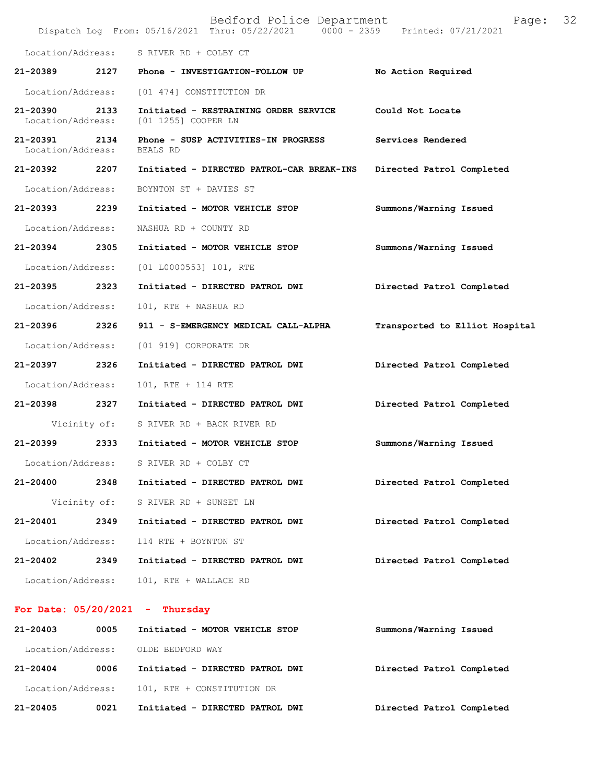|                                    |              | Bedford Police Department<br>Dispatch Log From: 05/16/2021 Thru: 05/22/2021 0000 - 2359 Printed: 07/21/2021 | Page:                          | 32 |
|------------------------------------|--------------|-------------------------------------------------------------------------------------------------------------|--------------------------------|----|
| Location/Address:                  |              | S RIVER RD + COLBY CT                                                                                       |                                |    |
| 21-20389                           | 2127         | Phone - INVESTIGATION-FOLLOW UP                                                                             | No Action Required             |    |
| Location/Address:                  |              | [01 474] CONSTITUTION DR                                                                                    |                                |    |
| 21-20390<br>Location/Address:      | 2133         | Initiated - RESTRAINING ORDER SERVICE<br>[01 1255] COOPER LN                                                | Could Not Locate               |    |
| 21-20391 2134<br>Location/Address: |              | Phone - SUSP ACTIVITIES-IN PROGRESS<br>BEALS RD                                                             | Services Rendered              |    |
| 21-20392                           | 2207         | Initiated - DIRECTED PATROL-CAR BREAK-INS                                                                   | Directed Patrol Completed      |    |
| Location/Address:                  |              | BOYNTON ST + DAVIES ST                                                                                      |                                |    |
| 21-20393 2239                      |              | Initiated - MOTOR VEHICLE STOP                                                                              | Summons/Warning Issued         |    |
| Location/Address:                  |              | NASHUA RD + COUNTY RD                                                                                       |                                |    |
| 21-20394 2305                      |              | Initiated - MOTOR VEHICLE STOP                                                                              | Summons/Warning Issued         |    |
| Location/Address:                  |              | $[01 L0000553] 101$ , RTE                                                                                   |                                |    |
| 21-20395                           | 2323         | Initiated - DIRECTED PATROL DWI                                                                             | Directed Patrol Completed      |    |
| Location/Address:                  |              | 101, RTE + NASHUA RD                                                                                        |                                |    |
| 21-20396                           | 2326         | 911 - S-EMERGENCY MEDICAL CALL-ALPHA                                                                        | Transported to Elliot Hospital |    |
| Location/Address:                  |              | [01 919] CORPORATE DR                                                                                       |                                |    |
| 21-20397 2326                      |              | Initiated - DIRECTED PATROL DWI                                                                             | Directed Patrol Completed      |    |
| Location/Address:                  |              | 101, RTE + 114 RTE                                                                                          |                                |    |
| 21-20398                           | 2327         | Initiated - DIRECTED PATROL DWI                                                                             | Directed Patrol Completed      |    |
|                                    | Vicinity of: | S RIVER RD + BACK RIVER RD                                                                                  |                                |    |
| 21-20399                           | 2333         | Initiated - MOTOR VEHICLE STOP                                                                              | Summons/Warning Issued         |    |
| Location/Address:                  |              | S RIVER RD + COLBY CT                                                                                       |                                |    |
| 21-20400                           | 2348         | Initiated - DIRECTED PATROL DWI                                                                             | Directed Patrol Completed      |    |
|                                    | Vicinity of: | S RIVER RD + SUNSET LN                                                                                      |                                |    |
| 21-20401                           | 2349         | Initiated - DIRECTED PATROL DWI                                                                             | Directed Patrol Completed      |    |
| Location/Address:                  |              | 114 RTE + BOYNTON ST                                                                                        |                                |    |
| 21-20402                           | 2349         | Initiated - DIRECTED PATROL DWI                                                                             | Directed Patrol Completed      |    |
| Location/Address:                  |              | 101, RTE + WALLACE RD                                                                                       |                                |    |
|                                    |              | For Date: $05/20/2021$ - Thursday                                                                           |                                |    |

| Location/Address:<br>$21 - 20405$ | 0021 | 101, RTE + CONSTITUTION DR<br>Initiated - DIRECTED PATROL DWI | Directed Patrol Completed |
|-----------------------------------|------|---------------------------------------------------------------|---------------------------|
| $21 - 20404$                      | 0006 | Initiated - DIRECTED PATROL DWI                               | Directed Patrol Completed |
| Location/Address:                 |      | OLDE BEDFORD WAY                                              |                           |
| $21 - 20403$                      | 0005 | Initiated - MOTOR VEHICLE STOP                                | Summons/Warning Issued    |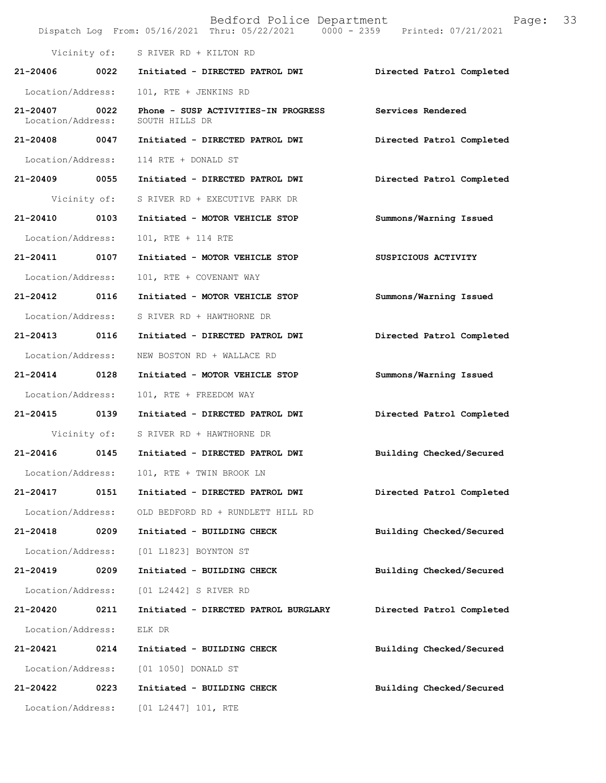|                               |              | Bedford Police Department<br>Dispatch Log From: 05/16/2021 Thru: 05/22/2021 0000 - 2359 Printed: 07/21/2021 | Page:                     | 33 |
|-------------------------------|--------------|-------------------------------------------------------------------------------------------------------------|---------------------------|----|
|                               |              | Vicinity of: S RIVER RD + KILTON RD                                                                         |                           |    |
| $21 - 20406$                  | 0022         | Initiated - DIRECTED PATROL DWI                                                                             | Directed Patrol Completed |    |
| Location/Address:             |              | 101, RTE + JENKINS RD                                                                                       |                           |    |
| 21-20407<br>Location/Address: | 0022         | Phone - SUSP ACTIVITIES-IN PROGRESS<br>SOUTH HILLS DR                                                       | Services Rendered         |    |
| 21-20408 0047                 |              | Initiated - DIRECTED PATROL DWI                                                                             | Directed Patrol Completed |    |
| Location/Address:             |              | 114 RTE + DONALD ST                                                                                         |                           |    |
| 21-20409 0055                 |              | Initiated - DIRECTED PATROL DWI                                                                             | Directed Patrol Completed |    |
|                               | Vicinity of: | S RIVER RD + EXECUTIVE PARK DR                                                                              |                           |    |
| 21-20410                      | 0103         | Initiated - MOTOR VEHICLE STOP                                                                              | Summons/Warning Issued    |    |
| Location/Address:             |              | 101, RTE + 114 RTE                                                                                          |                           |    |
| 21-20411 0107                 |              | Initiated - MOTOR VEHICLE STOP                                                                              | SUSPICIOUS ACTIVITY       |    |
| Location/Address:             |              | 101, RTE + COVENANT WAY                                                                                     |                           |    |
| $21 - 20412$                  | 0116         | Initiated - MOTOR VEHICLE STOP                                                                              | Summons/Warning Issued    |    |
| Location/Address:             |              | S RIVER RD + HAWTHORNE DR                                                                                   |                           |    |
| 21-20413                      | 0116         | Initiated - DIRECTED PATROL DWI                                                                             | Directed Patrol Completed |    |
| Location/Address:             |              | NEW BOSTON RD + WALLACE RD                                                                                  |                           |    |
| 21-20414 0128                 |              | Initiated - MOTOR VEHICLE STOP                                                                              | Summons/Warning Issued    |    |
| Location/Address:             |              | 101, RTE + FREEDOM WAY                                                                                      |                           |    |
| 21-20415 0139                 |              | Initiated - DIRECTED PATROL DWI                                                                             | Directed Patrol Completed |    |
|                               |              | Vicinity of: S RIVER RD + HAWTHORNE DR                                                                      |                           |    |
| 21-20416                      | 0145         | Initiated - DIRECTED PATROL DWI                                                                             | Building Checked/Secured  |    |
| Location/Address:             |              | 101, RTE + TWIN BROOK LN                                                                                    |                           |    |
| 21-20417                      | 0151         | Initiated - DIRECTED PATROL DWI                                                                             | Directed Patrol Completed |    |
| Location/Address:             |              | OLD BEDFORD RD + RUNDLETT HILL RD                                                                           |                           |    |
| 21-20418                      | 0209         | Initiated - BUILDING CHECK                                                                                  | Building Checked/Secured  |    |
| Location/Address:             |              | [01 L1823] BOYNTON ST                                                                                       |                           |    |
| 21-20419                      | 0209         | Initiated - BUILDING CHECK                                                                                  | Building Checked/Secured  |    |
| Location/Address:             |              | [01 L2442] S RIVER RD                                                                                       |                           |    |
| 21-20420                      | 0211         | Initiated - DIRECTED PATROL BURGLARY                                                                        | Directed Patrol Completed |    |
| Location/Address:             |              | ELK DR                                                                                                      |                           |    |
| 21-20421                      | 0214         | Initiated - BUILDING CHECK                                                                                  | Building Checked/Secured  |    |
| Location/Address:             |              | [01 1050] DONALD ST                                                                                         |                           |    |
| 21-20422                      | 0223         | Initiated - BUILDING CHECK                                                                                  | Building Checked/Secured  |    |
| Location/Address:             |              | [01 L2447] 101, RTE                                                                                         |                           |    |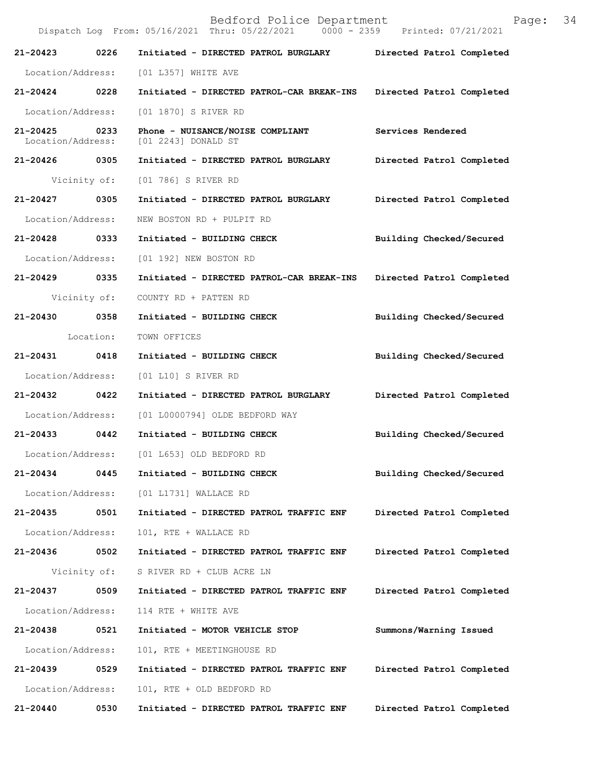Bedford Police Department Page: 34 Dispatch Log From: 05/16/2021 Thru: 05/22/2021 **21-20423 0226 Initiated - DIRECTED PATROL BURGLARY Directed Patrol Completed**  Location/Address: [01 L357] WHITE AVE **21-20424 0228 Initiated - DIRECTED PATROL-CAR BREAK-INS Directed Patrol Completed**  Location/Address: [01 1870] S RIVER RD **21-20425 0233 Phone - NUISANCE/NOISE COMPLIANT Services Rendered**  Location/Address: [01 2243] DONALD ST **21-20426 0305 Initiated - DIRECTED PATROL BURGLARY Directed Patrol Completed**  Vicinity of: [01 786] S RIVER RD **21-20427 0305 Initiated - DIRECTED PATROL BURGLARY Directed Patrol Completed**  Location/Address: NEW BOSTON RD + PULPIT RD **21-20428 0333 Initiated - BUILDING CHECK Building Checked/Secured**  Location/Address: [01 192] NEW BOSTON RD **21-20429 0335 Initiated - DIRECTED PATROL-CAR BREAK-INS Directed Patrol Completed**  Vicinity of: COUNTY RD + PATTEN RD **21-20430 0358 Initiated - BUILDING CHECK Building Checked/Secured**  Location: TOWN OFFICES **21-20431 0418 Initiated - BUILDING CHECK Building Checked/Secured**  Location/Address: [01 L10] S RIVER RD **21-20432 0422 Initiated - DIRECTED PATROL BURGLARY Directed Patrol Completed**  Location/Address: [01 L0000794] OLDE BEDFORD WAY **21-20433 0442 Initiated - BUILDING CHECK Building Checked/Secured**  Location/Address: [01 L653] OLD BEDFORD RD **21-20434 0445 Initiated - BUILDING CHECK Building Checked/Secured**  Location/Address: [01 L1731] WALLACE RD **21-20435 0501 Initiated - DIRECTED PATROL TRAFFIC ENF Directed Patrol Completed**  Location/Address: 101, RTE + WALLACE RD **21-20436 0502 Initiated - DIRECTED PATROL TRAFFIC ENF Directed Patrol Completed**  Vicinity of: S RIVER RD + CLUB ACRE LN **21-20437 0509 Initiated - DIRECTED PATROL TRAFFIC ENF Directed Patrol Completed**  Location/Address: 114 RTE + WHITE AVE **21-20438 0521 Initiated - MOTOR VEHICLE STOP Summons/Warning Issued**  Location/Address: 101, RTE + MEETINGHOUSE RD **21-20439 0529 Initiated - DIRECTED PATROL TRAFFIC ENF Directed Patrol Completed**  Location/Address: 101, RTE + OLD BEDFORD RD **21-20440 0530 Initiated - DIRECTED PATROL TRAFFIC ENF Directed Patrol Completed**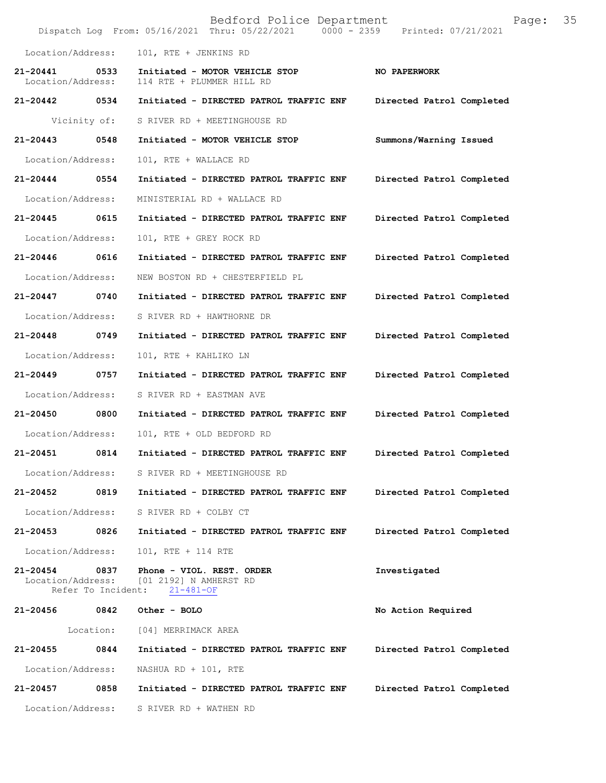|                                   |                            | Bedford Police Department<br>Dispatch Log From: 05/16/2021 Thru: 05/22/2021 0000 - 2359 | Page:<br>Printed: 07/21/2021 | 35 |
|-----------------------------------|----------------------------|-----------------------------------------------------------------------------------------|------------------------------|----|
| Location/Address:                 |                            | 101, RTE + JENKINS RD                                                                   |                              |    |
| $21 - 20441$<br>Location/Address: | 0533                       | Initiated - MOTOR VEHICLE STOP<br>114 RTE + PLUMMER HILL RD                             | NO PAPERWORK                 |    |
| 21-20442 0534                     |                            | Initiated - DIRECTED PATROL TRAFFIC ENF                                                 | Directed Patrol Completed    |    |
|                                   | Vicinity of:               | S RIVER RD + MEETINGHOUSE RD                                                            |                              |    |
| 21-20443                          | 0548                       | Initiated - MOTOR VEHICLE STOP                                                          | Summons/Warning Issued       |    |
| Location/Address:                 |                            | 101, RTE + WALLACE RD                                                                   |                              |    |
| 21-20444                          | 0554                       | Initiated - DIRECTED PATROL TRAFFIC ENF                                                 | Directed Patrol Completed    |    |
| Location/Address:                 |                            | MINISTERIAL RD + WALLACE RD                                                             |                              |    |
| 21-20445                          | 0615                       | Initiated - DIRECTED PATROL TRAFFIC ENF                                                 | Directed Patrol Completed    |    |
| Location/Address:                 |                            | 101, RTE + GREY ROCK RD                                                                 |                              |    |
| 21-20446                          | 0616                       | Initiated - DIRECTED PATROL TRAFFIC ENF                                                 | Directed Patrol Completed    |    |
| Location/Address:                 |                            | NEW BOSTON RD + CHESTERFIELD PL                                                         |                              |    |
| 21-20447                          | 0740                       | Initiated - DIRECTED PATROL TRAFFIC ENF                                                 | Directed Patrol Completed    |    |
| Location/Address:                 |                            | S RIVER RD + HAWTHORNE DR                                                               |                              |    |
| 21-20448                          | 0749                       | Initiated - DIRECTED PATROL TRAFFIC ENF                                                 | Directed Patrol Completed    |    |
| Location/Address:                 |                            | 101, RTE + KAHLIKO LN                                                                   |                              |    |
| 21-20449                          | 0757                       | Initiated - DIRECTED PATROL TRAFFIC ENF                                                 | Directed Patrol Completed    |    |
| Location/Address:                 |                            | S RIVER RD + EASTMAN AVE                                                                |                              |    |
| 21-20450                          | 0800                       | Initiated - DIRECTED PATROL TRAFFIC ENF                                                 | Directed Patrol Completed    |    |
| Location/Address:                 |                            | 101, RTE + OLD BEDFORD RD                                                               |                              |    |
| 21-20451                          | 0814                       | Initiated - DIRECTED PATROL TRAFFIC ENF                                                 | Directed Patrol Completed    |    |
| Location/Address:                 |                            | S RIVER RD + MEETINGHOUSE RD                                                            |                              |    |
| 21-20452                          | 0819                       | Initiated - DIRECTED PATROL TRAFFIC ENF                                                 | Directed Patrol Completed    |    |
| Location/Address:                 |                            | S RIVER RD + COLBY CT                                                                   |                              |    |
| 21-20453                          | 0826                       | Initiated - DIRECTED PATROL TRAFFIC ENF                                                 | Directed Patrol Completed    |    |
| Location/Address:                 |                            | 101, RTE + 114 RTE                                                                      |                              |    |
| 21-20454<br>Location/Address:     | 0837<br>Refer To Incident: | Phone - VIOL. REST. ORDER<br>[01 2192] N AMHERST RD<br>$21 - 481 - OF$                  | Investigated                 |    |
| 21-20456                          | 0842                       | Other - BOLO                                                                            | No Action Required           |    |
|                                   | Location:                  | [04] MERRIMACK AREA                                                                     |                              |    |
| 21-20455                          | 0844                       | Initiated - DIRECTED PATROL TRAFFIC ENF                                                 | Directed Patrol Completed    |    |
| Location/Address:                 |                            | NASHUA RD + $101$ , RTE                                                                 |                              |    |
| 21-20457                          | 0858                       | Initiated - DIRECTED PATROL TRAFFIC ENF                                                 | Directed Patrol Completed    |    |
| Location/Address:                 |                            | S RIVER RD + WATHEN RD                                                                  |                              |    |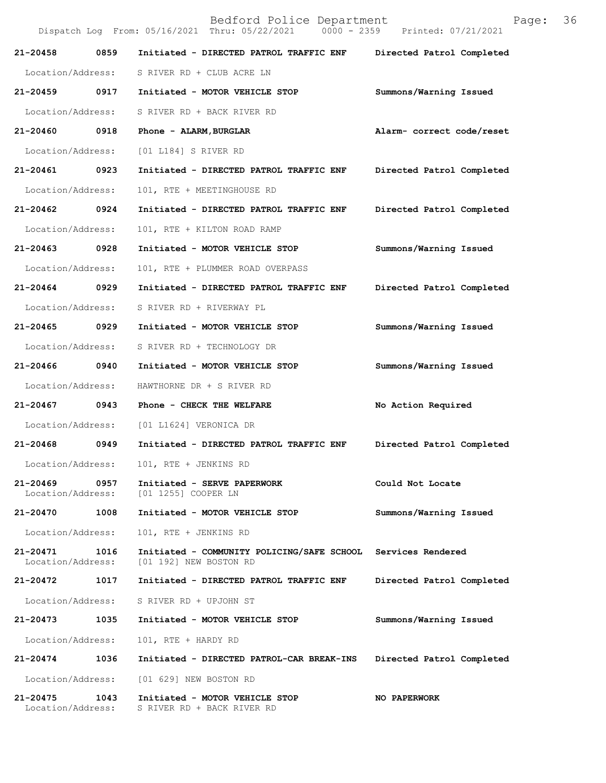|                                    |      | Bedford Police Department<br>Dispatch Log From: 05/16/2021 Thru: 05/22/2021 0000 - 2359 Printed: 07/21/2021 | Page:                     | 36 |
|------------------------------------|------|-------------------------------------------------------------------------------------------------------------|---------------------------|----|
| 21-20458                           | 0859 | Initiated - DIRECTED PATROL TRAFFIC ENF                                                                     | Directed Patrol Completed |    |
| Location/Address:                  |      | S RIVER RD + CLUB ACRE LN                                                                                   |                           |    |
| 21-20459 0917                      |      | Initiated - MOTOR VEHICLE STOP                                                                              | Summons/Warning Issued    |    |
| Location/Address:                  |      | S RIVER RD + BACK RIVER RD                                                                                  |                           |    |
| 21-20460                           | 0918 | Phone - ALARM, BURGLAR                                                                                      | Alarm- correct code/reset |    |
| Location/Address:                  |      | [01 L184] S RIVER RD                                                                                        |                           |    |
| 21-20461                           | 0923 | Initiated - DIRECTED PATROL TRAFFIC ENF                                                                     | Directed Patrol Completed |    |
| Location/Address:                  |      | 101, RTE + MEETINGHOUSE RD                                                                                  |                           |    |
| 21-20462 0924                      |      | Initiated - DIRECTED PATROL TRAFFIC ENF                                                                     | Directed Patrol Completed |    |
| Location/Address:                  |      | 101, RTE + KILTON ROAD RAMP                                                                                 |                           |    |
| 21-20463                           | 0928 | Initiated - MOTOR VEHICLE STOP                                                                              | Summons/Warning Issued    |    |
| Location/Address:                  |      | 101, RTE + PLUMMER ROAD OVERPASS                                                                            |                           |    |
| 21-20464                           | 0929 | Initiated - DIRECTED PATROL TRAFFIC ENF                                                                     | Directed Patrol Completed |    |
| Location/Address:                  |      | S RIVER RD + RIVERWAY PL                                                                                    |                           |    |
| 21-20465 0929                      |      | Initiated - MOTOR VEHICLE STOP                                                                              | Summons/Warning Issued    |    |
| Location/Address:                  |      | S RIVER RD + TECHNOLOGY DR                                                                                  |                           |    |
| 21-20466 0940                      |      | Initiated - MOTOR VEHICLE STOP                                                                              | Summons/Warning Issued    |    |
| Location/Address:                  |      | HAWTHORNE DR + S RIVER RD                                                                                   |                           |    |
| 21-20467                           | 0943 | Phone - CHECK THE WELFARE                                                                                   | No Action Required        |    |
| Location/Address:                  |      | [01 L1624] VERONICA DR                                                                                      |                           |    |
| 21-20468                           | 0949 | Initiated - DIRECTED PATROL TRAFFIC ENF                                                                     | Directed Patrol Completed |    |
| Location/Address:                  |      | 101, RTE + JENKINS RD                                                                                       |                           |    |
| 21-20469<br>Location/Address:      | 0957 | Initiated - SERVE PAPERWORK<br>[01 1255] COOPER LN                                                          | Could Not Locate          |    |
| 21-20470 1008                      |      | Initiated - MOTOR VEHICLE STOP                                                                              | Summons/Warning Issued    |    |
| Location/Address:                  |      | 101, RTE + JENKINS RD                                                                                       |                           |    |
| 21-20471<br>Location/Address:      | 1016 | Initiated - COMMUNITY POLICING/SAFE SCHOOL Services Rendered<br>[01 192] NEW BOSTON RD                      |                           |    |
| 21-20472                           | 1017 | Initiated - DIRECTED PATROL TRAFFIC ENF                                                                     | Directed Patrol Completed |    |
| Location/Address:                  |      | S RIVER RD + UPJOHN ST                                                                                      |                           |    |
| 21-20473 1035                      |      | Initiated - MOTOR VEHICLE STOP                                                                              | Summons/Warning Issued    |    |
| Location/Address:                  |      | 101, RTE + HARDY RD                                                                                         |                           |    |
| 21-20474                           | 1036 | Initiated - DIRECTED PATROL-CAR BREAK-INS                                                                   | Directed Patrol Completed |    |
| Location/Address:                  |      | [01 629] NEW BOSTON RD                                                                                      |                           |    |
| 21-20475 1043<br>Location/Address: |      | Initiated - MOTOR VEHICLE STOP<br>S RIVER RD + BACK RIVER RD                                                | NO PAPERWORK              |    |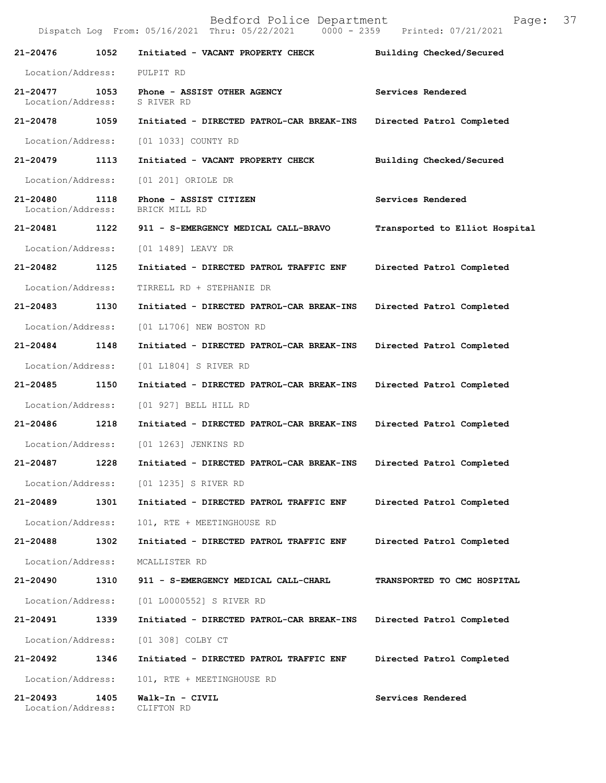Bedford Police Department Page: 37 Dispatch Log From: 05/16/2021 Thru: 05/22/2021 **21-20476 1052 Initiated - VACANT PROPERTY CHECK Building Checked/Secured**  Location/Address: PULPIT RD **21-20477 1053 Phone - ASSIST OTHER AGENCY Services Rendered**  Location/Address: S RIVER RD **21-20478 1059 Initiated - DIRECTED PATROL-CAR BREAK-INS Directed Patrol Completed**  Location/Address: [01 1033] COUNTY RD **21-20479 1113 Initiated - VACANT PROPERTY CHECK Building Checked/Secured**  Location/Address: [01 201] ORIOLE DR **21-20480 1118 Phone - ASSIST CITIZEN Services Rendered**  Location/Address: BRICK MILL RD **21-20481 1122 911 - S-EMERGENCY MEDICAL CALL-BRAVO Transported to Elliot Hospital** Location/Address: [01 1489] LEAVY DR **21-20482 1125 Initiated - DIRECTED PATROL TRAFFIC ENF Directed Patrol Completed**  Location/Address: TIRRELL RD + STEPHANIE DR **21-20483 1130 Initiated - DIRECTED PATROL-CAR BREAK-INS Directed Patrol Completed**  Location/Address: [01 L1706] NEW BOSTON RD **21-20484 1148 Initiated - DIRECTED PATROL-CAR BREAK-INS Directed Patrol Completed**  Location/Address: [01 L1804] S RIVER RD **21-20485 1150 Initiated - DIRECTED PATROL-CAR BREAK-INS Directed Patrol Completed**  Location/Address: [01 927] BELL HILL RD **21-20486 1218 Initiated - DIRECTED PATROL-CAR BREAK-INS Directed Patrol Completed**  Location/Address: [01 1263] JENKINS RD **21-20487 1228 Initiated - DIRECTED PATROL-CAR BREAK-INS Directed Patrol Completed**  Location/Address: [01 1235] S RIVER RD **21-20489 1301 Initiated - DIRECTED PATROL TRAFFIC ENF Directed Patrol Completed**  Location/Address: 101, RTE + MEETINGHOUSE RD **21-20488 1302 Initiated - DIRECTED PATROL TRAFFIC ENF Directed Patrol Completed**  Location/Address: MCALLISTER RD **21-20490 1310 911 - S-EMERGENCY MEDICAL CALL-CHARL TRANSPORTED TO CMC HOSPITAL**  Location/Address: [01 L0000552] S RIVER RD **21-20491 1339 Initiated - DIRECTED PATROL-CAR BREAK-INS Directed Patrol Completed**  Location/Address: [01 308] COLBY CT **21-20492 1346 Initiated - DIRECTED PATROL TRAFFIC ENF Directed Patrol Completed**  Location/Address: 101, RTE + MEETINGHOUSE RD **21-20493 1405 Walk-In - CIVIL Services Rendered**  Location/Address: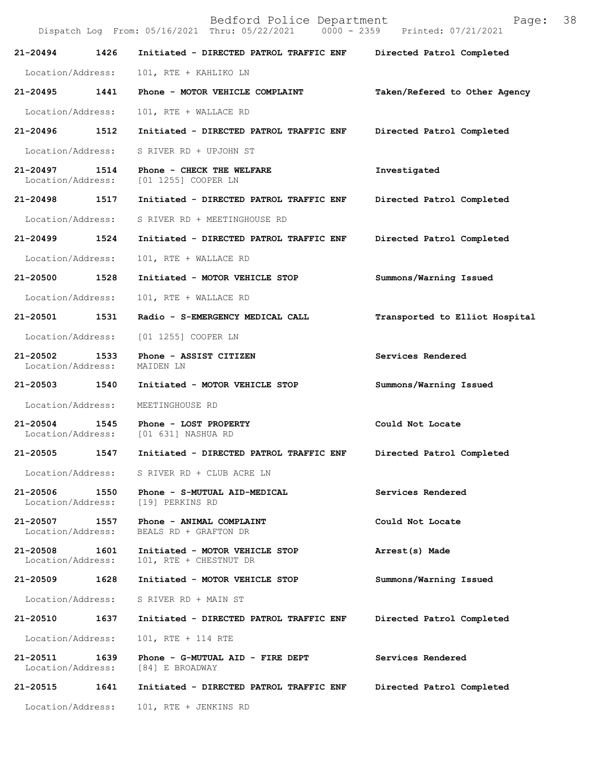|                                   |      | Bedford Police Department<br>Dispatch Log From: 05/16/2021 Thru: 05/22/2021 0000 - 2359 Printed: 07/21/2021 | Page:                          | 38 |
|-----------------------------------|------|-------------------------------------------------------------------------------------------------------------|--------------------------------|----|
| 21-20494                          | 1426 | Initiated - DIRECTED PATROL TRAFFIC ENF Directed Patrol Completed                                           |                                |    |
| Location/Address:                 |      | 101, RTE + KAHLIKO LN                                                                                       |                                |    |
| 21-20495                          | 1441 | Phone - MOTOR VEHICLE COMPLAINT                                                                             | Taken/Refered to Other Agency  |    |
| Location/Address:                 |      | 101, RTE + WALLACE RD                                                                                       |                                |    |
| 21-20496                          | 1512 | Initiated - DIRECTED PATROL TRAFFIC ENF                                                                     | Directed Patrol Completed      |    |
| Location/Address:                 |      | S RIVER RD + UPJOHN ST                                                                                      |                                |    |
| 21-20497<br>Location/Address:     | 1514 | Phone - CHECK THE WELFARE<br>[01 1255] COOPER LN                                                            | Investigated                   |    |
| 21-20498                          | 1517 | Initiated - DIRECTED PATROL TRAFFIC ENF                                                                     | Directed Patrol Completed      |    |
| Location/Address:                 |      | S RIVER RD + MEETINGHOUSE RD                                                                                |                                |    |
| 21-20499                          | 1524 | Initiated - DIRECTED PATROL TRAFFIC ENF                                                                     | Directed Patrol Completed      |    |
| Location/Address:                 |      | 101, RTE + WALLACE RD                                                                                       |                                |    |
| 21-20500                          | 1528 | Initiated - MOTOR VEHICLE STOP                                                                              | Summons/Warning Issued         |    |
| Location/Address:                 |      | 101, RTE + WALLACE RD                                                                                       |                                |    |
| 21-20501                          | 1531 | Radio - S-EMERGENCY MEDICAL CALL                                                                            | Transported to Elliot Hospital |    |
| Location/Address:                 |      | [01 1255] COOPER LN                                                                                         |                                |    |
| $21 - 20502$<br>Location/Address: | 1533 | Phone - ASSIST CITIZEN<br>MAIDEN LN                                                                         | Services Rendered              |    |
| 21-20503 1540                     |      | Initiated - MOTOR VEHICLE STOP                                                                              | Summons/Warning Issued         |    |
| Location/Address:                 |      | MEETINGHOUSE RD                                                                                             |                                |    |
| $21 - 20504$<br>Location/Address: | 1545 | Phone - LOST PROPERTY<br>[01 631] NASHUA RD                                                                 | Could Not Locate               |    |
| 21-20505                          | 1547 | Initiated - DIRECTED PATROL TRAFFIC ENF                                                                     | Directed Patrol Completed      |    |
| Location/Address:                 |      | S RIVER RD + CLUB ACRE LN                                                                                   |                                |    |
| 21-20506<br>Location/Address:     | 1550 | Phone - S-MUTUAL AID-MEDICAL<br>[19] PERKINS RD                                                             | Services Rendered              |    |
| 21-20507<br>Location/Address:     | 1557 | Phone - ANIMAL COMPLAINT<br>BEALS RD + GRAFTON DR                                                           | Could Not Locate               |    |
| 21-20508<br>Location/Address:     | 1601 | Initiated - MOTOR VEHICLE STOP<br>101, RTE + CHESTNUT DR                                                    | Arrest(s) Made                 |    |
| 21-20509                          | 1628 | Initiated - MOTOR VEHICLE STOP                                                                              | Summons/Warning Issued         |    |
| Location/Address:                 |      | S RIVER RD + MAIN ST                                                                                        |                                |    |
| 21-20510                          | 1637 | Initiated - DIRECTED PATROL TRAFFIC ENF                                                                     | Directed Patrol Completed      |    |
| Location/Address:                 |      | 101, RTE + 114 RTE                                                                                          |                                |    |
| 21-20511<br>Location/Address:     | 1639 | Phone - G-MUTUAL AID - FIRE DEPT<br>[84] E BROADWAY                                                         | Services Rendered              |    |
| 21-20515                          | 1641 | Initiated - DIRECTED PATROL TRAFFIC ENF                                                                     | Directed Patrol Completed      |    |
| Location/Address:                 |      | 101, RTE + JENKINS RD                                                                                       |                                |    |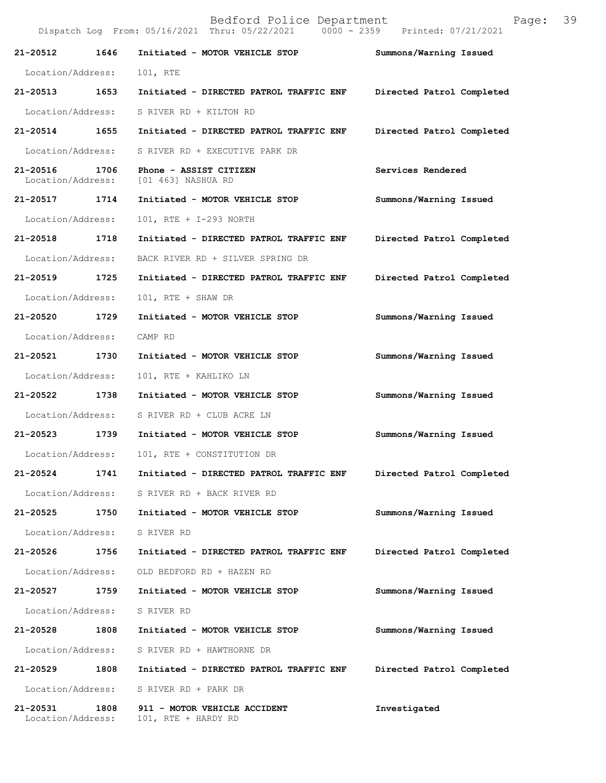Bedford Police Department Page: 39 Dispatch Log From: 05/16/2021 Thru: 05/22/2021 **21-20512 1646 Initiated - MOTOR VEHICLE STOP Summons/Warning Issued**  Location/Address: 101, RTE **21-20513 1653 Initiated - DIRECTED PATROL TRAFFIC ENF Directed Patrol Completed**  Location/Address: S RIVER RD + KILTON RD **21-20514 1655 Initiated - DIRECTED PATROL TRAFFIC ENF Directed Patrol Completed**  Location/Address: S RIVER RD + EXECUTIVE PARK DR **21-20516 1706 Phone - ASSIST CITIZEN Services Rendered**  Location/Address: [01 463] NASHUA RD **21-20517 1714 Initiated - MOTOR VEHICLE STOP Summons/Warning Issued**  Location/Address: 101, RTE + I-293 NORTH **21-20518 1718 Initiated - DIRECTED PATROL TRAFFIC ENF Directed Patrol Completed**  Location/Address: BACK RIVER RD + SILVER SPRING DR **21-20519 1725 Initiated - DIRECTED PATROL TRAFFIC ENF Directed Patrol Completed**  Location/Address: 101, RTE + SHAW DR **21-20520 1729 Initiated - MOTOR VEHICLE STOP Summons/Warning Issued**  Location/Address: CAMP RD **21-20521 1730 Initiated - MOTOR VEHICLE STOP Summons/Warning Issued**  Location/Address: 101, RTE + KAHLIKO LN **21-20522 1738 Initiated - MOTOR VEHICLE STOP Summons/Warning Issued**  Location/Address: S RIVER RD + CLUB ACRE LN **21-20523 1739 Initiated - MOTOR VEHICLE STOP Summons/Warning Issued**  Location/Address: 101, RTE + CONSTITUTION DR **21-20524 1741 Initiated - DIRECTED PATROL TRAFFIC ENF Directed Patrol Completed**  Location/Address: S RIVER RD + BACK RIVER RD **21-20525 1750 Initiated - MOTOR VEHICLE STOP Summons/Warning Issued**  Location/Address: S RIVER RD **21-20526 1756 Initiated - DIRECTED PATROL TRAFFIC ENF Directed Patrol Completed**  Location/Address: OLD BEDFORD RD + HAZEN RD **21-20527 1759 Initiated - MOTOR VEHICLE STOP Summons/Warning Issued**  Location/Address: S RIVER RD **21-20528 1808 Initiated - MOTOR VEHICLE STOP Summons/Warning Issued**  Location/Address: S RIVER RD + HAWTHORNE DR **21-20529 1808 Initiated - DIRECTED PATROL TRAFFIC ENF Directed Patrol Completed**  Location/Address: S RIVER RD + PARK DR

**21-20531 1808 911 - MOTOR VEHICLE ACCIDENT Investigated**  101, RTE + HARDY RD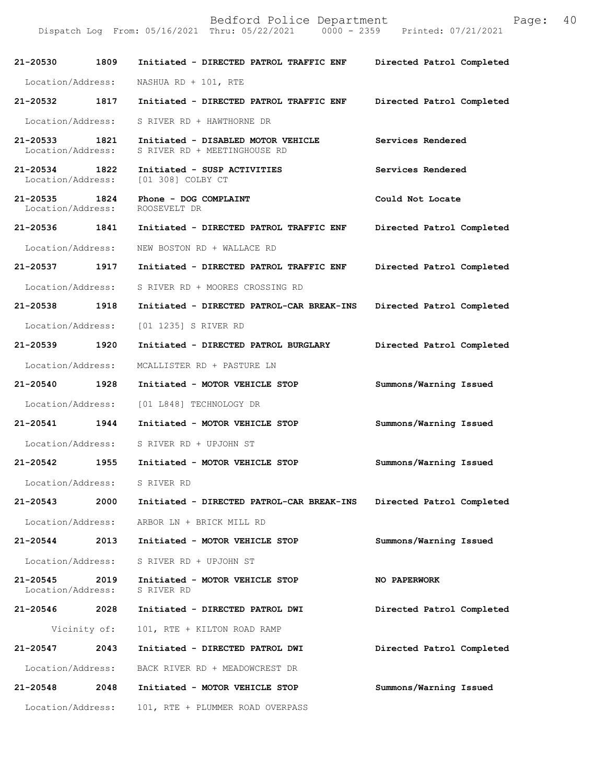| 21-20530 1809                      |              | Initiated - DIRECTED PATROL TRAFFIC ENF                            | Directed Patrol Completed |
|------------------------------------|--------------|--------------------------------------------------------------------|---------------------------|
| Location/Address:                  |              | NASHUA RD + $101$ , RTE                                            |                           |
| 21-20532 1817                      |              | Initiated - DIRECTED PATROL TRAFFIC ENF                            | Directed Patrol Completed |
| Location/Address:                  |              | S RIVER RD + HAWTHORNE DR                                          |                           |
| 21-20533 1821<br>Location/Address: |              | Initiated - DISABLED MOTOR VEHICLE<br>S RIVER RD + MEETINGHOUSE RD | Services Rendered         |
| 21-20534 1822                      |              | Initiated - SUSP ACTIVITIES<br>Location/Address: [01 308] COLBY CT | Services Rendered         |
| 21-20535 1824<br>Location/Address: |              | Phone - DOG COMPLAINT<br>ROOSEVELT DR                              | Could Not Locate          |
| 21-20536 1841                      |              | Initiated - DIRECTED PATROL TRAFFIC ENF                            | Directed Patrol Completed |
| Location/Address:                  |              | NEW BOSTON RD + WALLACE RD                                         |                           |
| 21-20537 1917                      |              | Initiated - DIRECTED PATROL TRAFFIC ENF                            | Directed Patrol Completed |
| Location/Address:                  |              | S RIVER RD + MOORES CROSSING RD                                    |                           |
| 21-20538 1918                      |              | Initiated - DIRECTED PATROL-CAR BREAK-INS                          | Directed Patrol Completed |
| Location/Address:                  |              | [01 1235] S RIVER RD                                               |                           |
| 21-20539 1920                      |              | Initiated - DIRECTED PATROL BURGLARY                               | Directed Patrol Completed |
| Location/Address:                  |              | MCALLISTER RD + PASTURE LN                                         |                           |
| 21-20540 1928                      |              | Initiated - MOTOR VEHICLE STOP                                     | Summons/Warning Issued    |
| Location/Address:                  |              | [01 L848] TECHNOLOGY DR                                            |                           |
| 21-20541 1944                      |              | Initiated - MOTOR VEHICLE STOP                                     | Summons/Warning Issued    |
|                                    |              | Location/Address: S RIVER RD + UPJOHN ST                           |                           |
| 21-20542 1955                      |              | Initiated - MOTOR VEHICLE STOP                                     | Summons/Warning Issued    |
| Location/Address:                  |              | S RIVER RD                                                         |                           |
| 21-20543                           | 2000         | Initiated - DIRECTED PATROL-CAR BREAK-INS                          | Directed Patrol Completed |
| Location/Address:                  |              | ARBOR LN + BRICK MILL RD                                           |                           |
| 21-20544 2013                      |              | Initiated - MOTOR VEHICLE STOP                                     | Summons/Warning Issued    |
| Location/Address:                  |              | S RIVER RD + UPJOHN ST                                             |                           |
| 21-20545<br>Location/Address:      | 2019         | Initiated - MOTOR VEHICLE STOP<br>S RIVER RD                       | <b>NO PAPERWORK</b>       |
| 21-20546 2028                      |              | Initiated - DIRECTED PATROL DWI                                    | Directed Patrol Completed |
|                                    | Vicinity of: | 101, RTE + KILTON ROAD RAMP                                        |                           |
| 21-20547                           | 2043         | Initiated - DIRECTED PATROL DWI                                    | Directed Patrol Completed |
| Location/Address:                  |              | BACK RIVER RD + MEADOWCREST DR                                     |                           |
| 21-20548                           | 2048         | Initiated - MOTOR VEHICLE STOP                                     | Summons/Warning Issued    |
| Location/Address:                  |              | 101, RTE + PLUMMER ROAD OVERPASS                                   |                           |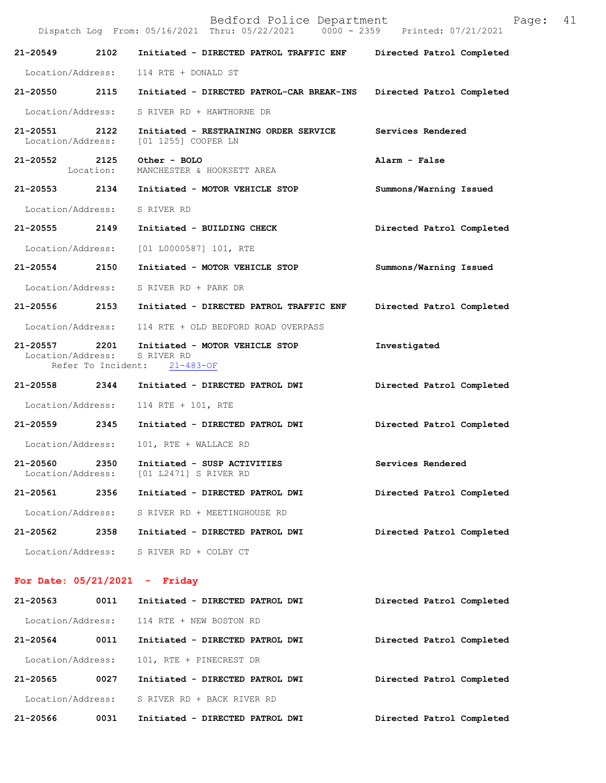|                               |                            | Bedford Police Department<br>Dispatch Log From: 05/16/2021 Thru: 05/22/2021 0000 - 2359 Printed: 07/21/2021 | 41<br>Page:               |
|-------------------------------|----------------------------|-------------------------------------------------------------------------------------------------------------|---------------------------|
| 21-20549                      | 2102                       | Initiated - DIRECTED PATROL TRAFFIC ENF                                                                     | Directed Patrol Completed |
| Location/Address:             |                            | 114 RTE + DONALD ST                                                                                         |                           |
| 21-20550 2115                 |                            | Initiated - DIRECTED PATROL-CAR BREAK-INS                                                                   | Directed Patrol Completed |
| Location/Address:             |                            | S RIVER RD + HAWTHORNE DR                                                                                   |                           |
| 21-20551<br>Location/Address: | 2122                       | Initiated - RESTRAINING ORDER SERVICE<br>[01 1255] COOPER LN                                                | Services Rendered         |
| 21-20552 2125                 | Location:                  | Other - BOLO<br>MANCHESTER & HOOKSETT AREA                                                                  | Alarm - False             |
| 21-20553                      | 2134                       | Initiated - MOTOR VEHICLE STOP                                                                              | Summons/Warning Issued    |
| Location/Address:             |                            | S RIVER RD                                                                                                  |                           |
| 21-20555                      | 2149                       | Initiated - BUILDING CHECK                                                                                  | Directed Patrol Completed |
| Location/Address:             |                            | [01 L0000587] 101, RTE                                                                                      |                           |
| 21-20554 2150                 |                            | Initiated - MOTOR VEHICLE STOP                                                                              | Summons/Warning Issued    |
| Location/Address:             |                            | S RIVER RD + PARK DR                                                                                        |                           |
| 21-20556                      | 2153                       | Initiated - DIRECTED PATROL TRAFFIC ENF                                                                     | Directed Patrol Completed |
| Location/Address:             |                            | 114 RTE + OLD BEDFORD ROAD OVERPASS                                                                         |                           |
| 21-20557<br>Location/Address: | 2201<br>Refer To Incident: | Initiated - MOTOR VEHICLE STOP<br>S RIVER RD<br>$21 - 483 - OF$                                             | Investigated              |
| 21-20558 2344                 |                            | Initiated - DIRECTED PATROL DWI                                                                             | Directed Patrol Completed |
| Location/Address:             |                            | 114 RTE + 101, RTE                                                                                          |                           |
| 21-20559 2345                 |                            | Initiated - DIRECTED PATROL DWI                                                                             | Directed Patrol Completed |
| Location/Address:             |                            | 101, RTE + WALLACE RD                                                                                       |                           |
| 21-20560<br>Location/Address: | 2350                       | Initiated - SUSP ACTIVITIES<br>[01 L2471] S RIVER RD                                                        | Services Rendered         |
| 21-20561                      | 2356                       | Initiated - DIRECTED PATROL DWI                                                                             | Directed Patrol Completed |
| Location/Address:             |                            | S RIVER RD + MEETINGHOUSE RD                                                                                |                           |
| $21 - 20562$                  | 2358                       | Initiated - DIRECTED PATROL DWI                                                                             | Directed Patrol Completed |
| Location/Address:             |                            | S RIVER RD + COLBY CT                                                                                       |                           |

## **For Date: 05/21/2021 - Friday**

| $21 - 20563$      | 0011 | Initiated - DIRECTED PATROL DWI           | Directed Patrol Completed |
|-------------------|------|-------------------------------------------|---------------------------|
|                   |      | Location/Address: 114 RTE + NEW BOSTON RD |                           |
| $21 - 20564$      | 0011 | Initiated - DIRECTED PATROL DWI           | Directed Patrol Completed |
| Location/Address: |      | 101, RTE + PINECREST DR                   |                           |
| $21 - 20565$      | 0027 | Initiated - DIRECTED PATROL DWI           | Directed Patrol Completed |
| Location/Address: |      | S RIVER RD + BACK RIVER RD                |                           |
| 21-20566          | 0031 | Initiated - DIRECTED PATROL DWI           | Directed Patrol Completed |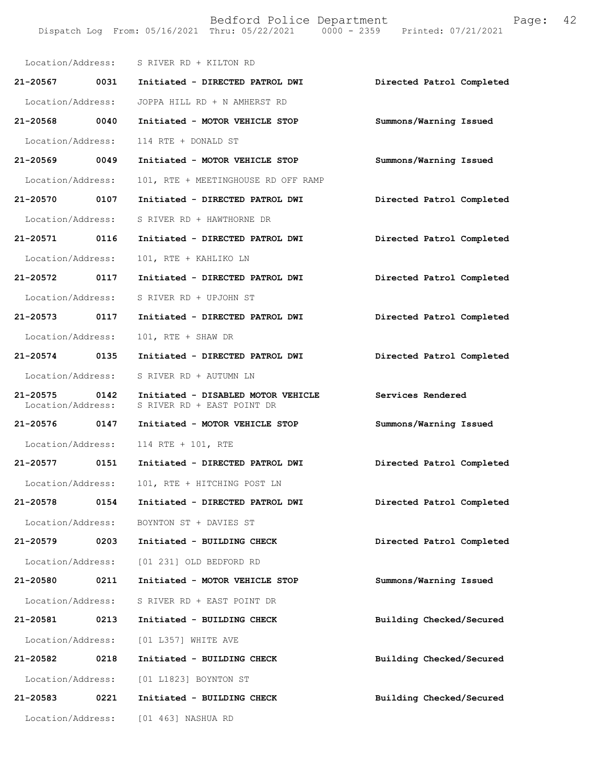|                                    |      | Location/Address: S RIVER RD + KILTON RD                         |                           |
|------------------------------------|------|------------------------------------------------------------------|---------------------------|
| 21-20567 0031                      |      | Initiated - DIRECTED PATROL DWI                                  | Directed Patrol Completed |
| Location/Address:                  |      | JOPPA HILL RD + N AMHERST RD                                     |                           |
| 21-20568 0040                      |      | Initiated - MOTOR VEHICLE STOP                                   | Summons/Warning Issued    |
| Location/Address:                  |      | 114 RTE + DONALD ST                                              |                           |
| 21-20569 0049                      |      | Initiated - MOTOR VEHICLE STOP                                   | Summons/Warning Issued    |
| Location/Address:                  |      | 101, RTE + MEETINGHOUSE RD OFF RAMP                              |                           |
| 21-20570 0107                      |      | Initiated - DIRECTED PATROL DWI                                  | Directed Patrol Completed |
| Location/Address:                  |      | S RIVER RD + HAWTHORNE DR                                        |                           |
| 21-20571 0116                      |      | Initiated - DIRECTED PATROL DWI                                  | Directed Patrol Completed |
| Location/Address:                  |      | 101, RTE + KAHLIKO LN                                            |                           |
| 21-20572 0117                      |      | Initiated - DIRECTED PATROL DWI                                  | Directed Patrol Completed |
| Location/Address:                  |      | S RIVER RD + UPJOHN ST                                           |                           |
| 21-20573 0117                      |      | Initiated - DIRECTED PATROL DWI                                  | Directed Patrol Completed |
| Location/Address:                  |      | 101, RTE + SHAW DR                                               |                           |
| 21-20574 0135                      |      | Initiated - DIRECTED PATROL DWI                                  | Directed Patrol Completed |
| Location/Address:                  |      | S RIVER RD + AUTUMN LN                                           |                           |
| 21-20575 0142<br>Location/Address: |      | Initiated - DISABLED MOTOR VEHICLE<br>S RIVER RD + EAST POINT DR | Services Rendered         |
| 21-20576 0147                      |      | Initiated - MOTOR VEHICLE STOP                                   | Summons/Warning Issued    |
| Location/Address:                  |      | 114 RTE + 101, RTE                                               |                           |
| 21-20577 0151                      |      | Initiated - DIRECTED PATROL DWI                                  | Directed Patrol Completed |
| Location/Address:                  |      | 101, RTE + HITCHING POST LN                                      |                           |
| 21-20578                           | 0154 | Initiated - DIRECTED PATROL DWI                                  | Directed Patrol Completed |
| Location/Address:                  |      | BOYNTON ST + DAVIES ST                                           |                           |
| 21-20579                           | 0203 | Initiated - BUILDING CHECK                                       | Directed Patrol Completed |
| Location/Address:                  |      | [01 231] OLD BEDFORD RD                                          |                           |
| 21-20580                           | 0211 | Initiated - MOTOR VEHICLE STOP                                   | Summons/Warning Issued    |
| Location/Address:                  |      | S RIVER RD + EAST POINT DR                                       |                           |
| 21-20581                           | 0213 | Initiated - BUILDING CHECK                                       | Building Checked/Secured  |
| Location/Address:                  |      | [01 L357] WHITE AVE                                              |                           |
| 21-20582                           | 0218 | Initiated - BUILDING CHECK                                       | Building Checked/Secured  |
| Location/Address:                  |      | [01 L1823] BOYNTON ST                                            |                           |
| 21-20583                           | 0221 | Initiated - BUILDING CHECK                                       | Building Checked/Secured  |
| Location/Address:                  |      | [01 463] NASHUA RD                                               |                           |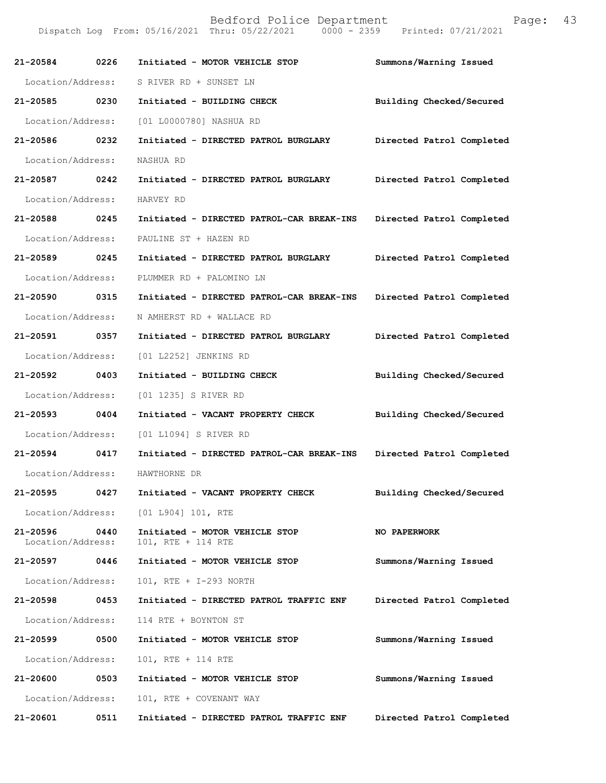| 21-20584 0226                 |      | Initiated - MOTOR VEHICLE STOP                       | Summons/Warning Issued    |
|-------------------------------|------|------------------------------------------------------|---------------------------|
| Location/Address:             |      | S RIVER RD + SUNSET LN                               |                           |
| 21-20585 0230                 |      | Initiated - BUILDING CHECK                           | Building Checked/Secured  |
|                               |      | Location/Address: [01 L0000780] NASHUA RD            |                           |
| 21-20586 0232                 |      | Initiated - DIRECTED PATROL BURGLARY                 | Directed Patrol Completed |
| Location/Address:             |      | NASHUA RD                                            |                           |
| 21-20587 0242                 |      | Initiated - DIRECTED PATROL BURGLARY                 | Directed Patrol Completed |
| Location/Address:             |      | HARVEY RD                                            |                           |
| 21-20588 0245                 |      | Initiated - DIRECTED PATROL-CAR BREAK-INS            | Directed Patrol Completed |
| Location/Address:             |      | PAULINE ST + HAZEN RD                                |                           |
| 21-20589 0245                 |      | Initiated - DIRECTED PATROL BURGLARY                 | Directed Patrol Completed |
| Location/Address:             |      | PLUMMER RD + PALOMINO LN                             |                           |
| 21-20590 0315                 |      | Initiated - DIRECTED PATROL-CAR BREAK-INS            | Directed Patrol Completed |
| Location/Address:             |      | N AMHERST RD + WALLACE RD                            |                           |
| 21-20591 0357                 |      | Initiated - DIRECTED PATROL BURGLARY                 | Directed Patrol Completed |
| Location/Address:             |      | [01 L2252] JENKINS RD                                |                           |
| 21-20592 0403                 |      | Initiated - BUILDING CHECK                           | Building Checked/Secured  |
| Location/Address:             |      | [01 1235] S RIVER RD                                 |                           |
| 21-20593 0404                 |      | Initiated - VACANT PROPERTY CHECK                    | Building Checked/Secured  |
| Location/Address:             |      | [01 L1094] S RIVER RD                                |                           |
| 21-20594 0417                 |      | Initiated - DIRECTED PATROL-CAR BREAK-INS            | Directed Patrol Completed |
| Location/Address:             |      | HAWTHORNE DR                                         |                           |
| 21-20595 0427                 |      | Initiated - VACANT PROPERTY CHECK                    | Building Checked/Secured  |
|                               |      | Location/Address: [01 L904] 101, RTE                 |                           |
| 21-20596<br>Location/Address: | 0440 | Initiated - MOTOR VEHICLE STOP<br>101, RTE + 114 RTE | NO PAPERWORK              |
| 21-20597                      | 0446 | Initiated - MOTOR VEHICLE STOP                       | Summons/Warning Issued    |
| Location/Address:             |      | 101, RTE + I-293 NORTH                               |                           |
| 21-20598                      | 0453 | Initiated - DIRECTED PATROL TRAFFIC ENF              | Directed Patrol Completed |
| Location/Address:             |      | 114 RTE + BOYNTON ST                                 |                           |
| 21-20599                      | 0500 | Initiated - MOTOR VEHICLE STOP                       | Summons/Warning Issued    |
| Location/Address:             |      | 101, RTE + 114 RTE                                   |                           |
| 21-20600                      | 0503 | Initiated - MOTOR VEHICLE STOP                       | Summons/Warning Issued    |
| Location/Address:             |      | 101, RTE + COVENANT WAY                              |                           |
| 21-20601                      | 0511 | Initiated - DIRECTED PATROL TRAFFIC ENF              | Directed Patrol Completed |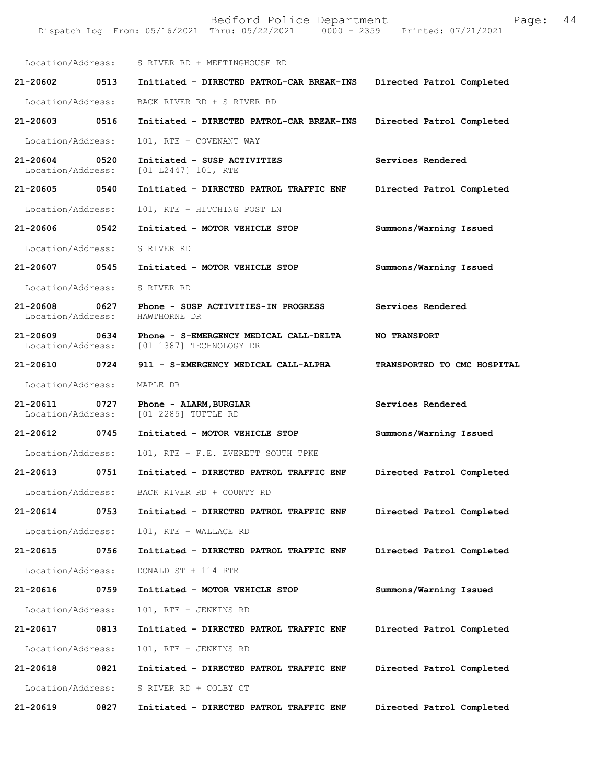|                               |      | Bedford Police Department<br>Dispatch Log From: 05/16/2021 Thru: 05/22/2021 0000 - 2359 Printed: 07/21/2021 | Page:                       | 44 |
|-------------------------------|------|-------------------------------------------------------------------------------------------------------------|-----------------------------|----|
|                               |      | Location/Address: S RIVER RD + MEETINGHOUSE RD                                                              |                             |    |
| 21-20602                      | 0513 | Initiated - DIRECTED PATROL-CAR BREAK-INS                                                                   | Directed Patrol Completed   |    |
| Location/Address:             |      | BACK RIVER RD + S RIVER RD                                                                                  |                             |    |
| 21-20603                      | 0516 | Initiated - DIRECTED PATROL-CAR BREAK-INS                                                                   | Directed Patrol Completed   |    |
| Location/Address:             |      | 101, RTE + COVENANT WAY                                                                                     |                             |    |
| 21-20604<br>Location/Address: | 0520 | Initiated - SUSP ACTIVITIES<br>[01 L2447] 101, RTE                                                          | Services Rendered           |    |
| 21-20605                      | 0540 | Initiated - DIRECTED PATROL TRAFFIC ENF                                                                     | Directed Patrol Completed   |    |
| Location/Address:             |      | 101, RTE + HITCHING POST LN                                                                                 |                             |    |
| 21-20606                      | 0542 | Initiated - MOTOR VEHICLE STOP                                                                              | Summons/Warning Issued      |    |
| Location/Address:             |      | S RIVER RD                                                                                                  |                             |    |
| 21-20607                      | 0545 | Initiated - MOTOR VEHICLE STOP                                                                              | Summons/Warning Issued      |    |
| Location/Address:             |      | S RIVER RD                                                                                                  |                             |    |
| 21-20608<br>Location/Address: | 0627 | Phone - SUSP ACTIVITIES-IN PROGRESS<br>HAWTHORNE DR                                                         | Services Rendered           |    |
| 21-20609<br>Location/Address: | 0634 | Phone - S-EMERGENCY MEDICAL CALL-DELTA<br>[01 1387] TECHNOLOGY DR                                           | <b>NO TRANSPORT</b>         |    |
| 21-20610                      | 0724 | 911 - S-EMERGENCY MEDICAL CALL-ALPHA                                                                        | TRANSPORTED TO CMC HOSPITAL |    |
| Location/Address:             |      | MAPLE DR                                                                                                    |                             |    |
| 21-20611<br>Location/Address: | 0727 | Phone - ALARM, BURGLAR<br>[01 2285] TUTTLE RD                                                               | Services Rendered           |    |
| 21-20612                      | 0745 | Initiated - MOTOR VEHICLE STOP                                                                              | Summons/Warning Issued      |    |
| Location/Address:             |      | 101, RTE + F.E. EVERETT SOUTH TPKE                                                                          |                             |    |
| 21-20613                      | 0751 | Initiated - DIRECTED PATROL TRAFFIC ENF                                                                     | Directed Patrol Completed   |    |
| Location/Address:             |      | BACK RIVER RD + COUNTY RD                                                                                   |                             |    |
| 21-20614                      | 0753 | Initiated - DIRECTED PATROL TRAFFIC ENF                                                                     | Directed Patrol Completed   |    |
| Location/Address:             |      | 101, RTE + WALLACE RD                                                                                       |                             |    |
| 21-20615                      | 0756 | Initiated - DIRECTED PATROL TRAFFIC ENF                                                                     | Directed Patrol Completed   |    |
| Location/Address:             |      | DONALD ST + 114 RTE                                                                                         |                             |    |
| 21-20616                      | 0759 | Initiated - MOTOR VEHICLE STOP                                                                              | Summons/Warning Issued      |    |
| Location/Address:             |      | 101, RTE + JENKINS RD                                                                                       |                             |    |
| 21-20617                      | 0813 | Initiated - DIRECTED PATROL TRAFFIC ENF                                                                     | Directed Patrol Completed   |    |
| Location/Address:             |      | 101, RTE + JENKINS RD                                                                                       |                             |    |
| 21-20618                      | 0821 | Initiated - DIRECTED PATROL TRAFFIC ENF                                                                     | Directed Patrol Completed   |    |
| Location/Address:             |      | S RIVER RD + COLBY CT                                                                                       |                             |    |
| 21-20619                      | 0827 | Initiated - DIRECTED PATROL TRAFFIC ENF                                                                     | Directed Patrol Completed   |    |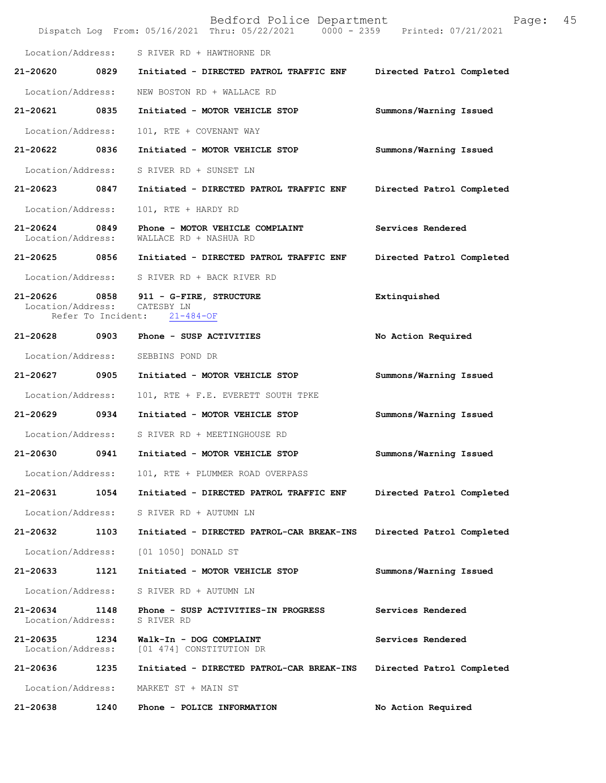|                                   |      | Bedford Police Department<br>Dispatch Log From: 05/16/2021 Thru: 05/22/2021 0000 - 2359 Printed: 07/21/2021 | 45<br>Page:               |
|-----------------------------------|------|-------------------------------------------------------------------------------------------------------------|---------------------------|
| Location/Address:                 |      | S RIVER RD + HAWTHORNE DR                                                                                   |                           |
| 21-20620                          | 0829 | Initiated - DIRECTED PATROL TRAFFIC ENF                                                                     | Directed Patrol Completed |
| Location/Address:                 |      | NEW BOSTON RD + WALLACE RD                                                                                  |                           |
| 21-20621                          | 0835 | Initiated - MOTOR VEHICLE STOP                                                                              | Summons/Warning Issued    |
| Location/Address:                 |      | 101, RTE + COVENANT WAY                                                                                     |                           |
| 21-20622 0836                     |      | Initiated - MOTOR VEHICLE STOP                                                                              | Summons/Warning Issued    |
| Location/Address:                 |      | S RIVER RD + SUNSET LN                                                                                      |                           |
| 21-20623                          | 0847 | Initiated - DIRECTED PATROL TRAFFIC ENF                                                                     | Directed Patrol Completed |
| Location/Address:                 |      | 101, RTE + HARDY RD                                                                                         |                           |
| 21-20624<br>Location/Address:     | 0849 | Phone - MOTOR VEHICLE COMPLAINT<br>WALLACE RD + NASHUA RD                                                   | Services Rendered         |
| 21-20625 0856                     |      | Initiated - DIRECTED PATROL TRAFFIC ENF                                                                     | Directed Patrol Completed |
|                                   |      | Location/Address: S RIVER RD + BACK RIVER RD                                                                |                           |
| $21 - 20626$<br>Location/Address: |      | 0858 911 - G-FIRE, STRUCTURE<br>CATESBY LN<br>Refer To Incident: 21-484-OF                                  | Extinquished              |
| 21-20628                          | 0903 | Phone - SUSP ACTIVITIES                                                                                     | No Action Required        |
| Location/Address:                 |      | SEBBINS POND DR                                                                                             |                           |
| 21-20627 0905                     |      | Initiated - MOTOR VEHICLE STOP                                                                              | Summons/Warning Issued    |
| Location/Address:                 |      | 101, RTE + F.E. EVERETT SOUTH TPKE                                                                          |                           |
| 21-20629 0934                     |      | Initiated - MOTOR VEHICLE STOP                                                                              | Summons/Warning Issued    |
| Location/Address:                 |      | S RIVER RD + MEETINGHOUSE RD                                                                                |                           |
| 21-20630                          | 0941 | Initiated - MOTOR VEHICLE STOP                                                                              | Summons/Warning Issued    |
| Location/Address:                 |      | 101, RTE + PLUMMER ROAD OVERPASS                                                                            |                           |
| 21-20631                          | 1054 | Initiated - DIRECTED PATROL TRAFFIC ENF                                                                     | Directed Patrol Completed |
| Location/Address:                 |      | S RIVER RD + AUTUMN LN                                                                                      |                           |
| 21-20632                          | 1103 | Initiated - DIRECTED PATROL-CAR BREAK-INS                                                                   | Directed Patrol Completed |
| Location/Address:                 |      | [01 1050] DONALD ST                                                                                         |                           |
| 21-20633                          | 1121 | Initiated - MOTOR VEHICLE STOP                                                                              | Summons/Warning Issued    |
| Location/Address:                 |      | S RIVER RD + AUTUMN LN                                                                                      |                           |
| 21-20634<br>Location/Address:     | 1148 | Phone - SUSP ACTIVITIES-IN PROGRESS<br>S RIVER RD                                                           | Services Rendered         |
| 21-20635<br>Location/Address:     | 1234 | Walk-In - DOG COMPLAINT<br>[01 474] CONSTITUTION DR                                                         | Services Rendered         |
| 21-20636                          | 1235 | Initiated - DIRECTED PATROL-CAR BREAK-INS                                                                   | Directed Patrol Completed |
| Location/Address:                 |      | MARKET ST + MAIN ST                                                                                         |                           |
| 21-20638                          | 1240 | Phone - POLICE INFORMATION                                                                                  | No Action Required        |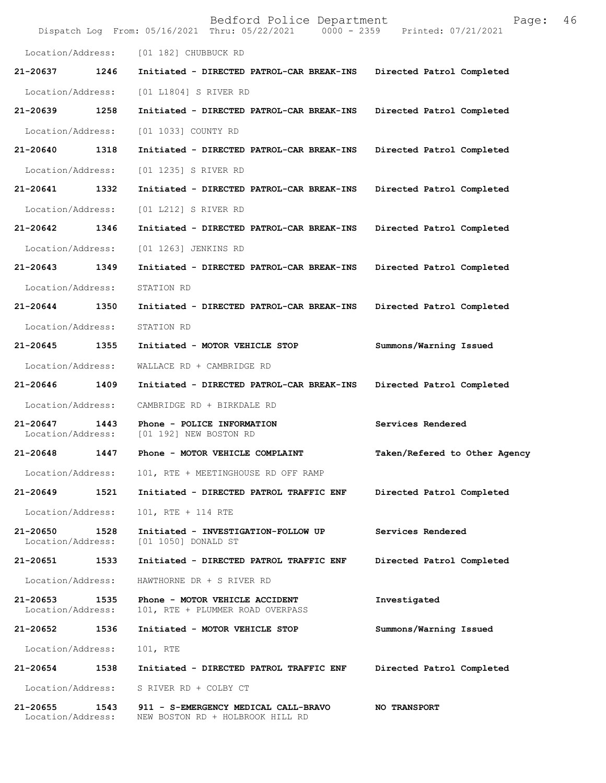|                                   |      | Bedford Police Department<br>Dispatch Log From: 05/16/2021 Thru: 05/22/2021 0000 - 2359 Printed: 07/21/2021 | Page:                         | 46 |
|-----------------------------------|------|-------------------------------------------------------------------------------------------------------------|-------------------------------|----|
|                                   |      | Location/Address: [01 182] CHUBBUCK RD                                                                      |                               |    |
| 21-20637                          | 1246 | Initiated - DIRECTED PATROL-CAR BREAK-INS                                                                   | Directed Patrol Completed     |    |
| Location/Address:                 |      | [01 L1804] S RIVER RD                                                                                       |                               |    |
| 21-20639                          | 1258 | Initiated - DIRECTED PATROL-CAR BREAK-INS                                                                   | Directed Patrol Completed     |    |
| Location/Address:                 |      | [01 1033] COUNTY RD                                                                                         |                               |    |
| 21-20640                          | 1318 | Initiated - DIRECTED PATROL-CAR BREAK-INS                                                                   | Directed Patrol Completed     |    |
| Location/Address:                 |      | [01 1235] S RIVER RD                                                                                        |                               |    |
| 21-20641 1332                     |      | Initiated - DIRECTED PATROL-CAR BREAK-INS                                                                   | Directed Patrol Completed     |    |
| Location/Address:                 |      | [01 L212] S RIVER RD                                                                                        |                               |    |
| 21-20642                          | 1346 | Initiated - DIRECTED PATROL-CAR BREAK-INS                                                                   | Directed Patrol Completed     |    |
| Location/Address:                 |      | [01 1263] JENKINS RD                                                                                        |                               |    |
| 21-20643                          | 1349 | Initiated - DIRECTED PATROL-CAR BREAK-INS                                                                   | Directed Patrol Completed     |    |
| Location/Address:                 |      | STATION RD                                                                                                  |                               |    |
| 21-20644                          | 1350 | Initiated - DIRECTED PATROL-CAR BREAK-INS                                                                   | Directed Patrol Completed     |    |
| Location/Address:                 |      | STATION RD                                                                                                  |                               |    |
| 21-20645                          | 1355 | Initiated - MOTOR VEHICLE STOP                                                                              | Summons/Warning Issued        |    |
| Location/Address:                 |      | WALLACE RD + CAMBRIDGE RD                                                                                   |                               |    |
| 21-20646                          | 1409 | Initiated - DIRECTED PATROL-CAR BREAK-INS                                                                   | Directed Patrol Completed     |    |
| Location/Address:                 |      | CAMBRIDGE RD + BIRKDALE RD                                                                                  |                               |    |
| $21 - 20647$<br>Location/Address: | 1443 | Phone - POLICE INFORMATION<br>[01 192] NEW BOSTON RD                                                        | Services Rendered             |    |
| 21-20648                          | 1447 | Phone - MOTOR VEHICLE COMPLAINT                                                                             | Taken/Refered to Other Agency |    |
| Location/Address:                 |      | 101, RTE + MEETINGHOUSE RD OFF RAMP                                                                         |                               |    |
| 21-20649                          | 1521 | Initiated - DIRECTED PATROL TRAFFIC ENF                                                                     | Directed Patrol Completed     |    |
| Location/Address:                 |      | 101, RTE + 114 RTE                                                                                          |                               |    |
| 21-20650<br>Location/Address:     | 1528 | Initiated - INVESTIGATION-FOLLOW UP<br>[01 1050] DONALD ST                                                  | Services Rendered             |    |
| 21-20651                          | 1533 | Initiated - DIRECTED PATROL TRAFFIC ENF                                                                     | Directed Patrol Completed     |    |
| Location/Address:                 |      | HAWTHORNE DR + S RIVER RD                                                                                   |                               |    |
| 21-20653<br>Location/Address:     | 1535 | Phone - MOTOR VEHICLE ACCIDENT<br>101, RTE + PLUMMER ROAD OVERPASS                                          | Investigated                  |    |
| 21-20652                          | 1536 | Initiated - MOTOR VEHICLE STOP                                                                              | Summons/Warning Issued        |    |
| Location/Address:                 |      | 101, RTE                                                                                                    |                               |    |
| 21-20654                          | 1538 | Initiated - DIRECTED PATROL TRAFFIC ENF                                                                     | Directed Patrol Completed     |    |
| Location/Address:                 |      | S RIVER RD + COLBY CT                                                                                       |                               |    |
| 21-20655<br>Location/Address:     | 1543 | 911 - S-EMERGENCY MEDICAL CALL-BRAVO<br>NEW BOSTON RD + HOLBROOK HILL RD                                    | <b>NO TRANSPORT</b>           |    |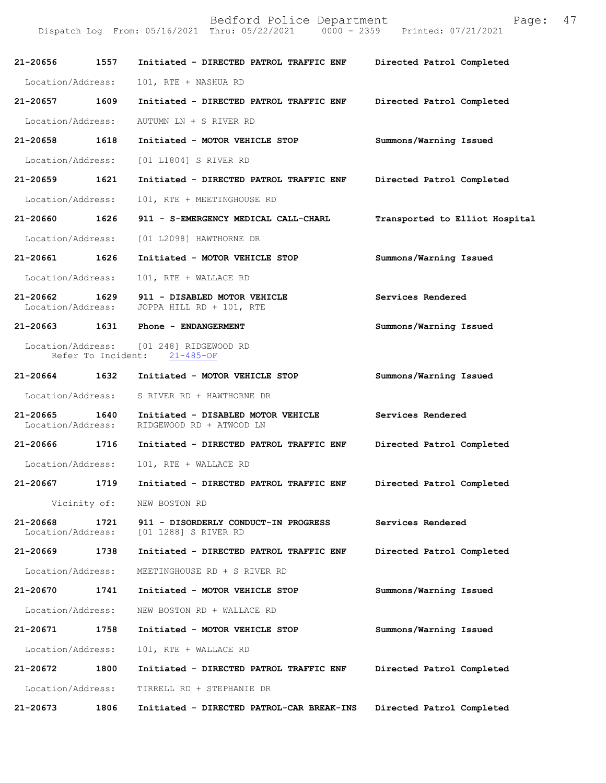| 21-20656                      | 1557                                    | Initiated - DIRECTED PATROL TRAFFIC ENF                        | Directed Patrol Completed      |
|-------------------------------|-----------------------------------------|----------------------------------------------------------------|--------------------------------|
| Location/Address:             |                                         | 101, RTE + NASHUA RD                                           |                                |
| 21-20657                      | 1609                                    | Initiated - DIRECTED PATROL TRAFFIC ENF                        | Directed Patrol Completed      |
| Location/Address:             |                                         | AUTUMN LN + S RIVER RD                                         |                                |
| 21-20658                      | 1618                                    | Initiated - MOTOR VEHICLE STOP                                 | Summons/Warning Issued         |
| Location/Address:             |                                         | [01 L1804] S RIVER RD                                          |                                |
| 21-20659                      | 1621                                    | Initiated - DIRECTED PATROL TRAFFIC ENF                        | Directed Patrol Completed      |
| Location/Address:             |                                         | 101, RTE + MEETINGHOUSE RD                                     |                                |
| 21-20660                      | 1626                                    | 911 - S-EMERGENCY MEDICAL CALL-CHARL                           | Transported to Elliot Hospital |
| Location/Address:             |                                         | [01 L2098] HAWTHORNE DR                                        |                                |
| 21-20661                      | 1626                                    | Initiated - MOTOR VEHICLE STOP                                 | Summons/Warning Issued         |
| Location/Address:             |                                         | 101, RTE + WALLACE RD                                          |                                |
| 21-20662<br>Location/Address: | 1629                                    | 911 - DISABLED MOTOR VEHICLE<br>JOPPA HILL RD + 101, RTE       | Services Rendered              |
| 21-20663                      | 1631                                    | Phone - ENDANGERMENT                                           | Summons/Warning Issued         |
|                               | Location/Address:<br>Refer To Incident: | [01 248] RIDGEWOOD RD<br>$21 - 485 - OF$                       |                                |
| 21-20664                      | 1632                                    | Initiated - MOTOR VEHICLE STOP                                 | Summons/Warning Issued         |
| Location/Address:             |                                         | S RIVER RD + HAWTHORNE DR                                      |                                |
| 21-20665<br>Location/Address: | 1640                                    | Initiated - DISABLED MOTOR VEHICLE<br>RIDGEWOOD RD + ATWOOD LN | Services Rendered              |
| 21-20666                      | 1716                                    | Initiated - DIRECTED PATROL TRAFFIC ENF                        | Directed Patrol Completed      |
| Location/Address:             |                                         | 101, RTE + WALLACE RD                                          |                                |
| 21-20667                      | 1719                                    | Initiated - DIRECTED PATROL TRAFFIC ENF                        | Directed Patrol Completed      |
|                               | Vicinity of:                            | NEW BOSTON RD                                                  |                                |
| 21-20668<br>Location/Address: | 1721                                    | 911 - DISORDERLY CONDUCT-IN PROGRESS<br>[01 1288] S RIVER RD   | Services Rendered              |
| 21-20669                      | 1738                                    | Initiated - DIRECTED PATROL TRAFFIC ENF                        | Directed Patrol Completed      |
| Location/Address:             |                                         | MEETINGHOUSE RD + S RIVER RD                                   |                                |
| 21-20670                      | 1741                                    | Initiated - MOTOR VEHICLE STOP                                 | Summons/Warning Issued         |
| Location/Address:             |                                         | NEW BOSTON RD + WALLACE RD                                     |                                |
| 21-20671                      | 1758                                    | Initiated - MOTOR VEHICLE STOP                                 | Summons/Warning Issued         |
| Location/Address:             |                                         | 101, RTE + WALLACE RD                                          |                                |
| 21-20672                      | 1800                                    | Initiated - DIRECTED PATROL TRAFFIC ENF                        | Directed Patrol Completed      |
| Location/Address:             |                                         | TIRRELL RD + STEPHANIE DR                                      |                                |
| 21-20673                      | 1806                                    | Initiated - DIRECTED PATROL-CAR BREAK-INS                      | Directed Patrol Completed      |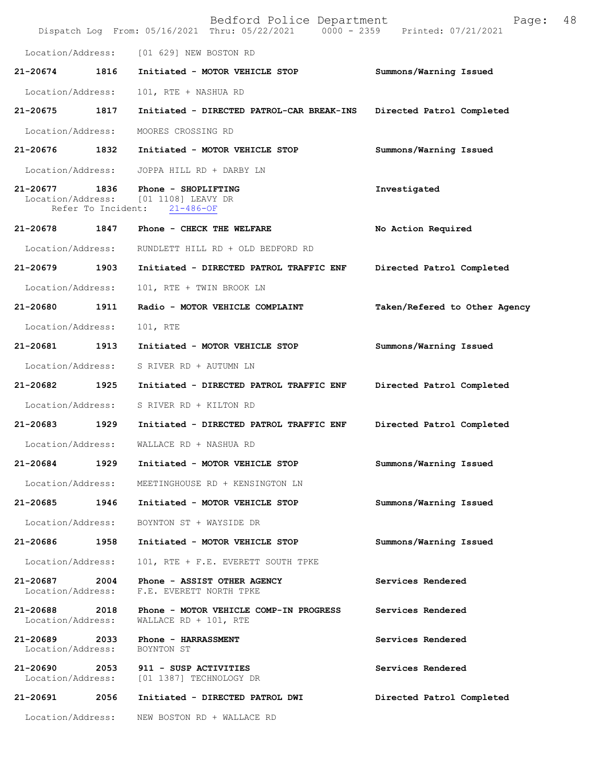|                                    |                            | Bedford Police Department<br>Dispatch Log From: 05/16/2021 Thru: 05/22/2021 0000 - 2359 | Page:<br>Printed: 07/21/2021  | 48 |
|------------------------------------|----------------------------|-----------------------------------------------------------------------------------------|-------------------------------|----|
| Location/Address:                  |                            | [01 629] NEW BOSTON RD                                                                  |                               |    |
| 21-20674                           | 1816                       | Initiated - MOTOR VEHICLE STOP                                                          | Summons/Warning Issued        |    |
| Location/Address:                  |                            | 101, RTE + NASHUA RD                                                                    |                               |    |
| 21-20675                           | 1817                       | Initiated - DIRECTED PATROL-CAR BREAK-INS                                               | Directed Patrol Completed     |    |
| Location/Address:                  |                            | MOORES CROSSING RD                                                                      |                               |    |
| 21-20676 1832                      |                            | Initiated - MOTOR VEHICLE STOP                                                          | Summons/Warning Issued        |    |
| Location/Address:                  |                            | JOPPA HILL RD + DARBY LN                                                                |                               |    |
| 21-20677<br>Location/Address:      | 1836<br>Refer To Incident: | Phone - SHOPLIFTING<br>[01 1108] LEAVY DR<br>$21 - 486 - OF$                            | Investigated                  |    |
| 21-20678                           | 1847                       | Phone - CHECK THE WELFARE                                                               | No Action Required            |    |
| Location/Address:                  |                            | RUNDLETT HILL RD + OLD BEDFORD RD                                                       |                               |    |
| 21-20679                           | 1903                       | Initiated - DIRECTED PATROL TRAFFIC ENF                                                 | Directed Patrol Completed     |    |
| Location/Address:                  |                            | 101, RTE + TWIN BROOK LN                                                                |                               |    |
| 21-20680                           | 1911                       | Radio - MOTOR VEHICLE COMPLAINT                                                         | Taken/Refered to Other Agency |    |
| Location/Address:                  |                            | 101, RTE                                                                                |                               |    |
| 21-20681                           | 1913                       | Initiated - MOTOR VEHICLE STOP                                                          | Summons/Warning Issued        |    |
| Location/Address:                  |                            | S RIVER RD + AUTUMN LN                                                                  |                               |    |
| 21-20682                           | 1925                       | Initiated - DIRECTED PATROL TRAFFIC ENF                                                 | Directed Patrol Completed     |    |
| Location/Address:                  |                            | S RIVER RD + KILTON RD                                                                  |                               |    |
| 21-20683                           | 1929                       | Initiated - DIRECTED PATROL TRAFFIC ENF                                                 | Directed Patrol Completed     |    |
| Location/Address:                  |                            | WALLACE RD + NASHUA RD                                                                  |                               |    |
| 21-20684                           | 1929                       | Initiated - MOTOR VEHICLE STOP                                                          | Summons/Warning Issued        |    |
| Location/Address:                  |                            | MEETINGHOUSE RD + KENSINGTON LN                                                         |                               |    |
| 21-20685 1946                      |                            | Initiated - MOTOR VEHICLE STOP                                                          | Summons/Warning Issued        |    |
| Location/Address:                  |                            | BOYNTON ST + WAYSIDE DR                                                                 |                               |    |
| 21-20686                           | 1958                       | Initiated - MOTOR VEHICLE STOP                                                          | Summons/Warning Issued        |    |
| Location/Address:                  |                            | 101, RTE + F.E. EVERETT SOUTH TPKE                                                      |                               |    |
| 21-20687<br>Location/Address:      | 2004                       | Phone - ASSIST OTHER AGENCY<br>F.E. EVERETT NORTH TPKE                                  | Services Rendered             |    |
| 21-20688<br>Location/Address:      | 2018                       | Phone - MOTOR VEHICLE COMP-IN PROGRESS<br>WALLACE RD + 101, RTE                         | Services Rendered             |    |
| 21-20689 2033<br>Location/Address: |                            | Phone - HARRASSMENT<br>BOYNTON ST                                                       | Services Rendered             |    |
| 21-20690 2053                      |                            | 911 - SUSP ACTIVITIES<br>Location/Address: [01 1387] TECHNOLOGY DR                      | Services Rendered             |    |
| 21-20691                           | 2056                       | Initiated - DIRECTED PATROL DWI                                                         | Directed Patrol Completed     |    |
| Location/Address:                  |                            | NEW BOSTON RD + WALLACE RD                                                              |                               |    |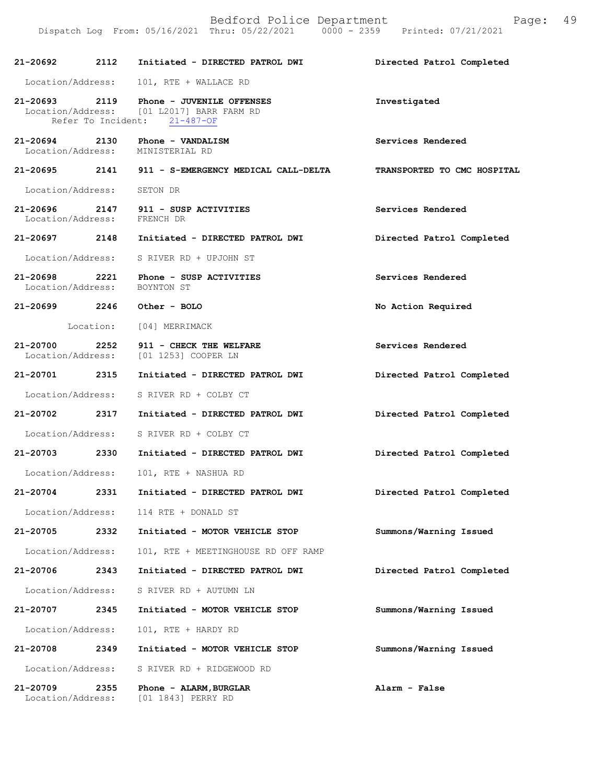| 21-20692                      | 2112 | Initiated - DIRECTED PATROL DWI                                                                                      | Directed Patrol Completed   |
|-------------------------------|------|----------------------------------------------------------------------------------------------------------------------|-----------------------------|
|                               |      | Location/Address: 101, RTE + WALLACE RD                                                                              |                             |
|                               |      | 21-20693 2119 Phone - JUVENILE OFFENSES<br>Location/Address: [01 L2017] BARR FARM RD<br>Refer To Incident: 21-487-OF | Investigated                |
|                               |      | $21-20694$ 2130 Phone - VANDALISM<br>Location/Address: MINISTERIAL RD                                                | Services Rendered           |
|                               |      | 21-20695 2141 911 - S-EMERGENCY MEDICAL CALL-DELTA                                                                   | TRANSPORTED TO CMC HOSPITAL |
| Location/Address: SETON DR    |      |                                                                                                                      |                             |
| Location/Address: FRENCH DR   |      | $21-20696$ $2147$ $911$ - SUSP ACTIVITIES                                                                            | Services Rendered           |
|                               |      | 21-20697 2148 Initiated - DIRECTED PATROL DWI                                                                        | Directed Patrol Completed   |
|                               |      | Location/Address: S RIVER RD + UPJOHN ST                                                                             |                             |
| Location/Address:             |      | 21-20698 2221 Phone - SUSP ACTIVITIES<br>BOYNTON ST                                                                  | Services Rendered           |
|                               |      | 21-20699 2246 Other - BOLO                                                                                           | No Action Required          |
|                               |      | Location: [04] MERRIMACK                                                                                             |                             |
|                               |      | 21-20700 2252 911 - CHECK THE WELFARE<br>Location/Address: [01 1253] COOPER LN                                       | Services Rendered           |
| 21-20701 2315                 |      | Initiated - DIRECTED PATROL DWI                                                                                      | Directed Patrol Completed   |
|                               |      | Location/Address: S RIVER RD + COLBY CT                                                                              |                             |
| 21-20702 2317                 |      | Initiated - DIRECTED PATROL DWI                                                                                      | Directed Patrol Completed   |
| Location/Address:             |      | S RIVER RD + COLBY CT                                                                                                |                             |
| 21-20703 2330                 |      | Initiated - DIRECTED PATROL DWI                                                                                      | Directed Patrol Completed   |
| Location/Address:             |      | 101, RTE + NASHUA RD                                                                                                 |                             |
|                               |      | 21-20704 2331 Initiated - DIRECTED PATROL DWI                                                                        | Directed Patrol Completed   |
| Location/Address:             |      | 114 RTE + DONALD ST                                                                                                  |                             |
| 21-20705                      | 2332 | Initiated - MOTOR VEHICLE STOP                                                                                       | Summons/Warning Issued      |
| Location/Address:             |      | 101, RTE + MEETINGHOUSE RD OFF RAMP                                                                                  |                             |
| 21-20706                      | 2343 | Initiated - DIRECTED PATROL DWI                                                                                      | Directed Patrol Completed   |
| Location/Address:             |      | S RIVER RD + AUTUMN LN                                                                                               |                             |
| 21-20707                      | 2345 | Initiated - MOTOR VEHICLE STOP                                                                                       | Summons/Warning Issued      |
| Location/Address:             |      | 101, RTE + HARDY RD                                                                                                  |                             |
| 21-20708                      | 2349 | Initiated - MOTOR VEHICLE STOP                                                                                       | Summons/Warning Issued      |
| Location/Address:             |      | S RIVER RD + RIDGEWOOD RD                                                                                            |                             |
| 21-20709<br>Location/Address: | 2355 | Phone - ALARM, BURGLAR<br>[01 1843] PERRY RD                                                                         | Alarm - False               |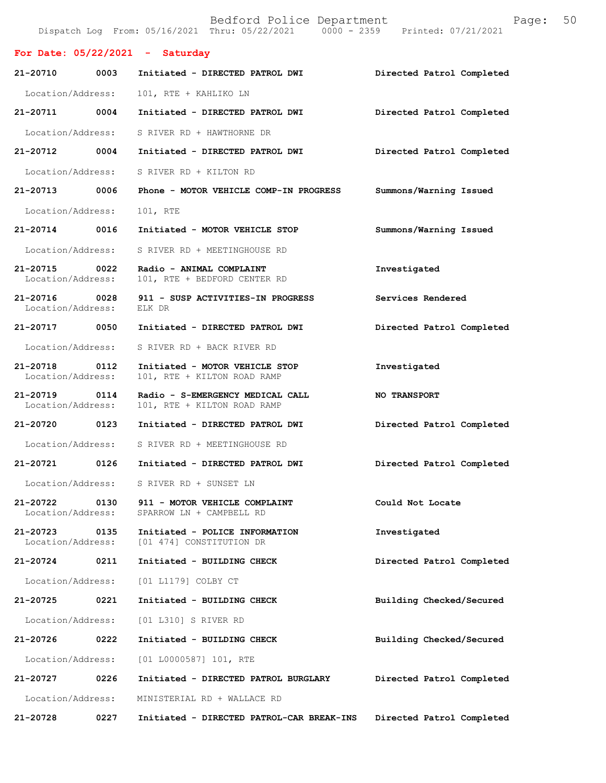|                                   |      | Bedford Police Department<br>Dispatch Log From: 05/16/2021 Thru: 05/22/2021 0000 - 2359 Printed: 07/21/2021 | Page:                     | 50 |
|-----------------------------------|------|-------------------------------------------------------------------------------------------------------------|---------------------------|----|
|                                   |      | For Date: $05/22/2021$ - Saturday                                                                           |                           |    |
| 21-20710                          | 0003 | Initiated - DIRECTED PATROL DWI                                                                             | Directed Patrol Completed |    |
| Location/Address:                 |      | 101, RTE + KAHLIKO LN                                                                                       |                           |    |
| 21-20711                          | 0004 | Initiated - DIRECTED PATROL DWI                                                                             | Directed Patrol Completed |    |
| Location/Address:                 |      | S RIVER RD + HAWTHORNE DR                                                                                   |                           |    |
| 21-20712                          | 0004 | Initiated - DIRECTED PATROL DWI                                                                             | Directed Patrol Completed |    |
| Location/Address:                 |      | S RIVER RD + KILTON RD                                                                                      |                           |    |
| 21-20713                          | 0006 | Phone - MOTOR VEHICLE COMP-IN PROGRESS                                                                      | Summons/Warning Issued    |    |
| Location/Address:                 |      | 101, RTE                                                                                                    |                           |    |
| 21-20714                          | 0016 | Initiated - MOTOR VEHICLE STOP                                                                              | Summons/Warning Issued    |    |
| Location/Address:                 |      | S RIVER RD + MEETINGHOUSE RD                                                                                |                           |    |
| $21 - 20715$<br>Location/Address: | 0022 | Radio - ANIMAL COMPLAINT<br>101, RTE + BEDFORD CENTER RD                                                    | Investigated              |    |
| 21-20716<br>Location/Address:     | 0028 | 911 - SUSP ACTIVITIES-IN PROGRESS<br>ELK DR                                                                 | Services Rendered         |    |
| 21-20717                          | 0050 | Initiated - DIRECTED PATROL DWI                                                                             | Directed Patrol Completed |    |
| Location/Address:                 |      | S RIVER RD + BACK RIVER RD                                                                                  |                           |    |
| 21-20718<br>Location/Address:     | 0112 | Initiated - MOTOR VEHICLE STOP<br>101, RTE + KILTON ROAD RAMP                                               | Investigated              |    |
| 21-20719<br>Location/Address:     | 0114 | Radio - S-EMERGENCY MEDICAL CALL<br>101, RTE + KILTON ROAD RAMP                                             | <b>NO TRANSPORT</b>       |    |
| $21 - 20720$                      | 0123 | Initiated - DIRECTED PATROL DWI                                                                             | Directed Patrol Completed |    |
| Location/Address:                 |      | S RIVER RD + MEETINGHOUSE RD                                                                                |                           |    |
| 21-20721                          | 0126 | Initiated - DIRECTED PATROL DWI                                                                             | Directed Patrol Completed |    |
| Location/Address:                 |      | S RIVER RD + SUNSET LN                                                                                      |                           |    |
| 21-20722<br>Location/Address:     | 0130 | 911 - MOTOR VEHICLE COMPLAINT<br>SPARROW LN + CAMPBELL RD                                                   | Could Not Locate          |    |
| 21-20723<br>Location/Address:     | 0135 | Initiated - POLICE INFORMATION<br>[01 474] CONSTITUTION DR                                                  | Investigated              |    |
| 21-20724                          | 0211 | Initiated - BUILDING CHECK                                                                                  | Directed Patrol Completed |    |
| Location/Address:                 |      | [01 L1179] COLBY CT                                                                                         |                           |    |
| 21-20725                          | 0221 | Initiated - BUILDING CHECK                                                                                  | Building Checked/Secured  |    |
| Location/Address:                 |      | [01 L310] S RIVER RD                                                                                        |                           |    |
| 21-20726                          | 0222 | Initiated - BUILDING CHECK                                                                                  | Building Checked/Secured  |    |
| Location/Address:                 |      | [01 L0000587] 101, RTE                                                                                      |                           |    |
| 21-20727                          | 0226 | Initiated - DIRECTED PATROL BURGLARY                                                                        | Directed Patrol Completed |    |
| Location/Address:                 |      | MINISTERIAL RD + WALLACE RD                                                                                 |                           |    |
| 21-20728                          | 0227 | Initiated - DIRECTED PATROL-CAR BREAK-INS                                                                   | Directed Patrol Completed |    |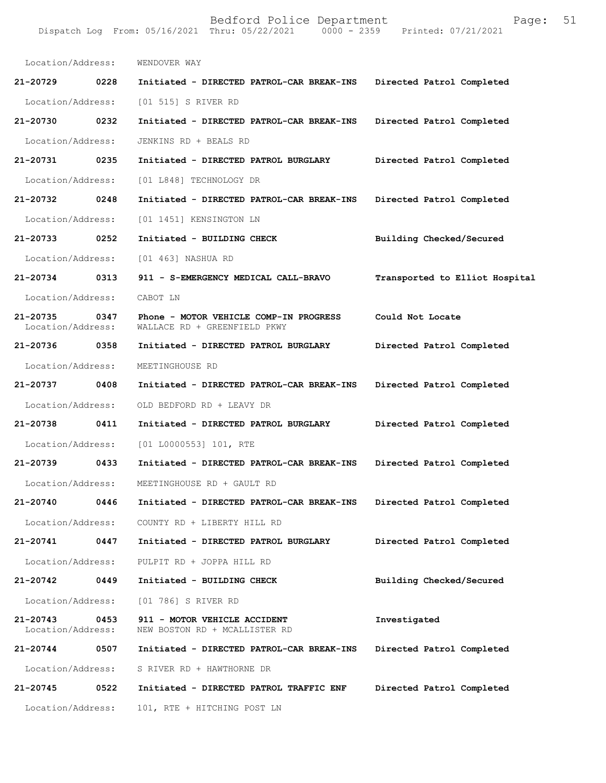Location/Address: WENDOVER WAY **21-20729 0228 Initiated - DIRECTED PATROL-CAR BREAK-INS Directed Patrol Completed**  Location/Address: [01 515] S RIVER RD **21-20730 0232 Initiated - DIRECTED PATROL-CAR BREAK-INS Directed Patrol Completed**  Location/Address: JENKINS RD + BEALS RD **21-20731 0235 Initiated - DIRECTED PATROL BURGLARY Directed Patrol Completed**  Location/Address: [01 L848] TECHNOLOGY DR **21-20732 0248 Initiated - DIRECTED PATROL-CAR BREAK-INS Directed Patrol Completed**  Location/Address: [01 1451] KENSINGTON LN **21-20733 0252 Initiated - BUILDING CHECK Building Checked/Secured**  Location/Address: [01 463] NASHUA RD **21-20734 0313 911 - S-EMERGENCY MEDICAL CALL-BRAVO Transported to Elliot Hospital** Location/Address: CABOT LN **21-20735 0347 Phone - MOTOR VEHICLE COMP-IN PROGRESS Could Not Locate**  WALLACE RD + GREENFIELD PKWY **21-20736 0358 Initiated - DIRECTED PATROL BURGLARY Directed Patrol Completed**  Location/Address: MEETINGHOUSE RD **21-20737 0408 Initiated - DIRECTED PATROL-CAR BREAK-INS Directed Patrol Completed**  Location/Address: OLD BEDFORD RD + LEAVY DR **21-20738 0411 Initiated - DIRECTED PATROL BURGLARY Directed Patrol Completed**  Location/Address: [01 L0000553] 101, RTE **21-20739 0433 Initiated - DIRECTED PATROL-CAR BREAK-INS Directed Patrol Completed**  Location/Address: MEETINGHOUSE RD + GAULT RD **21-20740 0446 Initiated - DIRECTED PATROL-CAR BREAK-INS Directed Patrol Completed**  Location/Address: COUNTY RD + LIBERTY HILL RD **21-20741 0447 Initiated - DIRECTED PATROL BURGLARY Directed Patrol Completed**  Location/Address: PULPIT RD + JOPPA HILL RD **21-20742 0449 Initiated - BUILDING CHECK Building Checked/Secured**  Location/Address: [01 786] S RIVER RD **21-20743 0453 911 - MOTOR VEHICLE ACCIDENT Investigated**  Location/Address: NEW BOSTON RD + MCALLISTER RD **21-20744 0507 Initiated - DIRECTED PATROL-CAR BREAK-INS Directed Patrol Completed**  Location/Address: S RIVER RD + HAWTHORNE DR **21-20745 0522 Initiated - DIRECTED PATROL TRAFFIC ENF Directed Patrol Completed**  Location/Address: 101, RTE + HITCHING POST LN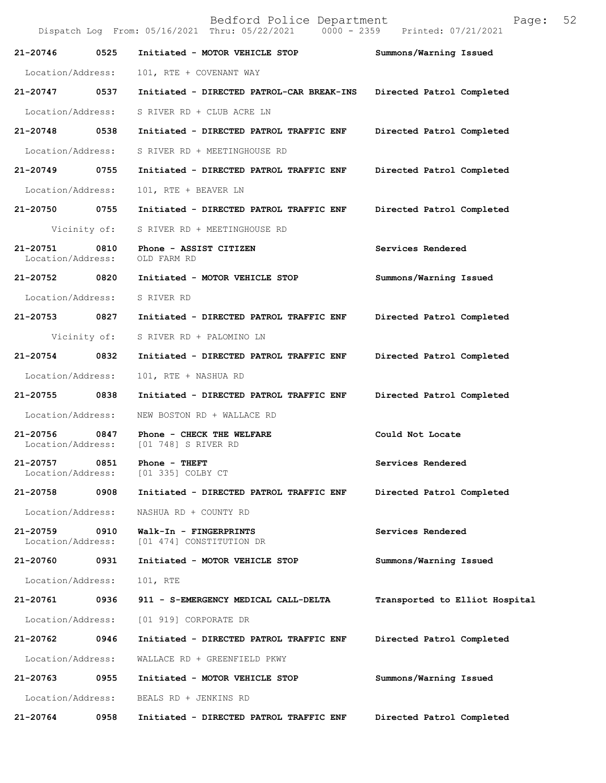Bedford Police Department Page: 52 Dispatch Log From: 05/16/2021 Thru: 05/22/2021 **21-20746 0525 Initiated - MOTOR VEHICLE STOP Summons/Warning Issued**  Location/Address: 101, RTE + COVENANT WAY **21-20747 0537 Initiated - DIRECTED PATROL-CAR BREAK-INS Directed Patrol Completed**  Location/Address: S RIVER RD + CLUB ACRE LN **21-20748 0538 Initiated - DIRECTED PATROL TRAFFIC ENF Directed Patrol Completed**  Location/Address: S RIVER RD + MEETINGHOUSE RD **21-20749 0755 Initiated - DIRECTED PATROL TRAFFIC ENF Directed Patrol Completed**  Location/Address: 101, RTE + BEAVER LN **21-20750 0755 Initiated - DIRECTED PATROL TRAFFIC ENF Directed Patrol Completed**  Vicinity of: S RIVER RD + MEETINGHOUSE RD 21-20751 0810 Phone - ASSIST CITIZEN Services Rendered Location/Address: OLD FARM RD Location/Address: **21-20752 0820 Initiated - MOTOR VEHICLE STOP Summons/Warning Issued**  Location/Address: S RIVER RD **21-20753 0827 Initiated - DIRECTED PATROL TRAFFIC ENF Directed Patrol Completed**  Vicinity of: S RIVER RD + PALOMINO LN **21-20754 0832 Initiated - DIRECTED PATROL TRAFFIC ENF Directed Patrol Completed**  Location/Address: 101, RTE + NASHUA RD **21-20755 0838 Initiated - DIRECTED PATROL TRAFFIC ENF Directed Patrol Completed**  Location/Address: NEW BOSTON RD + WALLACE RD **21-20756 0847 Phone - CHECK THE WELFARE Could Not Locate**  Location/Address: [01 748] S RIVER RD **21-20757 0851 Phone - THEFT Services Rendered Services Rendered Services Rendered** Location/Address: **21-20758 0908 Initiated - DIRECTED PATROL TRAFFIC ENF Directed Patrol Completed**  Location/Address: NASHUA RD + COUNTY RD **21-20759 0910 Walk-In - FINGERPRINTS Services Rendered**  Location/Address: [01 474] CONSTITUTION DR **21-20760 0931 Initiated - MOTOR VEHICLE STOP Summons/Warning Issued**  Location/Address: 101, RTE **21-20761 0936 911 - S-EMERGENCY MEDICAL CALL-DELTA Transported to Elliot Hospital** Location/Address: [01 919] CORPORATE DR **21-20762 0946 Initiated - DIRECTED PATROL TRAFFIC ENF Directed Patrol Completed**  Location/Address: WALLACE RD + GREENFIELD PKWY **21-20763 0955 Initiated - MOTOR VEHICLE STOP Summons/Warning Issued**  Location/Address: BEALS RD + JENKINS RD **21-20764 0958 Initiated - DIRECTED PATROL TRAFFIC ENF Directed Patrol Completed**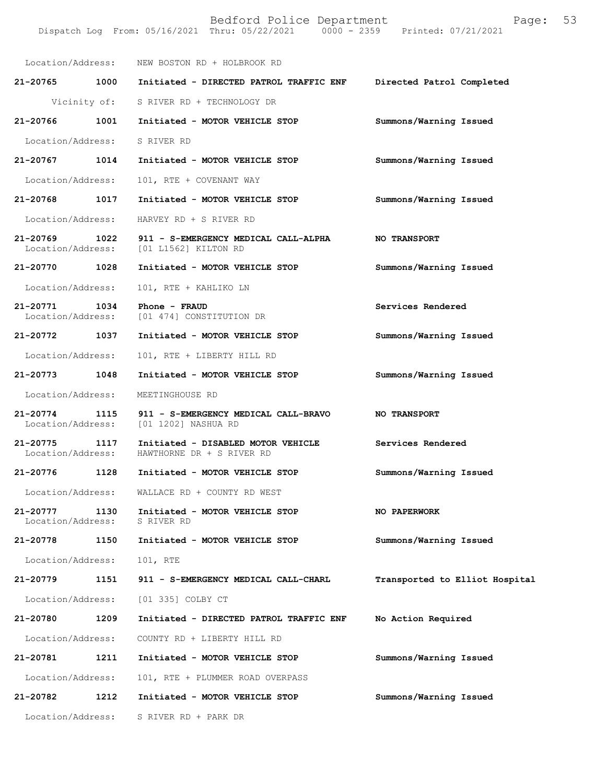|                                   |      | Location/Address: NEW BOSTON RD + HOLBROOK RD                   |                                |
|-----------------------------------|------|-----------------------------------------------------------------|--------------------------------|
| 21-20765                          | 1000 | Initiated - DIRECTED PATROL TRAFFIC ENF                         | Directed Patrol Completed      |
|                                   |      | Vicinity of: S RIVER RD + TECHNOLOGY DR                         |                                |
| 21-20766                          | 1001 | Initiated - MOTOR VEHICLE STOP                                  | Summons/Warning Issued         |
| Location/Address:                 |      | S RIVER RD                                                      |                                |
| $21 - 20767$                      | 1014 | Initiated - MOTOR VEHICLE STOP                                  | Summons/Warning Issued         |
| Location/Address:                 |      | 101, RTE + COVENANT WAY                                         |                                |
| 21-20768                          | 1017 | Initiated - MOTOR VEHICLE STOP                                  | Summons/Warning Issued         |
| Location/Address:                 |      | HARVEY RD + S RIVER RD                                          |                                |
| 21-20769<br>Location/Address:     | 1022 | 911 - S-EMERGENCY MEDICAL CALL-ALPHA<br>[01 L1562] KILTON RD    | <b>NO TRANSPORT</b>            |
| 21-20770                          | 1028 | Initiated - MOTOR VEHICLE STOP                                  | Summons/Warning Issued         |
| Location/Address:                 |      | 101, RTE + KAHLIKO LN                                           |                                |
| $21 - 20771$<br>Location/Address: | 1034 | Phone - FRAUD<br>[01 474] CONSTITUTION DR                       | Services Rendered              |
| 21-20772                          | 1037 | Initiated - MOTOR VEHICLE STOP                                  | Summons/Warning Issued         |
| Location/Address:                 |      | 101, RTE + LIBERTY HILL RD                                      |                                |
| 21-20773                          | 1048 | Initiated - MOTOR VEHICLE STOP                                  | Summons/Warning Issued         |
| Location/Address:                 |      | MEETINGHOUSE RD                                                 |                                |
| 21-20774<br>Location/Address:     | 1115 | 911 - S-EMERGENCY MEDICAL CALL-BRAVO<br>[01 1202] NASHUA RD     | <b>NO TRANSPORT</b>            |
| 21-20775<br>Location/Address:     | 1117 | Initiated - DISABLED MOTOR VEHICLE<br>HAWTHORNE DR + S RIVER RD | Services Rendered              |
| 21-20776                          | 1128 | Initiated - MOTOR VEHICLE STOP                                  | Summons/Warning Issued         |
| Location/Address:                 |      | WALLACE RD + COUNTY RD WEST                                     |                                |
| 21-20777<br>Location/Address:     | 1130 | Initiated - MOTOR VEHICLE STOP<br>S RIVER RD                    | <b>NO PAPERWORK</b>            |
| 21-20778                          | 1150 | Initiated - MOTOR VEHICLE STOP                                  | Summons/Warning Issued         |
| Location/Address:                 |      | 101, RTE                                                        |                                |
| 21-20779                          | 1151 | 911 - S-EMERGENCY MEDICAL CALL-CHARL                            | Transported to Elliot Hospital |
| Location/Address:                 |      | [01 335] COLBY CT                                               |                                |
| 21-20780                          | 1209 | Initiated - DIRECTED PATROL TRAFFIC ENF                         | No Action Required             |
| Location/Address:                 |      | COUNTY RD + LIBERTY HILL RD                                     |                                |
| 21-20781                          | 1211 | Initiated - MOTOR VEHICLE STOP                                  | Summons/Warning Issued         |
| Location/Address:                 |      | 101, RTE + PLUMMER ROAD OVERPASS                                |                                |
| 21-20782                          | 1212 | Initiated - MOTOR VEHICLE STOP                                  | Summons/Warning Issued         |
| Location/Address:                 |      | S RIVER RD + PARK DR                                            |                                |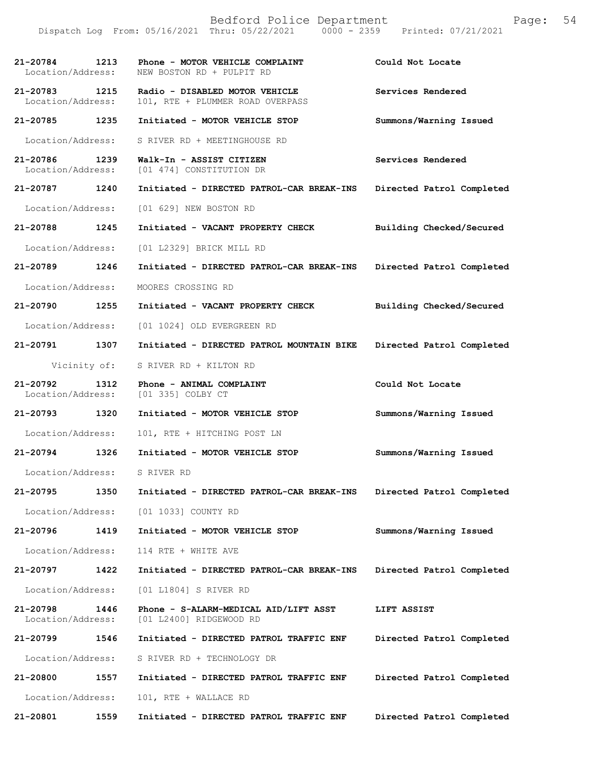|                               |              | Bedford Police Department<br>Dispatch Log From: 05/16/2021 Thru: 05/22/2021 0000 - 2359 Printed: 07/21/2021 | Page:                     | 54 |
|-------------------------------|--------------|-------------------------------------------------------------------------------------------------------------|---------------------------|----|
| 21-20784<br>Location/Address: | 1213         | Phone - MOTOR VEHICLE COMPLAINT<br>NEW BOSTON RD + PULPIT RD                                                | Could Not Locate          |    |
| 21-20783<br>Location/Address: | 1215         | Radio - DISABLED MOTOR VEHICLE<br>101, RTE + PLUMMER ROAD OVERPASS                                          | Services Rendered         |    |
| 21-20785                      | 1235         | Initiated - MOTOR VEHICLE STOP                                                                              | Summons/Warning Issued    |    |
| Location/Address:             |              | S RIVER RD + MEETINGHOUSE RD                                                                                |                           |    |
| 21-20786<br>Location/Address: | 1239         | Walk-In - ASSIST CITIZEN<br>[01 474] CONSTITUTION DR                                                        | Services Rendered         |    |
| 21-20787                      | 1240         | Initiated - DIRECTED PATROL-CAR BREAK-INS                                                                   | Directed Patrol Completed |    |
| Location/Address:             |              | [01 629] NEW BOSTON RD                                                                                      |                           |    |
| 21-20788                      | 1245         | Initiated - VACANT PROPERTY CHECK                                                                           | Building Checked/Secured  |    |
| Location/Address:             |              | [01 L2329] BRICK MILL RD                                                                                    |                           |    |
| 21-20789                      | 1246         | Initiated - DIRECTED PATROL-CAR BREAK-INS                                                                   | Directed Patrol Completed |    |
| Location/Address:             |              | MOORES CROSSING RD                                                                                          |                           |    |
| 21-20790                      | 1255         | Initiated - VACANT PROPERTY CHECK                                                                           | Building Checked/Secured  |    |
| Location/Address:             |              | [01 1024] OLD EVERGREEN RD                                                                                  |                           |    |
| 21-20791                      | 1307         | Initiated - DIRECTED PATROL MOUNTAIN BIKE                                                                   | Directed Patrol Completed |    |
|                               | Vicinity of: | S RIVER RD + KILTON RD                                                                                      |                           |    |
| 21-20792<br>Location/Address: | 1312         | Phone - ANIMAL COMPLAINT<br>[01 335] COLBY CT                                                               | Could Not Locate          |    |
| 21-20793                      | 1320         | Initiated - MOTOR VEHICLE STOP                                                                              | Summons/Warning Issued    |    |
| Location/Address:             |              | 101, RTE + HITCHING POST LN                                                                                 |                           |    |
| 21-20794                      | 1326         | Initiated - MOTOR VEHICLE STOP                                                                              | Summons/Warning Issued    |    |
| Location/Address:             |              | S RIVER RD                                                                                                  |                           |    |
| 21-20795                      | 1350         | Initiated - DIRECTED PATROL-CAR BREAK-INS                                                                   | Directed Patrol Completed |    |
| Location/Address:             |              | [01 1033] COUNTY RD                                                                                         |                           |    |
| 21-20796                      | 1419         | Initiated - MOTOR VEHICLE STOP                                                                              | Summons/Warning Issued    |    |
| Location/Address:             |              | 114 RTE + WHITE AVE                                                                                         |                           |    |
| 21-20797                      | 1422         | Initiated - DIRECTED PATROL-CAR BREAK-INS                                                                   | Directed Patrol Completed |    |
| Location/Address:             |              | [01 L1804] S RIVER RD                                                                                       |                           |    |
| 21-20798<br>Location/Address: | 1446         | Phone - S-ALARM-MEDICAL AID/LIFT ASST<br>[01 L2400] RIDGEWOOD RD                                            | LIFT ASSIST               |    |
| 21-20799                      | 1546         | Initiated - DIRECTED PATROL TRAFFIC ENF                                                                     | Directed Patrol Completed |    |
| Location/Address:             |              | S RIVER RD + TECHNOLOGY DR                                                                                  |                           |    |
| 21-20800                      | 1557         | Initiated - DIRECTED PATROL TRAFFIC ENF                                                                     | Directed Patrol Completed |    |
| Location/Address:             |              | 101, RTE + WALLACE RD                                                                                       |                           |    |
| 21-20801                      | 1559         | Initiated - DIRECTED PATROL TRAFFIC ENF                                                                     | Directed Patrol Completed |    |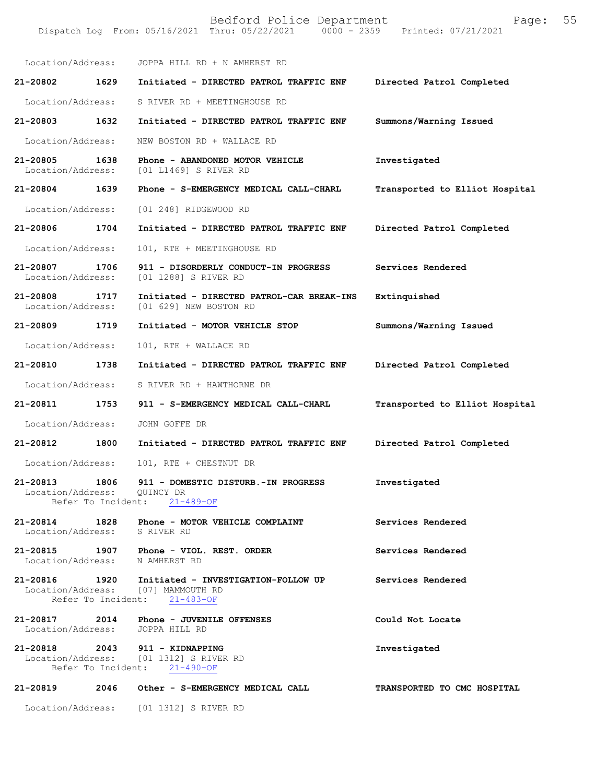Bedford Police Department Page: 55 Dispatch Log From: 05/16/2021 Thru: 05/22/2021 Location/Address: JOPPA HILL RD + N AMHERST RD **21-20802 1629 Initiated - DIRECTED PATROL TRAFFIC ENF Directed Patrol Completed**  Location/Address: S RIVER RD + MEETINGHOUSE RD **21-20803 1632 Initiated - DIRECTED PATROL TRAFFIC ENF Summons/Warning Issued**  Location/Address: NEW BOSTON RD + WALLACE RD **21-20805 1638 Phone - ABANDONED MOTOR VEHICLE Investigated**  Location/Address: [01 L1469] S RIVER RD **21-20804 1639 Phone - S-EMERGENCY MEDICAL CALL-CHARL Transported to Elliot Hospital** Location/Address: [01 248] RIDGEWOOD RD **21-20806 1704 Initiated - DIRECTED PATROL TRAFFIC ENF Directed Patrol Completed**  Location/Address: 101, RTE + MEETINGHOUSE RD **21-20807 1706 911 - DISORDERLY CONDUCT-IN PROGRESS Services Rendered**  Location/Address: [01 1288] S RIVER RD **21-20808 1717 Initiated - DIRECTED PATROL-CAR BREAK-INS Extinquished**  Location/Address: [01 629] NEW BOSTON RD **21-20809 1719 Initiated - MOTOR VEHICLE STOP Summons/Warning Issued**  Location/Address: 101, RTE + WALLACE RD **21-20810 1738 Initiated - DIRECTED PATROL TRAFFIC ENF Directed Patrol Completed**  Location/Address: S RIVER RD + HAWTHORNE DR **21-20811 1753 911 - S-EMERGENCY MEDICAL CALL-CHARL Transported to Elliot Hospital** Location/Address: JOHN GOFFE DR **21-20812 1800 Initiated - DIRECTED PATROL TRAFFIC ENF Directed Patrol Completed**  Location/Address: 101, RTE + CHESTNUT DR **21-20813 1806 911 - DOMESTIC DISTURB.-IN PROGRESS Investigated**  Location/Address: QUINCY DR Refer To Incident: 21-489-OF **21-20814 1828 Phone - MOTOR VEHICLE COMPLAINT Services Rendered**  Location/Address: S RIVER RD **21-20815 1907 Phone - VIOL. REST. ORDER Services Rendered**  Location/Address: N AMHERST RD **21-20816 1920 Initiated - INVESTIGATION-FOLLOW UP Services Rendered**  Location/Address: [07] MAMMOUTH RD<br>Refer To Incident: 21-483-OF Refer To Incident: **21-20817** 2014 Phone - JUVENILE OFFENSES Could Not Locate Location/Address: JOPPA HILL RD Location/Address: **21-20818 2043 911 - KIDNAPPING Investigated**  [01 1312] S RIVER RD Refer To Incident: 21-490-OF **21-20819 2046 Other - S-EMERGENCY MEDICAL CALL TRANSPORTED TO CMC HOSPITAL** 

Location/Address: [01 1312] S RIVER RD